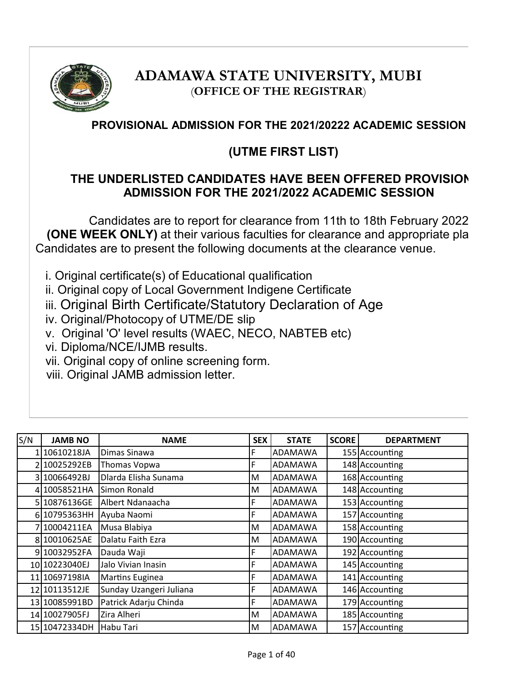

# **ADAMAWA STATE UNIVERSITY, MUBI** (**OFFICE OF THE REGISTRAR**)

## **PROVISIONAL ADMISSION FOR THE 2021/20222 ACADEMIC SESSION**

## **(UTME FIRST LIST)**

### **THE UNDERLISTED CANDIDATES HAVE BEEN OFFERED PROVISIONAL ADMISSION FOR THE 2021/2022 ACADEMIC SESSION**

Candidates are to report for clearance from 11th to 18th February 2022 **(ONE WEEK ONLY)** at their various faculties for clearance and appropriate pla Candidates are to present the following documents at the clearance venue.

i. Original certificate(s) of Educational qualification

- ii. Original copy of Local Government Indigene Certificate
- iii. Original Birth Certificate/Statutory Declaration of Age
- iv. Original/Photocopy of UTME/DE slip
- v. Original 'O' level results (WAEC, NECO, NABTEB etc)
- vi. Diploma/NCE/IJMB results.
- vii. Original copy of online screening form.
- viii. Original JAMB admission letter.

| S/N | <b>JAMB NO</b> | <b>NAME</b>             | <b>SEX</b> | <b>STATE</b>   | <b>SCORE</b> | <b>DEPARTMENT</b> |
|-----|----------------|-------------------------|------------|----------------|--------------|-------------------|
|     | 110610218JA    | Dimas Sinawa            |            | <b>ADAMAWA</b> |              | 155 Accounting    |
|     | 10025292EB     | Thomas Vopwa            | F          | ADAMAWA        |              | 148 Accounting    |
| 31  | 10066492BJ     | Dlarda Elisha Sunama    | м          | ADAMAWA        |              | 168 Accounting    |
|     | 4 10058521HA   | Simon Ronald            | М          | <b>ADAMAWA</b> |              | 148 Accounting    |
|     | 5 10876136GE   | Albert Ndanaacha        | F          | <b>ADAMAWA</b> |              | 153 Accounting    |
|     | 6 10795363HH   | Ayuba Naomi             | F          | ADAMAWA        |              | 157 Accounting    |
|     | 710004211EA    | Musa Blabiya            | М          | IADAMAWA       |              | 158 Accounting    |
|     | 8 10010625AE   | Dalatu Faith Ezra       | м          | <b>ADAMAWA</b> |              | 190 Accounting    |
|     | 910032952FA    | Dauda Waji              | F          | ADAMAWA        |              | 192 Accounting    |
|     | 10 10223040EJ  | Jalo Vivian Inasin      |            | ADAMAWA        |              | 145 Accounting    |
|     | 11 10697198IA  | <b>Martins Euginea</b>  | F          | <b>ADAMAWA</b> |              | 141 Accounting    |
|     | 12 10113512JE  | Sunday Uzangeri Juliana | F          | ADAMAWA        |              | 146 Accounting    |
|     | 13 10085991BD  | Patrick Adarju Chinda   | F          | ADAMAWA        |              | 179 Accounting    |
|     | 14 10027905FJ  | Zira Alheri             | м          | <b>ADAMAWA</b> |              | 185 Accounting    |
|     | 15 10472334DH  | Habu Tari               | М          | <b>ADAMAWA</b> |              | 157 Accounting    |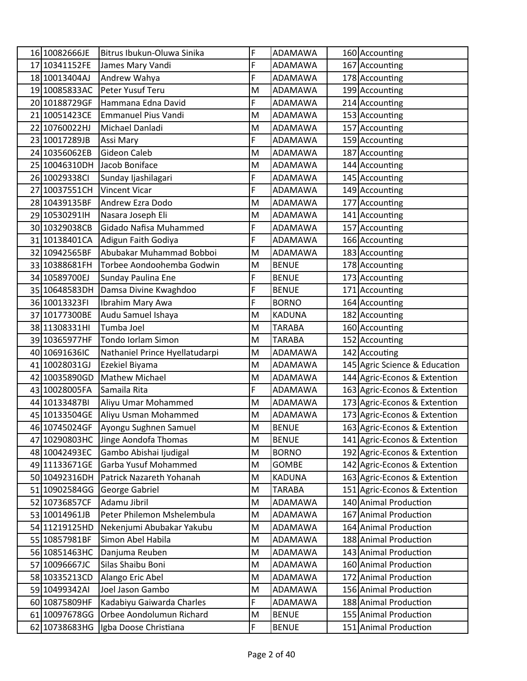| 16 10082666JE | Bitrus Ibukun-Oluwa Sinika         | F | ADAMAWA        | 160 Accounting                |
|---------------|------------------------------------|---|----------------|-------------------------------|
| 17 10341152FE | James Mary Vandi                   | F | ADAMAWA        | 167 Accounting                |
| 18 10013404AJ | Andrew Wahya                       | F | ADAMAWA        | 178 Accounting                |
| 19 10085833AC | Peter Yusuf Teru                   | M | ADAMAWA        | 199 Accounting                |
| 20 10188729GF | Hammana Edna David                 | F | ADAMAWA        | 214 Accounting                |
| 21 10051423CE | <b>Emmanuel Pius Vandi</b>         | M | ADAMAWA        | 153 Accounting                |
| 22 10760022HJ | Michael Danladi                    | M | ADAMAWA        | 157 Accounting                |
| 23 10017289JB | Assi Mary                          | F | ADAMAWA        | 159 Accounting                |
| 24 10356062EB | <b>Gideon Caleb</b>                | M | ADAMAWA        | 187 Accounting                |
|               | 25 10046310DH Jacob Boniface       | M | ADAMAWA        | 144 Accounting                |
| 26 10029338CI | Sunday Ijashilagari                | F | ADAMAWA        | 145 Accounting                |
| 27 10037551CH | <b>Vincent Vicar</b>               | F | ADAMAWA        | 149 Accounting                |
| 28 10439135BF | Andrew Ezra Dodo                   | M | <b>ADAMAWA</b> | 177 Accounting                |
| 29 10530291H  | Nasara Joseph Eli                  | M | <b>ADAMAWA</b> | 141 Accounting                |
| 30 10329038CB | Gidado Nafisa Muhammed             | F | ADAMAWA        | 157 Accounting                |
| 31 10138401CA | Adigun Faith Godiya                | F | ADAMAWA        | 166 Accounting                |
| 32 10942565BF | Abubakar Muhammad Bobboi           | M | <b>ADAMAWA</b> | 183 Accounting                |
| 33 10388681FH | Torbee Aondoohemba Godwin          | M | <b>BENUE</b>   | 178 Accounting                |
| 34 10589700EJ | Sunday Paulina Ene                 | F | <b>BENUE</b>   | 173 Accounting                |
| 35 10648583DH | Damsa Divine Kwaghdoo              | F | <b>BENUE</b>   | 171 Accounting                |
| 36 10013323FI | Ibrahim Mary Awa                   | F | <b>BORNO</b>   | 164 Accounting                |
| 37 10177300BE | Audu Samuel Ishaya                 | M | <b>KADUNA</b>  | 182 Accounting                |
| 38 11308331HI | Tumba Joel                         | M | <b>TARABA</b>  | 160 Accounting                |
| 39 10365977HF | Tondo Iorlam Simon                 | M | <b>TARABA</b>  | 152 Accounting                |
| 40 10691636IC | Nathaniel Prince Hyellatudarpi     | M | ADAMAWA        | 142 Accouting                 |
| 41 10028031GJ | Ezekiel Biyama                     | M | ADAMAWA        | 145 Agric Science & Education |
| 42 10035890GD | Mathew Michael                     | M | ADAMAWA        | 144 Agric-Econos & Extention  |
| 43 10028005FA | Samaila Rita                       | F | ADAMAWA        | 163 Agric-Econos & Extention  |
| 44 10133487BI | Aliyu Umar Mohammed                | M | ADAMAWA        | 173 Agric-Econos & Extention  |
| 45 10133504GE | Aliyu Usman Mohammed               | M | ADAMAWA        | 173 Agric-Econos & Extention  |
| 46 10745024GF | Ayongu Sughnen Samuel              | M | <b>BENUE</b>   | 163 Agric-Econos & Extention  |
|               | 47 10290803HC Jinge Aondofa Thomas | M | <b>BENUE</b>   | 141 Agric-Econos & Extention  |
| 48 10042493EC | Gambo Abishai Ijudigal             | M | <b>BORNO</b>   | 192 Agric-Econos & Extention  |
| 49 11133671GE | Garba Yusuf Mohammed               | M | GOMBE          | 142 Agric-Econos & Extention  |
| 50 10492316DH | Patrick Nazareth Yohanah           | M | <b>KADUNA</b>  | 163 Agric-Econos & Extention  |
|               | 51 10902584GG George Gabriel       | M | <b>TARABA</b>  | 151 Agric-Econos & Extention  |
| 52 10736857CF | Adamu Jibril                       | M | ADAMAWA        | 140 Animal Production         |
| 53 10014961JB | Peter Philemon Mshelembula         | M | ADAMAWA        | 167 Animal Production         |
| 54 11219125HD | Nekenjumi Abubakar Yakubu          | M | ADAMAWA        | 164 Animal Production         |
| 55 10857981BF | Simon Abel Habila                  | M | ADAMAWA        | 188 Animal Production         |
| 56 10851463HC | Danjuma Reuben                     | M | ADAMAWA        | 143 Animal Production         |
| 57 10096667JC | Silas Shaibu Boni                  | M | ADAMAWA        | 160 Animal Production         |
| 58 10335213CD | Alango Eric Abel                   | M | ADAMAWA        | 172 Animal Production         |
| 59 10499342AI | Joel Jason Gambo                   | M | ADAMAWA        | 156 Animal Production         |
| 60 10875809HF | Kadabiyu Gaiwarda Charles          | F | ADAMAWA        | 188 Animal Production         |
| 61 10097678GG | Orbee Aondolumun Richard           | M | <b>BENUE</b>   | 155 Animal Production         |
| 62 10738683HG | Igba Doose Christiana              | F | <b>BENUE</b>   | 151 Animal Production         |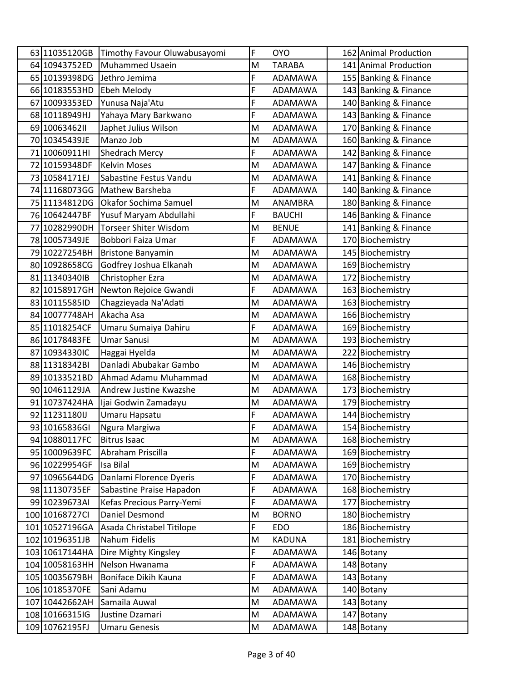| 63 11035120GB  | Timothy Favour Oluwabusayomi | F | <b>OYO</b>     | 162 Animal Production |
|----------------|------------------------------|---|----------------|-----------------------|
| 64 10943752ED  | <b>Muhammed Usaein</b>       | M | <b>TARABA</b>  | 141 Animal Production |
| 65 10139398DG  | Jethro Jemima                | F | ADAMAWA        | 155 Banking & Finance |
| 66 10183553HD  | Ebeh Melody                  | F | <b>ADAMAWA</b> | 143 Banking & Finance |
| 67 10093353ED  | Yunusa Naja'Atu              | F | ADAMAWA        | 140 Banking & Finance |
| 68 10118949HJ  | Yahaya Mary Barkwano         | F | ADAMAWA        | 143 Banking & Finance |
| 69 1006346211  | Japhet Julius Wilson         | M | ADAMAWA        | 170 Banking & Finance |
| 70 10345439JE  | Manzo Job                    | M | ADAMAWA        | 160 Banking & Finance |
| 71 10060911HI  | Shedrach Mercy               | F | ADAMAWA        | 142 Banking & Finance |
| 72 10159348DF  | <b>Kelvin Moses</b>          | M | <b>ADAMAWA</b> | 147 Banking & Finance |
| 73 10584171EJ  | Sabastine Festus Vandu       | M | ADAMAWA        | 141 Banking & Finance |
| 74 11168073GG  | <b>Mathew Barsheba</b>       | F | ADAMAWA        | 140 Banking & Finance |
| 75 11134812DG  | Okafor Sochima Samuel        | M | ANAMBRA        | 180 Banking & Finance |
| 76 10642447BF  | Yusuf Maryam Abdullahi       | F | <b>BAUCHI</b>  | 146 Banking & Finance |
| 77 10282990DH  | <b>Torseer Shiter Wisdom</b> | M | <b>BENUE</b>   | 141 Banking & Finance |
| 78 10057349JE  | Bobbori Faiza Umar           | F | ADAMAWA        | 170 Biochemistry      |
| 79 10227254BH  | <b>Bristone Banyamin</b>     | M | ADAMAWA        | 145 Biochemistry      |
| 80 10928658CG  | Godfrey Joshua Elkanah       | M | ADAMAWA        | 169 Biochemistry      |
| 81 113403401B  | Christopher Ezra             | M | ADAMAWA        | 172 Biochemistry      |
| 82 10158917GH  | Newton Rejoice Gwandi        | F | ADAMAWA        | 163 Biochemistry      |
| 83 10115585ID  | Chagzieyada Na'Adati         | M | ADAMAWA        | 163 Biochemistry      |
| 84 10077748AH  | Akacha Asa                   | M | <b>ADAMAWA</b> | 166 Biochemistry      |
| 85 11018254CF  | Umaru Sumaiya Dahiru         | F | ADAMAWA        | 169 Biochemistry      |
| 86 10178483FE  | <b>Umar Sanusi</b>           | M | ADAMAWA        | 193 Biochemistry      |
| 87 10934330IC  | Haggai Hyelda                | M | ADAMAWA        | 222 Biochemistry      |
| 88 11318342BI  | Danladi Abubakar Gambo       | M | <b>ADAMAWA</b> | 146 Biochemistry      |
| 89 10133521BD  | Ahmad Adamu Muhammad         | M | <b>ADAMAWA</b> | 168 Biochemistry      |
| 90 10461129JA  | Andrew Justine Kwazshe       | M | ADAMAWA        | 173 Biochemistry      |
| 91 10737424HA  | Ijai Godwin Zamadayu         | M | <b>ADAMAWA</b> | 179 Biochemistry      |
| 92 11231180IJ  | Umaru Hapsatu                | F | ADAMAWA        | 144 Biochemistry      |
| 93 10165836GI  | Ngura Margiwa                | F | <b>ADAMAWA</b> | 154 Biochemistry      |
| 94 10880117FC  | <b>Bitrus Isaac</b>          | M | ADAMAWA        | 168 Biochemistry      |
| 95 10009639FC  | Abraham Priscilla            | F | ADAMAWA        | 169 Biochemistry      |
| 96 10229954GF  | Isa Bilal                    | M | ADAMAWA        | 169 Biochemistry      |
| 97 10965644DG  | Danlami Florence Dyeris      | F | ADAMAWA        | 170 Biochemistry      |
| 98 11130735EF  | Sabastine Praise Hapadon     | F | ADAMAWA        | 168 Biochemistry      |
| 99 10239673AI  | Kefas Precious Parry-Yemi    | F | ADAMAWA        | 177 Biochemistry      |
| 100 10168727Cl | Daniel Desmond               | M | <b>BORNO</b>   | 180 Biochemistry      |
| 101 10527196GA | Asada Christabel Titilope    | F | <b>EDO</b>     | 186 Biochemistry      |
| 102 10196351JB | Nahum Fidelis                | M | <b>KADUNA</b>  | 181 Biochemistry      |
| 103 10617144HA | Dire Mighty Kingsley         | F | ADAMAWA        | 146 Botany            |
| 104 10058163HH | Nelson Hwanama               | F | ADAMAWA        | 148 Botany            |
| 105 10035679BH | Boniface Dikih Kauna         | F | ADAMAWA        | 143 Botany            |
| 106 10185370FE | Sani Adamu                   | M | ADAMAWA        | 140 Botany            |
| 107 10442662AH | Samaila Auwal                | M | ADAMAWA        | 143 Botany            |
| 108 10166315IG | Justine Dzamari              | M | ADAMAWA        | 147 Botany            |
| 109 10762195FJ | <b>Umaru Genesis</b>         | M | ADAMAWA        | 148 Botany            |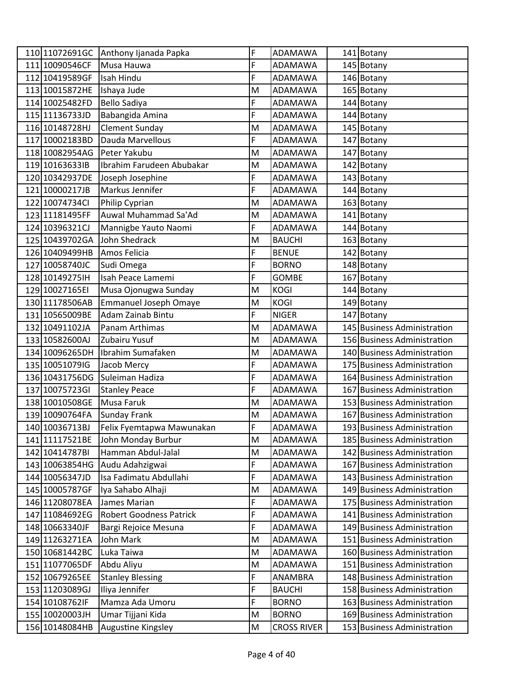|                 | 110 11072691GC Anthony Ijanada Papka | F | ADAMAWA            | 141 Botany                  |
|-----------------|--------------------------------------|---|--------------------|-----------------------------|
| 111 10090546CF  | Musa Hauwa                           | F | ADAMAWA            | 145 Botany                  |
| 112 10419589GF  | Isah Hindu                           | F | ADAMAWA            | 146 Botany                  |
| 113 10015872HE  | Ishaya Jude                          | M | ADAMAWA            | 165 Botany                  |
| 114 10025482FD  | <b>Bello Sadiya</b>                  | F | <b>ADAMAWA</b>     | 144 Botany                  |
| 115 1113 6733JD | Babangida Amina                      | F | ADAMAWA            | 144 Botany                  |
| 116 10148728HJ  | <b>Clement Sunday</b>                | M | ADAMAWA            | 145 Botany                  |
| 117 10002183BD  | Dauda Marvellous                     | F | ADAMAWA            | 147 Botany                  |
| 118 10082954AG  | Peter Yakubu                         | M | ADAMAWA            | 147 Botany                  |
| 119 10163633IB  | Ibrahim Farudeen Abubakar            | M | ADAMAWA            | 142 Botany                  |
| 120 10342937DE  | Joseph Josephine                     | F | ADAMAWA            | 143 Botany                  |
| 121 10000217JB  | Markus Jennifer                      | F | ADAMAWA            | 144 Botany                  |
| 122 10074734Cl  | Philip Cyprian                       | M | ADAMAWA            | 163 Botany                  |
| 123 11181495FF  | Auwal Muhammad Sa'Ad                 | M | ADAMAWA            | 141 Botany                  |
| 124 10396321CJ  | Mannigbe Yauto Naomi                 | F | ADAMAWA            | 144 Botany                  |
| 125 10439702GA  | John Shedrack                        | M | <b>BAUCHI</b>      | 163 Botany                  |
| 126 10409499HB  | Amos Felicia                         | F | <b>BENUE</b>       | 142 Botany                  |
| 127 10058740JC  | Sudi Omega                           | F | <b>BORNO</b>       | 148 Botany                  |
| 128 10149275 IH | Isah Peace Lamemi                    | F | <b>GOMBE</b>       | 167 Botany                  |
| 129 10027165EI  | Musa Ojonugwa Sunday                 | M | <b>KOGI</b>        | 144 Botany                  |
| 130 11178506AB  | Emmanuel Joseph Omaye                | M | <b>KOGI</b>        | 149 Botany                  |
| 131 10565009BE  | Adam Zainab Bintu                    | F | <b>NIGER</b>       | 147 Botany                  |
| 132 10491102JA  | Panam Arthimas                       | M | ADAMAWA            | 145 Business Administration |
| 133 10582600AJ  | Zubairu Yusuf                        | M | <b>ADAMAWA</b>     | 156 Business Administration |
| 134 10096265DH  | Ibrahim Sumafaken                    | M | ADAMAWA            | 140 Business Administration |
| 135 10051079IG  | Jacob Mercy                          | F | ADAMAWA            | 175 Business Administration |
| 136 10431756DG  | Suleiman Hadiza                      | F | ADAMAWA            | 164 Business Administration |
| 137 10075723GI  | <b>Stanley Peace</b>                 | F | ADAMAWA            | 167 Business Administration |
| 138 10010508GE  | Musa Faruk                           | M | ADAMAWA            | 153 Business Administration |
| 139 10090764FA  | <b>Sunday Frank</b>                  | M | ADAMAWA            | 167 Business Administration |
| 140 10036713BJ  | Felix Fyemtapwa Mawunakan            | F | ADAMAWA            | 193 Business Administration |
| 141 11117521BE  | John Monday Burbur                   | M | ADAMAWA            | 185 Business Administration |
| 142 10414787BI  | Hamman Abdul-Jalal                   | M | <b>ADAMAWA</b>     | 142 Business Administration |
| 143 10063854HG  | Audu Adahzigwai                      | F | ADAMAWA            | 167 Business Administration |
| 144 10056347JD  | Isa Fadimatu Abdullahi               | F | ADAMAWA            | 143 Business Administration |
| 145 10005787GF  | Iya Sahabo Alhaji                    | M | ADAMAWA            | 149 Business Administration |
| 146 11208078EA  | James Marian                         | F | ADAMAWA            | 175 Business Administration |
| 147 11084692EG  | <b>Robert Goodness Patrick</b>       | F | ADAMAWA            | 141 Business Administration |
| 148 10663340JF  | Bargi Rejoice Mesuna                 | F | ADAMAWA            | 149 Business Administration |
| 149 11263271EA  | John Mark                            | M | ADAMAWA            | 151 Business Administration |
| 150 10681442BC  | Luka Taiwa                           | M | ADAMAWA            | 160 Business Administration |
| 151 11077065DF  | Abdu Aliyu                           | M | ADAMAWA            | 151 Business Administration |
| 152 10679265EE  | <b>Stanley Blessing</b>              | F | ANAMBRA            | 148 Business Administration |
| 153 11203089GJ  | Iliya Jennifer                       | F | <b>BAUCHI</b>      | 158 Business Administration |
| 154 10108762IF  | Mamza Ada Umoru                      | F | <b>BORNO</b>       | 163 Business Administration |
| 155 10020003JH  | Umar Tijjani Kida                    | M | <b>BORNO</b>       | 169 Business Administration |
| 156 10148084HB  | Augustine Kingsley                   | M | <b>CROSS RIVER</b> | 153 Business Administration |
|                 |                                      |   |                    |                             |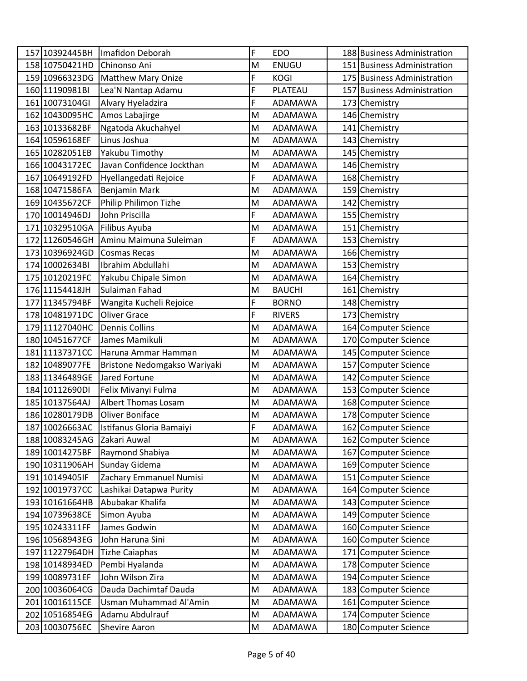| 157 10392445BH                   | Imafidon Deborah                        | F      | <b>EDO</b>         | 188 Business Administration                  |
|----------------------------------|-----------------------------------------|--------|--------------------|----------------------------------------------|
| 158 10750421HD                   | Chinonso Ani                            | M      | <b>ENUGU</b>       | 151 Business Administration                  |
| 159 10966323DG                   | <b>Matthew Mary Onize</b>               | F      | <b>KOGI</b>        | 175 Business Administration                  |
| 160 11190981BI                   | Lea'N Nantap Adamu                      | F      | PLATEAU            | 157 Business Administration                  |
| 161 10073104GI                   | Alvary Hyeladzira                       | F      | ADAMAWA            | 173 Chemistry                                |
| 162 10430095HC                   | Amos Labajirge                          | M      | ADAMAWA            | 146 Chemistry                                |
| 163 10133682BF                   | Ngatoda Akuchahyel                      | M      | ADAMAWA            | 141 Chemistry                                |
| 164 10596168EF                   | Linus Joshua                            | M      | ADAMAWA            | 143 Chemistry                                |
| 165 10282051EB                   | Yakubu Timothy                          | M      | ADAMAWA            | 145 Chemistry                                |
| 166 10043172EC                   | Javan Confidence Jockthan               | M      | ADAMAWA            | 146 Chemistry                                |
| 167 10649192FD                   | Hyellangedati Rejoice                   | F      | ADAMAWA            | 168 Chemistry                                |
| 168 10471586FA                   | Benjamin Mark                           | M      | ADAMAWA            | 159 Chemistry                                |
| 169 10435672CF                   | Philip Philimon Tizhe                   | M      | ADAMAWA            | 142 Chemistry                                |
| 170 10014946DJ                   | John Priscilla                          | F      | ADAMAWA            | 155 Chemistry                                |
| 171 10329510GA                   | Filibus Ayuba                           | M      | ADAMAWA            | 151 Chemistry                                |
| 172 11260546GH                   | Aminu Maimuna Suleiman                  | F      | ADAMAWA            | 153 Chemistry                                |
| 173 10396924GD                   | <b>Cosmas Recas</b>                     | M      | ADAMAWA            | 166 Chemistry                                |
| 174 10002634BI                   | Ibrahim Abdullahi                       | M      | ADAMAWA            | 153 Chemistry                                |
| 175 10120219FC                   | Yakubu Chipale Simon                    | M      | ADAMAWA            | 164 Chemistry                                |
| 176 11154418JH                   | Sulaiman Fahad                          | M      | <b>BAUCHI</b>      | 161 Chemistry                                |
| 177 11345794BF                   | Wangita Kucheli Rejoice                 | F      | <b>BORNO</b>       | 148 Chemistry                                |
| 178 10481971DC                   | <b>Oliver Grace</b>                     | F      | <b>RIVERS</b>      | 173 Chemistry                                |
| 179 11127040HC                   | <b>Dennis Collins</b>                   | M      | ADAMAWA            | 164 Computer Science                         |
| 180 10451677CF                   | James Mamikuli                          | M      | <b>ADAMAWA</b>     | 170 Computer Science                         |
| 181 11137371CC                   | Haruna Ammar Hamman                     | M      | ADAMAWA            | 145 Computer Science                         |
| 182 10489077FE                   | Bristone Nedomgakso Wariyaki            | M      | ADAMAWA            | 157 Computer Science                         |
| 183 11346489GE                   | Jared Fortune                           | M      | <b>ADAMAWA</b>     | 142 Computer Science                         |
| 184 10112690DI                   | Felix Mivanyi Fulma                     | M      | ADAMAWA            | 153 Computer Science                         |
| 185 10137564AJ                   | <b>Albert Thomas Losam</b>              | M      | ADAMAWA            | 168 Computer Science                         |
| 186 10280179DB                   | <b>Oliver Boniface</b>                  | M      | ADAMAWA            | 178 Computer Science                         |
|                                  | 187 10026663AC Istifanus Gloria Bamaiyi | F      | ADAMAWA            | 162 Computer Science                         |
| 188 10083245AG                   | Zakari Auwal                            | M      | ADAMAWA            | 162 Computer Science                         |
| 189 10014275BF                   | Raymond Shabiya                         | M      | ADAMAWA            | 167 Computer Science                         |
| 190 10311906AH                   | Sunday Gidema                           | M      | ADAMAWA            | 169 Computer Science                         |
| 191 10149405IF                   | Zachary Emmanuel Numisi                 | M      | ADAMAWA            | 151 Computer Science                         |
| 192 10019737CC                   | Lashikai Datapwa Purity                 | M      | ADAMAWA            | 164 Computer Science                         |
| 193 10161664HB                   | Abubakar Khalifa                        | M      | ADAMAWA            | 143 Computer Science                         |
| 194 10739638CE                   | Simon Ayuba                             | M      | ADAMAWA            | 149 Computer Science                         |
| 195 10243311FF                   | James Godwin                            | M      | ADAMAWA            | 160 Computer Science                         |
| 196 10568943EG                   | John Haruna Sini                        | M      | ADAMAWA            | 160 Computer Science                         |
| 197 11227964DH                   | <b>Tizhe Caiaphas</b>                   | M      | ADAMAWA            | 171 Computer Science                         |
| 198 10148934ED                   | Pembi Hyalanda                          | M      | ADAMAWA            | 178 Computer Science                         |
| 199 10089731EF                   | John Wilson Zira                        | M      | ADAMAWA            | 194 Computer Science                         |
|                                  | Dauda Dachimtaf Dauda                   | M      | ADAMAWA            | 183 Computer Science                         |
| 200 10036064CG                   |                                         |        |                    |                                              |
| 201 10016115CE                   | Usman Muhammad Al'Amin                  | M      | ADAMAWA            | 161 Computer Science                         |
| 202 10516854EG<br>203 10030756EC | Adamu Abdulrauf<br><b>Shevire Aaron</b> | M<br>M | ADAMAWA<br>ADAMAWA | 174 Computer Science<br>180 Computer Science |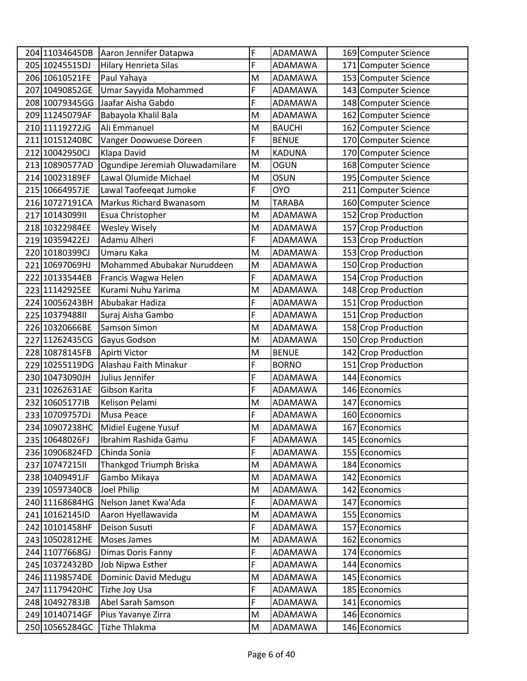| 204 11034645DB  | Aaron Jennifer Datapwa          | F | <b>ADAMAWA</b> | 169 Computer Science |
|-----------------|---------------------------------|---|----------------|----------------------|
| 205 10245515DJ  | <b>Hilary Henrieta Silas</b>    | F | <b>ADAMAWA</b> | 171 Computer Science |
| 206 10610521FE  | Paul Yahaya                     | M | ADAMAWA        | 153 Computer Science |
| 207 10490852GE  | Umar Sayyida Mohammed           | F | ADAMAWA        | 143 Computer Science |
| 208 10079345GG  | Jaafar Aisha Gabdo              | F | ADAMAWA        | 148 Computer Science |
| 209 11245079AF  | Babayola Khalil Bala            | M | ADAMAWA        | 162 Computer Science |
| 210 11119272JG  | Ali Emmanuel                    | M | <b>BAUCHI</b>  | 162 Computer Science |
| 211 10151240BC  | Vanger Doowuese Doreen          | F | <b>BENUE</b>   | 170 Computer Science |
| 212 10042950CJ  | Klapa David                     | M | <b>KADUNA</b>  | 170 Computer Science |
| 213 10890577AD  | Ogundipe Jeremiah Oluwadamilare | M | <b>OGUN</b>    | 168 Computer Science |
| 214 10023189EF  | Lawal Olumide Michael           | M | <b>OSUN</b>    | 195 Computer Science |
| 215 10664957JE  | Lawal Taofeeqat Jumoke          | F | <b>OYO</b>     | 211 Computer Science |
| 216 10727191CA  | Markus Richard Bwanasom         | M | <b>TARABA</b>  | 160 Computer Science |
| 217 1014309911  | Esua Christopher                | M | ADAMAWA        | 152 Crop Production  |
| 218 10322984EE  | <b>Wesley Wisely</b>            | M | ADAMAWA        | 157 Crop Production  |
| 219 10359422EJ  | Adamu Alheri                    | F | ADAMAWA        | 153 Crop Production  |
| 220 10180399CJ  | Umaru Kaka                      | M | ADAMAWA        | 153 Crop Production  |
| 221 10697069HJ  | Mohammed Abubakar Nuruddeen     | M | <b>ADAMAWA</b> | 150 Crop Production  |
| 222 10133544EB  | Francis Wagwa Helen             | F | ADAMAWA        | 154 Crop Production  |
| 223 11142925EE  | Kurami Nuhu Yarima              | M | ADAMAWA        | 148 Crop Production  |
| 224 10056243BH  | Abubakar Hadiza                 | F | ADAMAWA        | 151 Crop Production  |
| 225 1037948811  | Suraj Aisha Gambo               | F | ADAMAWA        | 151 Crop Production  |
| 226 10320666BE  | Samson Simon                    | M | ADAMAWA        | 158 Crop Production  |
| 227 11262435CG  | Gayus Godson                    | M | ADAMAWA        | 150 Crop Production  |
| 228 10878145FB  | Apirti Victor                   | M | <b>BENUE</b>   | 142 Crop Production  |
| 229 10255119DG  | Alashau Faith Minakur           | F | <b>BORNO</b>   | 151 Crop Production  |
| 230 10473090JH  | Julius Jennifer                 | F | ADAMAWA        | 144 Economics        |
| 231 10262631AE  | Gibson Karita                   | F | ADAMAWA        | 146 Economics        |
| 232 106051771B  | Kelison Pelami                  | M | ADAMAWA        | 147 Economics        |
| 233 10709757DJ  | Musa Peace                      | F | <b>ADAMAWA</b> | 160 Economics        |
| 234 10907238HC  | Midiel Eugene Yusuf             | M | <b>ADAMAWA</b> | 167 Economics        |
| 235 10648026FJ  | Ibrahim Rashida Gamu            | F | <b>ADAMAWA</b> | 145 Economics        |
| 236 10906824FD  | Chinda Sonia                    | F | ADAMAWA        | 155 Economics        |
| 237 10747215 II | Thankgod Triumph Briska         | M | ADAMAWA        | 184 Economics        |
| 238 10409491JF  | Gambo Mikaya                    | M | ADAMAWA        | 142 Economics        |
| 239 10597340CB  | Joel Philip                     | M | ADAMAWA        | 142 Economics        |
| 240 11168684HG  | Nelson Janet Kwa'Ada            | F | ADAMAWA        | 147 Economics        |
| 241 10162145ID  | Aaron Hyellawavida              | M | ADAMAWA        | 155 Economics        |
| 242 10101458HF  | Deison Susuti                   | F | ADAMAWA        | 157 Economics        |
| 243 10502812HE  | Moses James                     | M | ADAMAWA        | 162 Economics        |
| 244 11077668GJ  | Dimas Doris Fanny               | F | ADAMAWA        | 174 Economics        |
| 245 10372432BD  | Job Nipwa Esther                | F | ADAMAWA        | 144 Economics        |
| 246 11198574DE  | Dominic David Medugu            | M | ADAMAWA        | 145 Economics        |
| 247 11179420HC  | Tizhe Joy Usa                   | F | ADAMAWA        | 185 Economics        |
| 248 10492783JB  | Abel Sarah Samson               | F | ADAMAWA        | 141 Economics        |
| 249 10140714GF  | Pius Yavanye Zirra              | M | ADAMAWA        | 146 Economics        |
| 250 10565284GC  | Tizhe Thlakma                   | M | ADAMAWA        | 146 Economics        |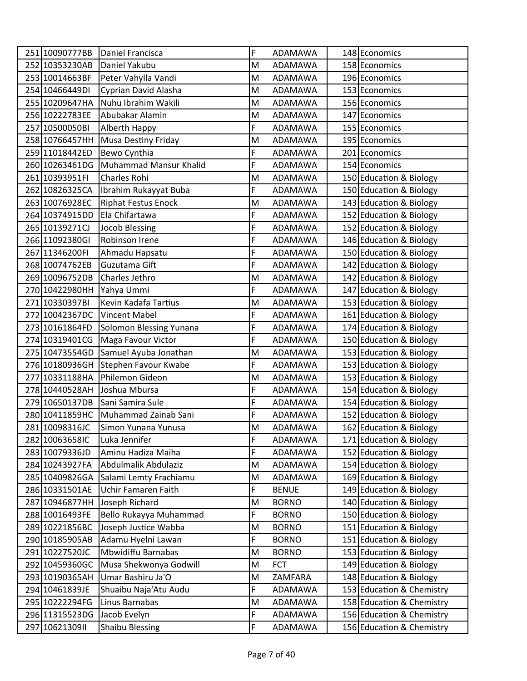| F<br>251 10090777BB<br>Daniel Francisca<br>ADAMAWA<br>148 Economics<br>252 10353230AB<br>158 Economics<br>Daniel Yakubu<br>M<br>ADAMAWA<br>253 10014663BF<br>Peter Vahylla Vandi<br>196 Economics<br>M<br><b>ADAMAWA</b><br>254 10466449DI<br>Cyprian David Alasha<br>M<br>153 Economics<br>ADAMAWA<br>Nuhu Ibrahim Wakili<br>255 10209647HA<br>M<br>156 Economics<br>ADAMAWA<br>256 10222783EE<br>Abubakar Alamin<br>M<br>147 Economics<br>ADAMAWA<br>F<br>257 10500050BI<br>Alberth Happy<br>ADAMAWA<br>155 Economics<br>258 10766457HH<br><b>Musa Destiny Friday</b><br>M<br>195 Economics<br>ADAMAWA<br>F<br>259 11018442ED<br>Bewo Cynthia<br>ADAMAWA<br>201 Economics<br>F<br>260 10263461DG<br>Muhammad Mansur Khalid<br>154 Economics<br>ADAMAWA<br>Charles Rohi<br>150 Education & Biology<br>261 10393951FI<br>M<br>ADAMAWA<br>F<br>262 10826325CA<br>150 Education & Biology<br>Ibrahim Rukayyat Buba<br>ADAMAWA<br>143 Education & Biology<br>263 10076928EC<br><b>Riphat Festus Enock</b><br>M<br>ADAMAWA<br>F<br>Ela Chifartawa<br>152 Education & Biology<br>264 10374915DD<br>ADAMAWA<br>F<br>152 Education & Biology<br>265 10139271CJ<br><b>Jocob Blessing</b><br>ADAMAWA<br>F<br>266 11092380GI<br>Robinson Irene<br>146 Education & Biology<br><b>ADAMAWA</b><br>F<br>150 Education & Biology<br>267 11346200FI<br>Ahmadu Hapsatu<br><b>ADAMAWA</b><br>F<br>142 Education & Biology<br>268 10074762EB<br>Guzutama Gift<br><b>ADAMAWA</b><br>142 Education & Biology<br>269 10096752DB<br>Charles Jethro<br>M<br>ADAMAWA<br>F<br>147 Education & Biology<br>270 10422980HH<br>Yahya Ummi<br>ADAMAWA<br>153 Education & Biology<br>271 10330397BI<br>Kevin Kadafa Tartius<br>M<br>ADAMAWA<br>F<br>272 10042367DC<br>161 Education & Biology<br><b>Vincent Mabel</b><br>ADAMAWA<br>F<br>174 Education & Biology<br>273 10161864FD<br>Solomon Blessing Yunana<br>ADAMAWA<br>F<br>274 10319401CG<br>150 Education & Biology<br>Maga Favour Victor<br>ADAMAWA<br>153 Education & Biology<br>275 10473554GD<br>Samuel Ayuba Jonathan<br>M<br>ADAMAWA<br>F<br>Stephen Favour Kwabe<br>153 Education & Biology<br>276 10180936GH<br>ADAMAWA<br>277 10331188HA<br>Philemon Gideon<br>153 Education & Biology<br>M<br>ADAMAWA<br>F<br>278 10440528AH<br>Joshua Mbursa<br>154 Education & Biology<br>ADAMAWA<br>F<br>279 10650137DB<br>Sani Samira Sule<br>154 Education & Biology<br>ADAMAWA<br>F<br>152 Education & Biology<br>280 10411859HC<br>ADAMAWA<br>Muhammad Zainab Sani<br>M<br>281 10098316JC<br>Simon Yunana Yunusa<br>ADAMAWA<br>162 Education & Biology<br>F<br>282 10063658IC<br>Luka Jennifer<br>171 Education & Biology<br>ADAMAWA<br>F<br>283 10079336JD<br>Aminu Hadiza Maiha<br>152 Education & Biology<br>ADAMAWA<br>Abdulmalik Abdulaziz<br>284 10243927FA<br>M<br>ADAMAWA<br>154 Education & Biology<br>285 10409826GA<br>M<br>169 Education & Biology<br>Salami Lemty Frachiamu<br>ADAMAWA<br>F<br>286 10331501AE<br>Uchir Famaren Faith<br><b>BENUE</b><br>149 Education & Biology<br>140 Education & Biology<br>287 10946877HH<br>Joseph Richard<br><b>BORNO</b><br>M<br>F<br>150 Education & Biology<br>288 10016493FE<br>Bello Rukayya Muhammad<br><b>BORNO</b><br>151 Education & Biology<br>289 10221856BC<br>Joseph Justice Wabba<br><b>BORNO</b><br>M<br>F<br>151 Education & Biology<br>290 10185905AB<br>Adamu Hyelni Lawan<br><b>BORNO</b><br>291 10227520JC<br>Mbwidiffu Barnabas<br><b>BORNO</b><br>153 Education & Biology<br>M<br><b>FCT</b><br>149 Education & Biology<br>292 10459360GC<br>Musa Shekwonya Godwill<br>M<br>Umar Bashiru Ja'O<br>293 10190365AH<br>ZAMFARA<br>148 Education & Biology<br>M<br>F<br>294 10461839JE<br>153 Education & Chemistry<br>Shuaibu Naja'Atu Audu<br>ADAMAWA<br>Linus Barnabas<br>M<br>158 Education & Chemistry<br>295 10222294FG<br>ADAMAWA<br>F<br>156 Education & Chemistry<br>296 11315523DG<br>Jacob Evelyn<br>ADAMAWA<br>F<br>297 1062130911<br><b>Shaibu Blessing</b><br>156 Education & Chemistry<br>ADAMAWA |  |  |  |  |
|-------------------------------------------------------------------------------------------------------------------------------------------------------------------------------------------------------------------------------------------------------------------------------------------------------------------------------------------------------------------------------------------------------------------------------------------------------------------------------------------------------------------------------------------------------------------------------------------------------------------------------------------------------------------------------------------------------------------------------------------------------------------------------------------------------------------------------------------------------------------------------------------------------------------------------------------------------------------------------------------------------------------------------------------------------------------------------------------------------------------------------------------------------------------------------------------------------------------------------------------------------------------------------------------------------------------------------------------------------------------------------------------------------------------------------------------------------------------------------------------------------------------------------------------------------------------------------------------------------------------------------------------------------------------------------------------------------------------------------------------------------------------------------------------------------------------------------------------------------------------------------------------------------------------------------------------------------------------------------------------------------------------------------------------------------------------------------------------------------------------------------------------------------------------------------------------------------------------------------------------------------------------------------------------------------------------------------------------------------------------------------------------------------------------------------------------------------------------------------------------------------------------------------------------------------------------------------------------------------------------------------------------------------------------------------------------------------------------------------------------------------------------------------------------------------------------------------------------------------------------------------------------------------------------------------------------------------------------------------------------------------------------------------------------------------------------------------------------------------------------------------------------------------------------------------------------------------------------------------------------------------------------------------------------------------------------------------------------------------------------------------------------------------------------------------------------------------------------------------------------------------------------------------------------------------------------------------------------------------------------------------------------------------------------------------------------------------------------------------------------------------------------------------------------------------------------------------------------------------------------------------------------------------------------------------------------------------------------------------------------------------------|--|--|--|--|
|                                                                                                                                                                                                                                                                                                                                                                                                                                                                                                                                                                                                                                                                                                                                                                                                                                                                                                                                                                                                                                                                                                                                                                                                                                                                                                                                                                                                                                                                                                                                                                                                                                                                                                                                                                                                                                                                                                                                                                                                                                                                                                                                                                                                                                                                                                                                                                                                                                                                                                                                                                                                                                                                                                                                                                                                                                                                                                                                                                                                                                                                                                                                                                                                                                                                                                                                                                                                                                                                                                                                                                                                                                                                                                                                                                                                                                                                                                                                                                                                             |  |  |  |  |
|                                                                                                                                                                                                                                                                                                                                                                                                                                                                                                                                                                                                                                                                                                                                                                                                                                                                                                                                                                                                                                                                                                                                                                                                                                                                                                                                                                                                                                                                                                                                                                                                                                                                                                                                                                                                                                                                                                                                                                                                                                                                                                                                                                                                                                                                                                                                                                                                                                                                                                                                                                                                                                                                                                                                                                                                                                                                                                                                                                                                                                                                                                                                                                                                                                                                                                                                                                                                                                                                                                                                                                                                                                                                                                                                                                                                                                                                                                                                                                                                             |  |  |  |  |
|                                                                                                                                                                                                                                                                                                                                                                                                                                                                                                                                                                                                                                                                                                                                                                                                                                                                                                                                                                                                                                                                                                                                                                                                                                                                                                                                                                                                                                                                                                                                                                                                                                                                                                                                                                                                                                                                                                                                                                                                                                                                                                                                                                                                                                                                                                                                                                                                                                                                                                                                                                                                                                                                                                                                                                                                                                                                                                                                                                                                                                                                                                                                                                                                                                                                                                                                                                                                                                                                                                                                                                                                                                                                                                                                                                                                                                                                                                                                                                                                             |  |  |  |  |
|                                                                                                                                                                                                                                                                                                                                                                                                                                                                                                                                                                                                                                                                                                                                                                                                                                                                                                                                                                                                                                                                                                                                                                                                                                                                                                                                                                                                                                                                                                                                                                                                                                                                                                                                                                                                                                                                                                                                                                                                                                                                                                                                                                                                                                                                                                                                                                                                                                                                                                                                                                                                                                                                                                                                                                                                                                                                                                                                                                                                                                                                                                                                                                                                                                                                                                                                                                                                                                                                                                                                                                                                                                                                                                                                                                                                                                                                                                                                                                                                             |  |  |  |  |
|                                                                                                                                                                                                                                                                                                                                                                                                                                                                                                                                                                                                                                                                                                                                                                                                                                                                                                                                                                                                                                                                                                                                                                                                                                                                                                                                                                                                                                                                                                                                                                                                                                                                                                                                                                                                                                                                                                                                                                                                                                                                                                                                                                                                                                                                                                                                                                                                                                                                                                                                                                                                                                                                                                                                                                                                                                                                                                                                                                                                                                                                                                                                                                                                                                                                                                                                                                                                                                                                                                                                                                                                                                                                                                                                                                                                                                                                                                                                                                                                             |  |  |  |  |
|                                                                                                                                                                                                                                                                                                                                                                                                                                                                                                                                                                                                                                                                                                                                                                                                                                                                                                                                                                                                                                                                                                                                                                                                                                                                                                                                                                                                                                                                                                                                                                                                                                                                                                                                                                                                                                                                                                                                                                                                                                                                                                                                                                                                                                                                                                                                                                                                                                                                                                                                                                                                                                                                                                                                                                                                                                                                                                                                                                                                                                                                                                                                                                                                                                                                                                                                                                                                                                                                                                                                                                                                                                                                                                                                                                                                                                                                                                                                                                                                             |  |  |  |  |
|                                                                                                                                                                                                                                                                                                                                                                                                                                                                                                                                                                                                                                                                                                                                                                                                                                                                                                                                                                                                                                                                                                                                                                                                                                                                                                                                                                                                                                                                                                                                                                                                                                                                                                                                                                                                                                                                                                                                                                                                                                                                                                                                                                                                                                                                                                                                                                                                                                                                                                                                                                                                                                                                                                                                                                                                                                                                                                                                                                                                                                                                                                                                                                                                                                                                                                                                                                                                                                                                                                                                                                                                                                                                                                                                                                                                                                                                                                                                                                                                             |  |  |  |  |
|                                                                                                                                                                                                                                                                                                                                                                                                                                                                                                                                                                                                                                                                                                                                                                                                                                                                                                                                                                                                                                                                                                                                                                                                                                                                                                                                                                                                                                                                                                                                                                                                                                                                                                                                                                                                                                                                                                                                                                                                                                                                                                                                                                                                                                                                                                                                                                                                                                                                                                                                                                                                                                                                                                                                                                                                                                                                                                                                                                                                                                                                                                                                                                                                                                                                                                                                                                                                                                                                                                                                                                                                                                                                                                                                                                                                                                                                                                                                                                                                             |  |  |  |  |
|                                                                                                                                                                                                                                                                                                                                                                                                                                                                                                                                                                                                                                                                                                                                                                                                                                                                                                                                                                                                                                                                                                                                                                                                                                                                                                                                                                                                                                                                                                                                                                                                                                                                                                                                                                                                                                                                                                                                                                                                                                                                                                                                                                                                                                                                                                                                                                                                                                                                                                                                                                                                                                                                                                                                                                                                                                                                                                                                                                                                                                                                                                                                                                                                                                                                                                                                                                                                                                                                                                                                                                                                                                                                                                                                                                                                                                                                                                                                                                                                             |  |  |  |  |
|                                                                                                                                                                                                                                                                                                                                                                                                                                                                                                                                                                                                                                                                                                                                                                                                                                                                                                                                                                                                                                                                                                                                                                                                                                                                                                                                                                                                                                                                                                                                                                                                                                                                                                                                                                                                                                                                                                                                                                                                                                                                                                                                                                                                                                                                                                                                                                                                                                                                                                                                                                                                                                                                                                                                                                                                                                                                                                                                                                                                                                                                                                                                                                                                                                                                                                                                                                                                                                                                                                                                                                                                                                                                                                                                                                                                                                                                                                                                                                                                             |  |  |  |  |
|                                                                                                                                                                                                                                                                                                                                                                                                                                                                                                                                                                                                                                                                                                                                                                                                                                                                                                                                                                                                                                                                                                                                                                                                                                                                                                                                                                                                                                                                                                                                                                                                                                                                                                                                                                                                                                                                                                                                                                                                                                                                                                                                                                                                                                                                                                                                                                                                                                                                                                                                                                                                                                                                                                                                                                                                                                                                                                                                                                                                                                                                                                                                                                                                                                                                                                                                                                                                                                                                                                                                                                                                                                                                                                                                                                                                                                                                                                                                                                                                             |  |  |  |  |
|                                                                                                                                                                                                                                                                                                                                                                                                                                                                                                                                                                                                                                                                                                                                                                                                                                                                                                                                                                                                                                                                                                                                                                                                                                                                                                                                                                                                                                                                                                                                                                                                                                                                                                                                                                                                                                                                                                                                                                                                                                                                                                                                                                                                                                                                                                                                                                                                                                                                                                                                                                                                                                                                                                                                                                                                                                                                                                                                                                                                                                                                                                                                                                                                                                                                                                                                                                                                                                                                                                                                                                                                                                                                                                                                                                                                                                                                                                                                                                                                             |  |  |  |  |
|                                                                                                                                                                                                                                                                                                                                                                                                                                                                                                                                                                                                                                                                                                                                                                                                                                                                                                                                                                                                                                                                                                                                                                                                                                                                                                                                                                                                                                                                                                                                                                                                                                                                                                                                                                                                                                                                                                                                                                                                                                                                                                                                                                                                                                                                                                                                                                                                                                                                                                                                                                                                                                                                                                                                                                                                                                                                                                                                                                                                                                                                                                                                                                                                                                                                                                                                                                                                                                                                                                                                                                                                                                                                                                                                                                                                                                                                                                                                                                                                             |  |  |  |  |
|                                                                                                                                                                                                                                                                                                                                                                                                                                                                                                                                                                                                                                                                                                                                                                                                                                                                                                                                                                                                                                                                                                                                                                                                                                                                                                                                                                                                                                                                                                                                                                                                                                                                                                                                                                                                                                                                                                                                                                                                                                                                                                                                                                                                                                                                                                                                                                                                                                                                                                                                                                                                                                                                                                                                                                                                                                                                                                                                                                                                                                                                                                                                                                                                                                                                                                                                                                                                                                                                                                                                                                                                                                                                                                                                                                                                                                                                                                                                                                                                             |  |  |  |  |
|                                                                                                                                                                                                                                                                                                                                                                                                                                                                                                                                                                                                                                                                                                                                                                                                                                                                                                                                                                                                                                                                                                                                                                                                                                                                                                                                                                                                                                                                                                                                                                                                                                                                                                                                                                                                                                                                                                                                                                                                                                                                                                                                                                                                                                                                                                                                                                                                                                                                                                                                                                                                                                                                                                                                                                                                                                                                                                                                                                                                                                                                                                                                                                                                                                                                                                                                                                                                                                                                                                                                                                                                                                                                                                                                                                                                                                                                                                                                                                                                             |  |  |  |  |
|                                                                                                                                                                                                                                                                                                                                                                                                                                                                                                                                                                                                                                                                                                                                                                                                                                                                                                                                                                                                                                                                                                                                                                                                                                                                                                                                                                                                                                                                                                                                                                                                                                                                                                                                                                                                                                                                                                                                                                                                                                                                                                                                                                                                                                                                                                                                                                                                                                                                                                                                                                                                                                                                                                                                                                                                                                                                                                                                                                                                                                                                                                                                                                                                                                                                                                                                                                                                                                                                                                                                                                                                                                                                                                                                                                                                                                                                                                                                                                                                             |  |  |  |  |
|                                                                                                                                                                                                                                                                                                                                                                                                                                                                                                                                                                                                                                                                                                                                                                                                                                                                                                                                                                                                                                                                                                                                                                                                                                                                                                                                                                                                                                                                                                                                                                                                                                                                                                                                                                                                                                                                                                                                                                                                                                                                                                                                                                                                                                                                                                                                                                                                                                                                                                                                                                                                                                                                                                                                                                                                                                                                                                                                                                                                                                                                                                                                                                                                                                                                                                                                                                                                                                                                                                                                                                                                                                                                                                                                                                                                                                                                                                                                                                                                             |  |  |  |  |
|                                                                                                                                                                                                                                                                                                                                                                                                                                                                                                                                                                                                                                                                                                                                                                                                                                                                                                                                                                                                                                                                                                                                                                                                                                                                                                                                                                                                                                                                                                                                                                                                                                                                                                                                                                                                                                                                                                                                                                                                                                                                                                                                                                                                                                                                                                                                                                                                                                                                                                                                                                                                                                                                                                                                                                                                                                                                                                                                                                                                                                                                                                                                                                                                                                                                                                                                                                                                                                                                                                                                                                                                                                                                                                                                                                                                                                                                                                                                                                                                             |  |  |  |  |
|                                                                                                                                                                                                                                                                                                                                                                                                                                                                                                                                                                                                                                                                                                                                                                                                                                                                                                                                                                                                                                                                                                                                                                                                                                                                                                                                                                                                                                                                                                                                                                                                                                                                                                                                                                                                                                                                                                                                                                                                                                                                                                                                                                                                                                                                                                                                                                                                                                                                                                                                                                                                                                                                                                                                                                                                                                                                                                                                                                                                                                                                                                                                                                                                                                                                                                                                                                                                                                                                                                                                                                                                                                                                                                                                                                                                                                                                                                                                                                                                             |  |  |  |  |
|                                                                                                                                                                                                                                                                                                                                                                                                                                                                                                                                                                                                                                                                                                                                                                                                                                                                                                                                                                                                                                                                                                                                                                                                                                                                                                                                                                                                                                                                                                                                                                                                                                                                                                                                                                                                                                                                                                                                                                                                                                                                                                                                                                                                                                                                                                                                                                                                                                                                                                                                                                                                                                                                                                                                                                                                                                                                                                                                                                                                                                                                                                                                                                                                                                                                                                                                                                                                                                                                                                                                                                                                                                                                                                                                                                                                                                                                                                                                                                                                             |  |  |  |  |
|                                                                                                                                                                                                                                                                                                                                                                                                                                                                                                                                                                                                                                                                                                                                                                                                                                                                                                                                                                                                                                                                                                                                                                                                                                                                                                                                                                                                                                                                                                                                                                                                                                                                                                                                                                                                                                                                                                                                                                                                                                                                                                                                                                                                                                                                                                                                                                                                                                                                                                                                                                                                                                                                                                                                                                                                                                                                                                                                                                                                                                                                                                                                                                                                                                                                                                                                                                                                                                                                                                                                                                                                                                                                                                                                                                                                                                                                                                                                                                                                             |  |  |  |  |
|                                                                                                                                                                                                                                                                                                                                                                                                                                                                                                                                                                                                                                                                                                                                                                                                                                                                                                                                                                                                                                                                                                                                                                                                                                                                                                                                                                                                                                                                                                                                                                                                                                                                                                                                                                                                                                                                                                                                                                                                                                                                                                                                                                                                                                                                                                                                                                                                                                                                                                                                                                                                                                                                                                                                                                                                                                                                                                                                                                                                                                                                                                                                                                                                                                                                                                                                                                                                                                                                                                                                                                                                                                                                                                                                                                                                                                                                                                                                                                                                             |  |  |  |  |
|                                                                                                                                                                                                                                                                                                                                                                                                                                                                                                                                                                                                                                                                                                                                                                                                                                                                                                                                                                                                                                                                                                                                                                                                                                                                                                                                                                                                                                                                                                                                                                                                                                                                                                                                                                                                                                                                                                                                                                                                                                                                                                                                                                                                                                                                                                                                                                                                                                                                                                                                                                                                                                                                                                                                                                                                                                                                                                                                                                                                                                                                                                                                                                                                                                                                                                                                                                                                                                                                                                                                                                                                                                                                                                                                                                                                                                                                                                                                                                                                             |  |  |  |  |
|                                                                                                                                                                                                                                                                                                                                                                                                                                                                                                                                                                                                                                                                                                                                                                                                                                                                                                                                                                                                                                                                                                                                                                                                                                                                                                                                                                                                                                                                                                                                                                                                                                                                                                                                                                                                                                                                                                                                                                                                                                                                                                                                                                                                                                                                                                                                                                                                                                                                                                                                                                                                                                                                                                                                                                                                                                                                                                                                                                                                                                                                                                                                                                                                                                                                                                                                                                                                                                                                                                                                                                                                                                                                                                                                                                                                                                                                                                                                                                                                             |  |  |  |  |
|                                                                                                                                                                                                                                                                                                                                                                                                                                                                                                                                                                                                                                                                                                                                                                                                                                                                                                                                                                                                                                                                                                                                                                                                                                                                                                                                                                                                                                                                                                                                                                                                                                                                                                                                                                                                                                                                                                                                                                                                                                                                                                                                                                                                                                                                                                                                                                                                                                                                                                                                                                                                                                                                                                                                                                                                                                                                                                                                                                                                                                                                                                                                                                                                                                                                                                                                                                                                                                                                                                                                                                                                                                                                                                                                                                                                                                                                                                                                                                                                             |  |  |  |  |
|                                                                                                                                                                                                                                                                                                                                                                                                                                                                                                                                                                                                                                                                                                                                                                                                                                                                                                                                                                                                                                                                                                                                                                                                                                                                                                                                                                                                                                                                                                                                                                                                                                                                                                                                                                                                                                                                                                                                                                                                                                                                                                                                                                                                                                                                                                                                                                                                                                                                                                                                                                                                                                                                                                                                                                                                                                                                                                                                                                                                                                                                                                                                                                                                                                                                                                                                                                                                                                                                                                                                                                                                                                                                                                                                                                                                                                                                                                                                                                                                             |  |  |  |  |
|                                                                                                                                                                                                                                                                                                                                                                                                                                                                                                                                                                                                                                                                                                                                                                                                                                                                                                                                                                                                                                                                                                                                                                                                                                                                                                                                                                                                                                                                                                                                                                                                                                                                                                                                                                                                                                                                                                                                                                                                                                                                                                                                                                                                                                                                                                                                                                                                                                                                                                                                                                                                                                                                                                                                                                                                                                                                                                                                                                                                                                                                                                                                                                                                                                                                                                                                                                                                                                                                                                                                                                                                                                                                                                                                                                                                                                                                                                                                                                                                             |  |  |  |  |
|                                                                                                                                                                                                                                                                                                                                                                                                                                                                                                                                                                                                                                                                                                                                                                                                                                                                                                                                                                                                                                                                                                                                                                                                                                                                                                                                                                                                                                                                                                                                                                                                                                                                                                                                                                                                                                                                                                                                                                                                                                                                                                                                                                                                                                                                                                                                                                                                                                                                                                                                                                                                                                                                                                                                                                                                                                                                                                                                                                                                                                                                                                                                                                                                                                                                                                                                                                                                                                                                                                                                                                                                                                                                                                                                                                                                                                                                                                                                                                                                             |  |  |  |  |
|                                                                                                                                                                                                                                                                                                                                                                                                                                                                                                                                                                                                                                                                                                                                                                                                                                                                                                                                                                                                                                                                                                                                                                                                                                                                                                                                                                                                                                                                                                                                                                                                                                                                                                                                                                                                                                                                                                                                                                                                                                                                                                                                                                                                                                                                                                                                                                                                                                                                                                                                                                                                                                                                                                                                                                                                                                                                                                                                                                                                                                                                                                                                                                                                                                                                                                                                                                                                                                                                                                                                                                                                                                                                                                                                                                                                                                                                                                                                                                                                             |  |  |  |  |
|                                                                                                                                                                                                                                                                                                                                                                                                                                                                                                                                                                                                                                                                                                                                                                                                                                                                                                                                                                                                                                                                                                                                                                                                                                                                                                                                                                                                                                                                                                                                                                                                                                                                                                                                                                                                                                                                                                                                                                                                                                                                                                                                                                                                                                                                                                                                                                                                                                                                                                                                                                                                                                                                                                                                                                                                                                                                                                                                                                                                                                                                                                                                                                                                                                                                                                                                                                                                                                                                                                                                                                                                                                                                                                                                                                                                                                                                                                                                                                                                             |  |  |  |  |
|                                                                                                                                                                                                                                                                                                                                                                                                                                                                                                                                                                                                                                                                                                                                                                                                                                                                                                                                                                                                                                                                                                                                                                                                                                                                                                                                                                                                                                                                                                                                                                                                                                                                                                                                                                                                                                                                                                                                                                                                                                                                                                                                                                                                                                                                                                                                                                                                                                                                                                                                                                                                                                                                                                                                                                                                                                                                                                                                                                                                                                                                                                                                                                                                                                                                                                                                                                                                                                                                                                                                                                                                                                                                                                                                                                                                                                                                                                                                                                                                             |  |  |  |  |
|                                                                                                                                                                                                                                                                                                                                                                                                                                                                                                                                                                                                                                                                                                                                                                                                                                                                                                                                                                                                                                                                                                                                                                                                                                                                                                                                                                                                                                                                                                                                                                                                                                                                                                                                                                                                                                                                                                                                                                                                                                                                                                                                                                                                                                                                                                                                                                                                                                                                                                                                                                                                                                                                                                                                                                                                                                                                                                                                                                                                                                                                                                                                                                                                                                                                                                                                                                                                                                                                                                                                                                                                                                                                                                                                                                                                                                                                                                                                                                                                             |  |  |  |  |
|                                                                                                                                                                                                                                                                                                                                                                                                                                                                                                                                                                                                                                                                                                                                                                                                                                                                                                                                                                                                                                                                                                                                                                                                                                                                                                                                                                                                                                                                                                                                                                                                                                                                                                                                                                                                                                                                                                                                                                                                                                                                                                                                                                                                                                                                                                                                                                                                                                                                                                                                                                                                                                                                                                                                                                                                                                                                                                                                                                                                                                                                                                                                                                                                                                                                                                                                                                                                                                                                                                                                                                                                                                                                                                                                                                                                                                                                                                                                                                                                             |  |  |  |  |
|                                                                                                                                                                                                                                                                                                                                                                                                                                                                                                                                                                                                                                                                                                                                                                                                                                                                                                                                                                                                                                                                                                                                                                                                                                                                                                                                                                                                                                                                                                                                                                                                                                                                                                                                                                                                                                                                                                                                                                                                                                                                                                                                                                                                                                                                                                                                                                                                                                                                                                                                                                                                                                                                                                                                                                                                                                                                                                                                                                                                                                                                                                                                                                                                                                                                                                                                                                                                                                                                                                                                                                                                                                                                                                                                                                                                                                                                                                                                                                                                             |  |  |  |  |
|                                                                                                                                                                                                                                                                                                                                                                                                                                                                                                                                                                                                                                                                                                                                                                                                                                                                                                                                                                                                                                                                                                                                                                                                                                                                                                                                                                                                                                                                                                                                                                                                                                                                                                                                                                                                                                                                                                                                                                                                                                                                                                                                                                                                                                                                                                                                                                                                                                                                                                                                                                                                                                                                                                                                                                                                                                                                                                                                                                                                                                                                                                                                                                                                                                                                                                                                                                                                                                                                                                                                                                                                                                                                                                                                                                                                                                                                                                                                                                                                             |  |  |  |  |
|                                                                                                                                                                                                                                                                                                                                                                                                                                                                                                                                                                                                                                                                                                                                                                                                                                                                                                                                                                                                                                                                                                                                                                                                                                                                                                                                                                                                                                                                                                                                                                                                                                                                                                                                                                                                                                                                                                                                                                                                                                                                                                                                                                                                                                                                                                                                                                                                                                                                                                                                                                                                                                                                                                                                                                                                                                                                                                                                                                                                                                                                                                                                                                                                                                                                                                                                                                                                                                                                                                                                                                                                                                                                                                                                                                                                                                                                                                                                                                                                             |  |  |  |  |
|                                                                                                                                                                                                                                                                                                                                                                                                                                                                                                                                                                                                                                                                                                                                                                                                                                                                                                                                                                                                                                                                                                                                                                                                                                                                                                                                                                                                                                                                                                                                                                                                                                                                                                                                                                                                                                                                                                                                                                                                                                                                                                                                                                                                                                                                                                                                                                                                                                                                                                                                                                                                                                                                                                                                                                                                                                                                                                                                                                                                                                                                                                                                                                                                                                                                                                                                                                                                                                                                                                                                                                                                                                                                                                                                                                                                                                                                                                                                                                                                             |  |  |  |  |
|                                                                                                                                                                                                                                                                                                                                                                                                                                                                                                                                                                                                                                                                                                                                                                                                                                                                                                                                                                                                                                                                                                                                                                                                                                                                                                                                                                                                                                                                                                                                                                                                                                                                                                                                                                                                                                                                                                                                                                                                                                                                                                                                                                                                                                                                                                                                                                                                                                                                                                                                                                                                                                                                                                                                                                                                                                                                                                                                                                                                                                                                                                                                                                                                                                                                                                                                                                                                                                                                                                                                                                                                                                                                                                                                                                                                                                                                                                                                                                                                             |  |  |  |  |
|                                                                                                                                                                                                                                                                                                                                                                                                                                                                                                                                                                                                                                                                                                                                                                                                                                                                                                                                                                                                                                                                                                                                                                                                                                                                                                                                                                                                                                                                                                                                                                                                                                                                                                                                                                                                                                                                                                                                                                                                                                                                                                                                                                                                                                                                                                                                                                                                                                                                                                                                                                                                                                                                                                                                                                                                                                                                                                                                                                                                                                                                                                                                                                                                                                                                                                                                                                                                                                                                                                                                                                                                                                                                                                                                                                                                                                                                                                                                                                                                             |  |  |  |  |
|                                                                                                                                                                                                                                                                                                                                                                                                                                                                                                                                                                                                                                                                                                                                                                                                                                                                                                                                                                                                                                                                                                                                                                                                                                                                                                                                                                                                                                                                                                                                                                                                                                                                                                                                                                                                                                                                                                                                                                                                                                                                                                                                                                                                                                                                                                                                                                                                                                                                                                                                                                                                                                                                                                                                                                                                                                                                                                                                                                                                                                                                                                                                                                                                                                                                                                                                                                                                                                                                                                                                                                                                                                                                                                                                                                                                                                                                                                                                                                                                             |  |  |  |  |
|                                                                                                                                                                                                                                                                                                                                                                                                                                                                                                                                                                                                                                                                                                                                                                                                                                                                                                                                                                                                                                                                                                                                                                                                                                                                                                                                                                                                                                                                                                                                                                                                                                                                                                                                                                                                                                                                                                                                                                                                                                                                                                                                                                                                                                                                                                                                                                                                                                                                                                                                                                                                                                                                                                                                                                                                                                                                                                                                                                                                                                                                                                                                                                                                                                                                                                                                                                                                                                                                                                                                                                                                                                                                                                                                                                                                                                                                                                                                                                                                             |  |  |  |  |
|                                                                                                                                                                                                                                                                                                                                                                                                                                                                                                                                                                                                                                                                                                                                                                                                                                                                                                                                                                                                                                                                                                                                                                                                                                                                                                                                                                                                                                                                                                                                                                                                                                                                                                                                                                                                                                                                                                                                                                                                                                                                                                                                                                                                                                                                                                                                                                                                                                                                                                                                                                                                                                                                                                                                                                                                                                                                                                                                                                                                                                                                                                                                                                                                                                                                                                                                                                                                                                                                                                                                                                                                                                                                                                                                                                                                                                                                                                                                                                                                             |  |  |  |  |
|                                                                                                                                                                                                                                                                                                                                                                                                                                                                                                                                                                                                                                                                                                                                                                                                                                                                                                                                                                                                                                                                                                                                                                                                                                                                                                                                                                                                                                                                                                                                                                                                                                                                                                                                                                                                                                                                                                                                                                                                                                                                                                                                                                                                                                                                                                                                                                                                                                                                                                                                                                                                                                                                                                                                                                                                                                                                                                                                                                                                                                                                                                                                                                                                                                                                                                                                                                                                                                                                                                                                                                                                                                                                                                                                                                                                                                                                                                                                                                                                             |  |  |  |  |
|                                                                                                                                                                                                                                                                                                                                                                                                                                                                                                                                                                                                                                                                                                                                                                                                                                                                                                                                                                                                                                                                                                                                                                                                                                                                                                                                                                                                                                                                                                                                                                                                                                                                                                                                                                                                                                                                                                                                                                                                                                                                                                                                                                                                                                                                                                                                                                                                                                                                                                                                                                                                                                                                                                                                                                                                                                                                                                                                                                                                                                                                                                                                                                                                                                                                                                                                                                                                                                                                                                                                                                                                                                                                                                                                                                                                                                                                                                                                                                                                             |  |  |  |  |
|                                                                                                                                                                                                                                                                                                                                                                                                                                                                                                                                                                                                                                                                                                                                                                                                                                                                                                                                                                                                                                                                                                                                                                                                                                                                                                                                                                                                                                                                                                                                                                                                                                                                                                                                                                                                                                                                                                                                                                                                                                                                                                                                                                                                                                                                                                                                                                                                                                                                                                                                                                                                                                                                                                                                                                                                                                                                                                                                                                                                                                                                                                                                                                                                                                                                                                                                                                                                                                                                                                                                                                                                                                                                                                                                                                                                                                                                                                                                                                                                             |  |  |  |  |
|                                                                                                                                                                                                                                                                                                                                                                                                                                                                                                                                                                                                                                                                                                                                                                                                                                                                                                                                                                                                                                                                                                                                                                                                                                                                                                                                                                                                                                                                                                                                                                                                                                                                                                                                                                                                                                                                                                                                                                                                                                                                                                                                                                                                                                                                                                                                                                                                                                                                                                                                                                                                                                                                                                                                                                                                                                                                                                                                                                                                                                                                                                                                                                                                                                                                                                                                                                                                                                                                                                                                                                                                                                                                                                                                                                                                                                                                                                                                                                                                             |  |  |  |  |
|                                                                                                                                                                                                                                                                                                                                                                                                                                                                                                                                                                                                                                                                                                                                                                                                                                                                                                                                                                                                                                                                                                                                                                                                                                                                                                                                                                                                                                                                                                                                                                                                                                                                                                                                                                                                                                                                                                                                                                                                                                                                                                                                                                                                                                                                                                                                                                                                                                                                                                                                                                                                                                                                                                                                                                                                                                                                                                                                                                                                                                                                                                                                                                                                                                                                                                                                                                                                                                                                                                                                                                                                                                                                                                                                                                                                                                                                                                                                                                                                             |  |  |  |  |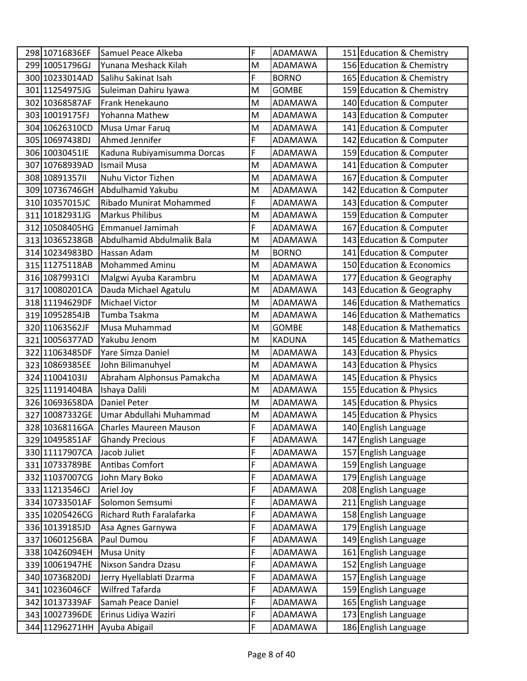| 298 10716836EF | Samuel Peace Alkeba           | F | ADAMAWA        | 151 Education & Chemistry   |
|----------------|-------------------------------|---|----------------|-----------------------------|
| 299 10051796GJ | Yunana Meshack Kilah          | M | ADAMAWA        | 156 Education & Chemistry   |
| 300 10233014AD | Salihu Sakinat Isah           | F | <b>BORNO</b>   | 165 Education & Chemistry   |
| 301 11254975JG | Suleiman Dahiru Iyawa         | M | <b>GOMBE</b>   | 159 Education & Chemistry   |
| 302 10368587AF | Frank Henekauno               | M | ADAMAWA        | 140 Education & Computer    |
| 303 10019175FJ | Yohanna Mathew                | M | ADAMAWA        | 143 Education & Computer    |
| 304 10626310CD | Musa Umar Faruq               | M | ADAMAWA        | 141 Education & Computer    |
| 305 10697438DJ | Ahmed Jennifer                | F | ADAMAWA        | 142 Education & Computer    |
| 306 10030451IE | Kaduna Rubiyamisumma Dorcas   | F | ADAMAWA        | 159 Education & Computer    |
| 307 10768939AD | <b>Ismail Musa</b>            | M | ADAMAWA        | 141 Education & Computer    |
| 308 1089135711 | Nuhu Victor Tizhen            | M | ADAMAWA        | 167 Education & Computer    |
| 309 10736746GH | Abdulhamid Yakubu             | M | ADAMAWA        | 142 Education & Computer    |
| 310 10357015JC | Ribado Munirat Mohammed       | F | ADAMAWA        | 143 Education & Computer    |
| 311 10182931JG | <b>Markus Philibus</b>        | M | ADAMAWA        | 159 Education & Computer    |
| 312 10508405HG | Emmanuel Jamimah              | F | ADAMAWA        | 167 Education & Computer    |
| 313 10365238GB | Abdulhamid Abdulmalik Bala    | M | ADAMAWA        | 143 Education & Computer    |
| 314 10234983BD | Hassan Adam                   | M | <b>BORNO</b>   | 141 Education & Computer    |
| 315 11275118AB | <b>Mohammed Aminu</b>         | M | <b>ADAMAWA</b> | 150 Education & Economics   |
| 316 10879931Cl | Malgwi Ayuba Karambru         | M | ADAMAWA        | 177 Education & Geography   |
| 317 10080201CA | Dauda Michael Agatulu         | M | ADAMAWA        | 143 Education & Geography   |
| 318 11194629DF | <b>Michael Victor</b>         | M | ADAMAWA        | 146 Education & Mathematics |
| 319 10952854JB | Tumba Tsakma                  | M | ADAMAWA        | 146 Education & Mathematics |
| 320 11063562JF | Musa Muhammad                 | M | <b>GOMBE</b>   | 148 Education & Mathematics |
| 321 10056377AD | Yakubu Jenom                  | M | <b>KADUNA</b>  | 145 Education & Mathematics |
| 322 11063485DF | Yare Simza Daniel             | M | ADAMAWA        | 143 Education & Physics     |
| 323 10869385EE | John Bilimanuhyel             | M | ADAMAWA        | 143 Education & Physics     |
| 324 11004103IJ | Abraham Alphonsus Pamakcha    | M | ADAMAWA        | 145 Education & Physics     |
| 325 11191404BA | Ishaya Dalili                 | M | ADAMAWA        | 155 Education & Physics     |
| 326 10693658DA | <b>Daniel Peter</b>           | M | ADAMAWA        | 145 Education & Physics     |
| 327 10087332GE | Umar Abdullahi Muhammad       | M | ADAMAWA        | 145 Education & Physics     |
| 328 10368116GA | <b>Charles Maureen Mauson</b> | F | ADAMAWA        | 140 English Language        |
| 329 10495851AF | <b>Ghandy Precious</b>        | F | ADAMAWA        | 147 English Language        |
| 330 11117907CA | Jacob Juliet                  | F | ADAMAWA        | 157 English Language        |
| 331 10733789BE | Antibas Comfort               | F | ADAMAWA        | 159 English Language        |
| 332 11037007CG | John Mary Boko                | F | ADAMAWA        | 179 English Language        |
| 333 11213546CJ | Ariel Joy                     | F | ADAMAWA        | 208 English Language        |
| 334 10733501AF | Solomon Semsumi               | F | ADAMAWA        | 211 English Language        |
| 335 10205426CG | Richard Ruth Faralafarka      | F | ADAMAWA        | 158 English Language        |
| 336 10139185JD | Asa Agnes Garnywa             | F | ADAMAWA        | 179 English Language        |
| 337 10601256BA | Paul Dumou                    | F | ADAMAWA        | 149 English Language        |
| 338 10426094EH | <b>Musa Unity</b>             | F | ADAMAWA        | 161 English Language        |
| 339 10061947HE | Nixson Sandra Dzasu           | F | ADAMAWA        | 152 English Language        |
| 340 10736820DJ | Jerry Hyellablati Dzarma      | F | ADAMAWA        | 157 English Language        |
| 341 10236046CF | Wilfred Tafarda               | F | ADAMAWA        | 159 English Language        |
| 342 10137339AF | Samah Peace Daniel            | F | ADAMAWA        | 165 English Language        |
| 343 10027396DE | Erinus Lidiya Waziri          | F | ADAMAWA        | 173 English Language        |
| 344 11296271HH | Ayuba Abigail                 | F | ADAMAWA        | 186 English Language        |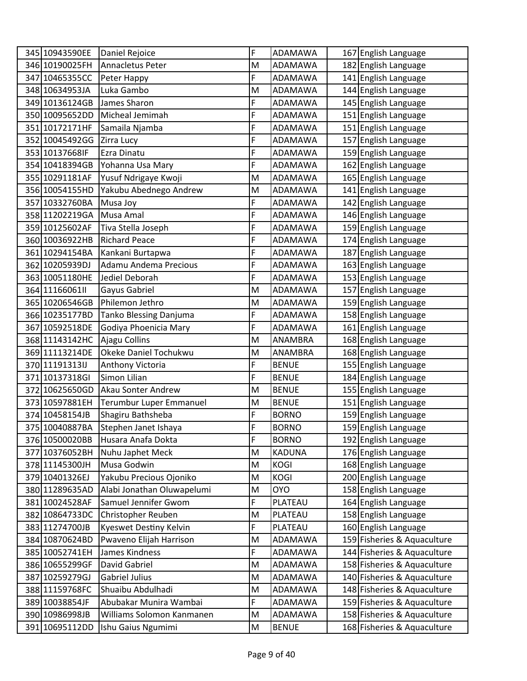| 345 10943590EE  | Daniel Rejoice             | F | ADAMAWA        | 167 English Language        |
|-----------------|----------------------------|---|----------------|-----------------------------|
| 346 10190025FH  | Annacletus Peter           | M | ADAMAWA        | 182 English Language        |
| 347 10465355CC  | Peter Happy                | F | <b>ADAMAWA</b> | 141 English Language        |
| 348 10634953JA  | Luka Gambo                 | Μ | ADAMAWA        | 144 English Language        |
| 349 10136124GB  | James Sharon               | F | ADAMAWA        | 145 English Language        |
| 350 10095652DD  | Micheal Jemimah            | F | ADAMAWA        | 151 English Language        |
| 351 10172171HF  | Samaila Njamba             | F | ADAMAWA        | 151 English Language        |
| 352 10045492GG  | Zirra Lucy                 | F | ADAMAWA        | 157 English Language        |
| 353 10137668IF  | Ezra Dinatu                | F | ADAMAWA        | 159 English Language        |
| 354 10418394GB  | Yohanna Usa Mary           | F | ADAMAWA        | 162 English Language        |
| 355 10291181AF  | Yusuf Ndrigaye Kwoji       | M | ADAMAWA        | 165 English Language        |
| 356 10054155HD  | Yakubu Abednego Andrew     | M | ADAMAWA        | 141 English Language        |
| 357 10332760BA  | Musa Joy                   | F | ADAMAWA        | 142 English Language        |
| 358 11202219GA  | Musa Amal                  | F | ADAMAWA        | 146 English Language        |
| 359 10125602AF  | Tiva Stella Joseph         | F | ADAMAWA        | 159 English Language        |
| 360 10036922HB  | <b>Richard Peace</b>       | F | ADAMAWA        | 174 English Language        |
| 361 10294154BA  | Kankani Burtapwa           | F | ADAMAWA        | 187 English Language        |
| 362 10205939DJ  | Adamu Andema Precious      | F | ADAMAWA        | 163 English Language        |
| 363 10051180HE  | Jediel Deborah             | F | ADAMAWA        | 153 English Language        |
| 364 11166061 II | Gayus Gabriel              | M | ADAMAWA        | 157 English Language        |
| 365 10206546GB  | Philemon Jethro            | M | ADAMAWA        | 159 English Language        |
| 366 10235177BD  | Tanko Blessing Danjuma     | F | ADAMAWA        | 158 English Language        |
| 367 10592518DE  | Godiya Phoenicia Mary      | F | ADAMAWA        | 161 English Language        |
| 368 11143142HC  | Ajagu Collins              | M | ANAMBRA        | 168 English Language        |
| 369 11113214DE  | Okeke Daniel Tochukwu      | M | ANAMBRA        | 168 English Language        |
| 370 11191313IJ  | Anthony Victoria           | F | <b>BENUE</b>   | 155 English Language        |
| 371 10137318GI  | Simon Lilian               | F | <b>BENUE</b>   | 184 English Language        |
| 372 10625650GD  | <b>Akau Sonter Andrew</b>  | Μ | <b>BENUE</b>   | 155 English Language        |
| 373 10597881EH  | Terumbur Luper Emmanuel    | M | <b>BENUE</b>   | 151 English Language        |
| 374 10458154JB  | Shagiru Bathsheba          | F | <b>BORNO</b>   | 159 English Language        |
| 375 10040887BA  | Stephen Janet Ishaya       | F | <b>BORNO</b>   | 159 English Language        |
| 376 10500020BB  | Husara Anafa Dokta         | F | <b>BORNO</b>   | 192 English Language        |
| 377 10376052BH  | Nuhu Japhet Meck           | M | <b>KADUNA</b>  | 176 English Language        |
| 378 11145300JH  | Musa Godwin                | M | <b>KOGI</b>    | 168 English Language        |
| 379 10401326EJ  | Yakubu Precious Ojoniko    | M | <b>KOGI</b>    | 200 English Language        |
| 380 11289635AD  | Alabi Jonathan Oluwapelumi | M | <b>OYO</b>     | 158 English Language        |
| 381 10024528AF  | Samuel Jennifer Gwom       | F | PLATEAU        | 164 English Language        |
| 382 10864733DC  | Christopher Reuben         | M | PLATEAU        | 158 English Language        |
| 383 11274700JB  | Kyeswet Destiny Kelvin     | F | PLATEAU        | 160 English Language        |
| 384 10870624BD  | Pwaveno Elijah Harrison    | M | ADAMAWA        | 159 Fisheries & Aquaculture |
| 385 10052741EH  | James Kindness             | F | ADAMAWA        | 144 Fisheries & Aquaculture |
| 386 10655299GF  | David Gabriel              | M | ADAMAWA        | 158 Fisheries & Aquaculture |
| 387 10259279GJ  | <b>Gabriel Julius</b>      | M | ADAMAWA        | 140 Fisheries & Aquaculture |
| 388 11159768FC  | Shuaibu Abdulhadi          | M | ADAMAWA        | 148 Fisheries & Aquaculture |
| 389 10038854JF  | Abubakar Munira Wambai     | F | ADAMAWA        | 159 Fisheries & Aquaculture |
| 390 10986998JB  | Williams Solomon Kanmanen  | M | ADAMAWA        | 158 Fisheries & Aquaculture |
| 391 10695112DD  | Ishu Gaius Ngumimi         | M | <b>BENUE</b>   | 168 Fisheries & Aquaculture |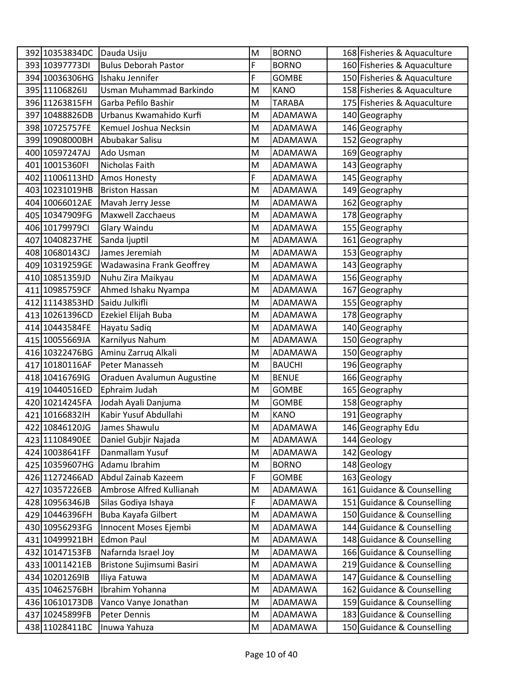| 392 10353834DC | Dauda Usiju                      | M | <b>BORNO</b>   | 168 Fisheries & Aquaculture |
|----------------|----------------------------------|---|----------------|-----------------------------|
| 393 10397773DI | <b>Bulus Deborah Pastor</b>      | F | <b>BORNO</b>   | 160 Fisheries & Aquaculture |
| 394 10036306HG | Ishaku Jennifer                  | F | <b>GOMBE</b>   | 150 Fisheries & Aquaculture |
| 395 11106826IJ | Usman Muhammad Barkindo          | M | <b>KANO</b>    | 158 Fisheries & Aquaculture |
| 396 11263815FH | Garba Pefilo Bashir              | M | <b>TARABA</b>  | 175 Fisheries & Aquaculture |
| 397 10488826DB | Urbanus Kwamahido Kurfi          | M | ADAMAWA        | 140 Geography               |
| 398 10725757FE | Kemuel Joshua Necksin            | M | ADAMAWA        | 146 Geography               |
| 399 10908000BH | Abubakar Salisu                  | M | ADAMAWA        | 152 Geography               |
| 400 10597247AJ | Ado Usman                        | M | ADAMAWA        | 169 Geography               |
| 401 10015360FI | Nicholas Faith                   | M | ADAMAWA        | 143 Geography               |
| 402 11006113HD | Amos Honesty                     | F | ADAMAWA        | 145 Geography               |
| 403 10231019HB | <b>Briston Hassan</b>            | M | ADAMAWA        | 149 Geography               |
| 404 10066012AE | Mavah Jerry Jesse                | M | ADAMAWA        | 162 Geography               |
| 405 10347909FG | <b>Maxwell Zacchaeus</b>         | M | <b>ADAMAWA</b> | 178 Geography               |
| 406 10179979CI | Glary Waindu                     | M | ADAMAWA        | 155 Geography               |
| 407 10408237HE | Sanda Ijuptil                    | M | ADAMAWA        | 161 Geography               |
| 408 10680143CJ | James Jeremiah                   | M | ADAMAWA        | 153 Geography               |
| 409 10319259GE | <b>Wadawasina Frank Geoffrey</b> | M | ADAMAWA        | 143 Geography               |
| 410 10851359JD | Nuhu Zira Maikyau                | M | ADAMAWA        | 156 Geography               |
| 411 10985759CF | Ahmed Ishaku Nyampa              | M | ADAMAWA        | 167 Geography               |
| 412 11143853HD | Saidu Julkifli                   | M | ADAMAWA        | 155 Geography               |
| 413 10261396CD | Ezekiel Elijah Buba              | M | ADAMAWA        | 178 Geography               |
| 414 10443584FE | Hayatu Sadiq                     | M | ADAMAWA        | 140 Geography               |
| 415 10055669JA | Karnilyus Nahum                  | M | ADAMAWA        | 150 Geography               |
| 416 10322476BG | Aminu Zarruq Alkali              | M | ADAMAWA        | 150 Geography               |
| 417 10180116AF | Peter Manasseh                   | M | <b>BAUCHI</b>  | 196 Geography               |
| 418 10416769IG | Oraduen Avalumun Augustine       | M | <b>BENUE</b>   | 166 Geography               |
| 419 10440516ED | Ephraim Judah                    | M | <b>GOMBE</b>   | 165 Geography               |
| 420 10214245FA | Jodah Ayali Danjuma              | M | <b>GOMBE</b>   | 158 Geography               |
| 421 10166832IH | Kabir Yusuf Abdullahi            | M | <b>KANO</b>    | 191 Geography               |
| 422 10846120JG | James Shawulu                    | M | ADAMAWA        | 146 Geography Edu           |
| 423 11108490EE | Daniel Gubjir Najada             | M | <b>ADAMAWA</b> | 144 Geology                 |
| 424 10038641FF | Danmallam Yusuf                  | M | ADAMAWA        | 142 Geology                 |
| 425 10359607HG | Adamu Ibrahim                    | M | <b>BORNO</b>   | 148 Geology                 |
| 426 11272466AD | Abdul Zainab Kazeem              | F | <b>GOMBE</b>   | 163 Geology                 |
| 427 10357226EB | Ambrose Alfred Kullianah         | M | ADAMAWA        | 161 Guidance & Counselling  |
| 428 10956346JB | Silas Godiya Ishaya              | F | ADAMAWA        | 151 Guidance & Counselling  |
| 429 10446396FH | Buba Kayafa Gilbert              | M | ADAMAWA        | 150 Guidance & Counselling  |
| 430 10956293FG | Innocent Moses Ejembi            | M | ADAMAWA        | 144 Guidance & Counselling  |
| 431 10499921BH | <b>Edmon Paul</b>                | M | ADAMAWA        | 148 Guidance & Counselling  |
| 432 10147153FB | Nafarnda Israel Joy              | M | ADAMAWA        | 166 Guidance & Counselling  |
| 433 10011421EB | Bristone Sujimsumi Basiri        | M | ADAMAWA        | 219 Guidance & Counselling  |
| 434 10201269IB | Iliya Fatuwa                     | M | ADAMAWA        | 147 Guidance & Counselling  |
| 435 10462576BH | Ibrahim Yohanna                  | M | ADAMAWA        | 162 Guidance & Counselling  |
| 436 10610173DB | Vanco Vanye Jonathan             | M | ADAMAWA        | 159 Guidance & Counselling  |
| 437 10245899FB | Peter Dennis                     | M | ADAMAWA        | 183 Guidance & Counselling  |
| 438 11028411BC | Inuwa Yahuza                     | M | ADAMAWA        | 150 Guidance & Counselling  |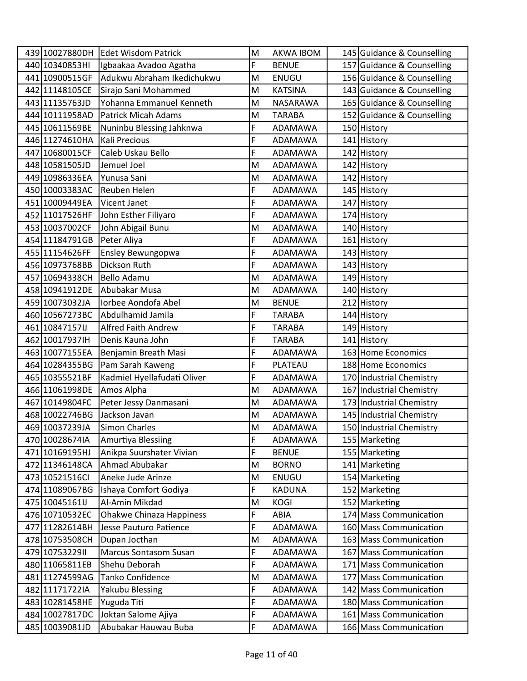|                                  | 439 10027880DH Edet Wisdom Patrick     | M      | <b>AKWA IBOM</b>    | 145 Guidance & Counselling                       |
|----------------------------------|----------------------------------------|--------|---------------------|--------------------------------------------------|
| 440 10340853HI                   | Igbaakaa Avadoo Agatha                 | F      | <b>BENUE</b>        | 157 Guidance & Counselling                       |
| 441 10900515GF                   | Adukwu Abraham Ikedichukwu             | M      | <b>ENUGU</b>        | 156 Guidance & Counselling                       |
| 442 11148105CE                   | Sirajo Sani Mohammed                   | M      | <b>KATSINA</b>      | 143 Guidance & Counselling                       |
| 443 11135763JD                   | Yohanna Emmanuel Kenneth               | M      | NASARAWA            | 165 Guidance & Counselling                       |
| 444 10111958AD                   | <b>Patrick Micah Adams</b>             | M      | <b>TARABA</b>       | 152 Guidance & Counselling                       |
| 445 10611569BE                   | Nuninbu Blessing Jahknwa               | F      | ADAMAWA             | 150 History                                      |
| 446 11274610HA                   | Kali Precious                          | F      | ADAMAWA             | 141 History                                      |
| 447 10680015CF                   | Caleb Uskau Bello                      | F      | ADAMAWA             | 142 History                                      |
| 448 10581505JD                   | Jemuel Joel                            | M      | ADAMAWA             | 142 History                                      |
| 449 10986336EA                   | Yunusa Sani                            | M      | ADAMAWA             | 142 History                                      |
| 450 10003383AC                   | Reuben Helen                           | F      | ADAMAWA             | 145 History                                      |
| 451 10009449EA                   | Vicent Janet                           | F      | ADAMAWA             | 147 History                                      |
| 452 11017526HF                   | John Esther Filiyaro                   | F      | ADAMAWA             | 174 History                                      |
| 453 10037002CF                   | John Abigail Bunu                      | M      | ADAMAWA             | 140 History                                      |
| 454 11184791GB                   | Peter Aliya                            | F      | ADAMAWA             | 161 History                                      |
| 455 11154626FF                   | Ensley Bewungopwa                      | F      | <b>ADAMAWA</b>      | 143 History                                      |
| 456 10973768BB                   | Dickson Ruth                           | F      | ADAMAWA             | 143 History                                      |
| 457 10694338CH                   | <b>Bello Adamu</b>                     | M      | ADAMAWA             | 149 History                                      |
| 458 10941912DE                   | Abubakar Musa                          | M      | ADAMAWA             | 140 History                                      |
| 459 10073032JA                   | Iorbee Aondofa Abel                    | M      | <b>BENUE</b>        | 212 History                                      |
| 460 10567273BC                   | Abdulhamid Jamila                      | F      | <b>TARABA</b>       | 144 History                                      |
| 461 10847157IJ                   | Alfred Faith Andrew                    | F      | <b>TARABA</b>       | 149 History                                      |
| 462 10017937IH                   | Denis Kauna John                       | F      | <b>TARABA</b>       | 141 History                                      |
| 463 10077155EA                   | Benjamin Breath Masi                   | F      | ADAMAWA             | 163 Home Economics                               |
| 464 10284355BG                   | Pam Sarah Kaweng                       | F      | PLATEAU             | 188 Home Economics                               |
| 465 10355521BF                   | Kadmiel Hyellafudati Oliver            | F      | ADAMAWA             | 170 Industrial Chemistry                         |
| 466 11061998DE                   | Amos Alpha                             | M      | ADAMAWA             | 167 Industrial Chemistry                         |
| 467 10149804FC                   | Peter Jessy Danmasani                  | M      | ADAMAWA             | 173 Industrial Chemistry                         |
| 468 10022746BG                   | Jackson Javan                          | M      | ADAMAWA             | 145 Industrial Chemistry                         |
| 469 10037239JA                   | Simon Charles                          | M      | ADAMAWA             | 150 Industrial Chemistry                         |
| 470 10028674IA                   | Amurtiya Blessiing                     | F      | <b>ADAMAWA</b>      | 155 Marketing                                    |
| 471 10169195HJ                   | Anikpa Suurshater Vivian               | F      | <b>BENUE</b>        | 155 Marketing                                    |
| 472 11346148CA                   | Ahmad Abubakar                         | M      | <b>BORNO</b>        | 141 Marketing                                    |
| 473 10521516Cl                   | Aneke Jude Arinze                      | M      | ENUGU               | 154 Marketing                                    |
| 474 11089067BG                   | Ishaya Comfort Godiya                  | F      | <b>KADUNA</b>       | 152 Marketing                                    |
| 475 10045161IJ                   | Al-Amin Mikdad                         | M<br>F | <b>KOGI</b><br>ABIA | 152 Marketing                                    |
| 476 10710532EC                   | <b>Ohakwe Chinaza Happiness</b>        |        |                     | 174 Mass Communication                           |
| 477 11282614BH<br>478 10753508CH | Jesse Pauturo Patience                 | F      | ADAMAWA             | 160 Mass Communication                           |
|                                  | Dupan Jocthan                          | M      | ADAMAWA             | 163 Mass Communication                           |
| 479 1075322911<br>480 11065811EB | Marcus Sontasom Susan<br>Shehu Deborah | F<br>F | ADAMAWA<br>ADAMAWA  | 167 Mass Communication<br>171 Mass Communication |
|                                  | Tanko Confidence                       | M      | ADAMAWA             | 177 Mass Communication                           |
| 481 11274599AG<br>482 11171722IA | Yakubu Blessing                        | F      | ADAMAWA             | 142 Mass Communication                           |
| 483 10281458HE                   | Yuguda Titi                            | F      | ADAMAWA             | 180 Mass Communication                           |
| 484 10027817DC                   | Joktan Salome Ajiya                    | F      | ADAMAWA             | 161 Mass Communication                           |
| 485 10039081JD                   | Abubakar Hauwau Buba                   | F      | ADAMAWA             | 166 Mass Communication                           |
|                                  |                                        |        |                     |                                                  |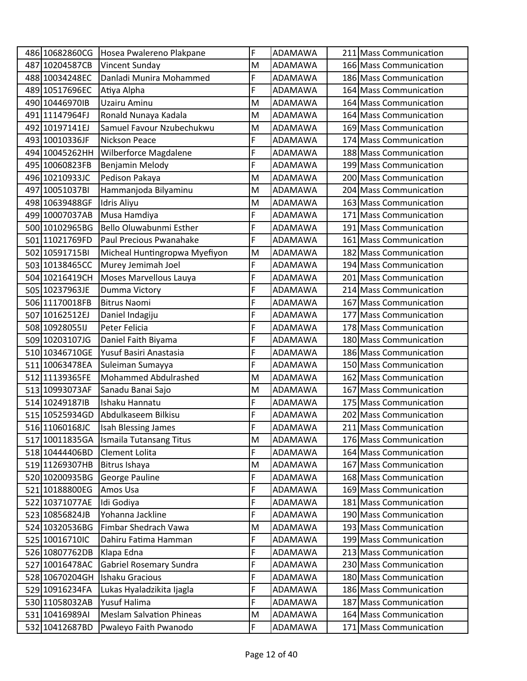| 486 10682860CG | Hosea Pwalereno Plakpane        | F | ADAMAWA        | 211 Mass Communication |
|----------------|---------------------------------|---|----------------|------------------------|
| 487 10204587CB | Vincent Sunday                  | M | ADAMAWA        | 166 Mass Communication |
| 488 10034248EC | Danladi Munira Mohammed         | F | ADAMAWA        | 186 Mass Communication |
| 489 10517696EC | Atiya Alpha                     | F | ADAMAWA        | 164 Mass Communication |
| 490 10446970IB | Uzairu Aminu                    | M | <b>ADAMAWA</b> | 164 Mass Communication |
| 491 11147964FJ | Ronald Nunaya Kadala            | M | ADAMAWA        | 164 Mass Communication |
| 492 10197141EJ | Samuel Favour Nzubechukwu       | M | ADAMAWA        | 169 Mass Communication |
| 493 10010336JF | Nickson Peace                   | F | ADAMAWA        | 174 Mass Communication |
| 494 10045262HH | Wilberforce Magdalene           | F | ADAMAWA        | 188 Mass Communication |
| 495 10060823FB | Benjamin Melody                 | F | ADAMAWA        | 199 Mass Communication |
| 496 10210933JC | Pedison Pakaya                  | M | ADAMAWA        | 200 Mass Communication |
| 497 10051037BI | Hammanjoda Bilyaminu            | M | ADAMAWA        | 204 Mass Communication |
| 498 10639488GF | Idris Aliyu                     | M | ADAMAWA        | 163 Mass Communication |
| 499 10007037AB | Musa Hamdiya                    | F | <b>ADAMAWA</b> | 171 Mass Communication |
| 500 10102965BG | Bello Oluwabunmi Esther         | F | ADAMAWA        | 191 Mass Communication |
| 501 11021769FD | Paul Precious Pwanahake         | F | ADAMAWA        | 161 Mass Communication |
| 502 10591715BI | Micheal Huntingropwa Myefiyon   | M | ADAMAWA        | 182 Mass Communication |
| 503 10138465CC | Murey Jemimah Joel              | F | ADAMAWA        | 194 Mass Communication |
| 504 10216419CH | Moses Marvellous Lauya          | F | <b>ADAMAWA</b> | 201 Mass Communication |
| 505 10237963JE | Dumma Victory                   | F | <b>ADAMAWA</b> | 214 Mass Communication |
| 506 11170018FB | <b>Bitrus Naomi</b>             | F | ADAMAWA        | 167 Mass Communication |
| 507 10162512EJ | Daniel Indagiju                 | F | ADAMAWA        | 177 Mass Communication |
| 508 10928055IJ | Peter Felicia                   | F | ADAMAWA        | 178 Mass Communication |
| 509 10203107JG | Daniel Faith Biyama             | F | ADAMAWA        | 180 Mass Communication |
| 510 10346710GE | Yusuf Basiri Anastasia          | F | ADAMAWA        | 186 Mass Communication |
| 511 10063478EA | Suleiman Sumayya                | F | ADAMAWA        | 150 Mass Communication |
| 512 11139365FE | Mohammed Abdulrashed            | M | ADAMAWA        | 162 Mass Communication |
| 513 10993073AF | Sanadu Banai Sajo               | M | ADAMAWA        | 167 Mass Communication |
| 514 10249187IB | Ishaku Hannatu                  | F | ADAMAWA        | 175 Mass Communication |
| 515 10525934GD | Abdulkaseem Bilkisu             | F | ADAMAWA        | 202 Mass Communication |
| 516 11060168JC | Isah Blessing James             | F | ADAMAWA        | 211 Mass Communication |
| 517 10011835GA | Ismaila Tutansang Titus         | M | ADAMAWA        | 176 Mass Communication |
| 518 10444406BD | Clement Lolita                  | F | ADAMAWA        | 164 Mass Communication |
| 519 11269307HB | Bitrus Ishaya                   | M | <b>ADAMAWA</b> | 167 Mass Communication |
| 520 10200935BG | George Pauline                  | F | ADAMAWA        | 168 Mass Communication |
| 521 10188800EG | Amos Usa                        | F | ADAMAWA        | 169 Mass Communication |
| 522 10371077AE | Idi Godiya                      | F | ADAMAWA        | 181 Mass Communication |
| 523 10856824JB | Yohanna Jackline                | F | ADAMAWA        | 190 Mass Communication |
| 524 10320536BG | Fimbar Shedrach Vawa            | M | ADAMAWA        | 193 Mass Communication |
| 525 10016710IC | Dahiru Fatima Hamman            | F | ADAMAWA        | 199 Mass Communication |
| 526 10807762DB | Klapa Edna                      | F | ADAMAWA        | 213 Mass Communication |
| 527 10016478AC | <b>Gabriel Rosemary Sundra</b>  | F | ADAMAWA        | 230 Mass Communication |
| 528 10670204GH | Ishaku Gracious                 | F | ADAMAWA        | 180 Mass Communication |
| 529 10916234FA | Lukas Hyaladzikita Ijagla       | F | ADAMAWA        | 186 Mass Communication |
| 530 11058032AB | Yusuf Halima                    | F | ADAMAWA        | 187 Mass Communication |
| 531 10416989AI | <b>Meslam Salvation Phineas</b> | M | ADAMAWA        | 164 Mass Communication |
| 532 10412687BD | Pwaleyo Faith Pwanodo           | F | ADAMAWA        | 171 Mass Communication |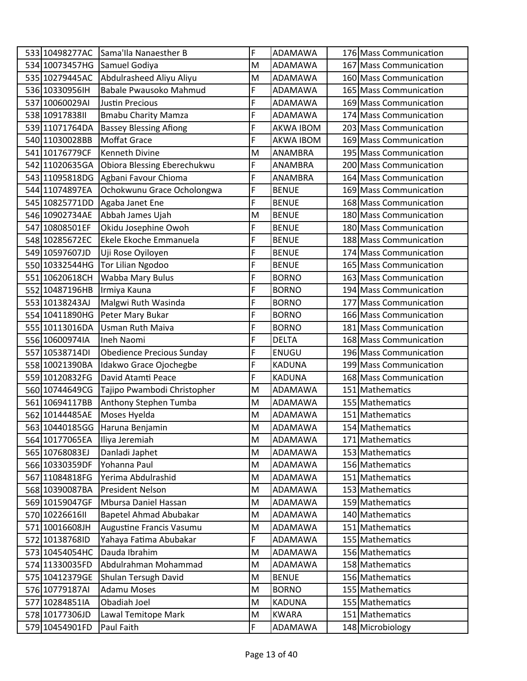| 533 10498277AC<br>176 Mass Communication<br>534 10073457HG<br>Samuel Godiya<br>167 Mass Communication<br>M<br>ADAMAWA<br>Abdulrasheed Aliyu Aliyu<br>535 10279445AC<br>160 Mass Communication<br>M<br>ADAMAWA<br>F<br>536 10330956IH<br>Babale Pwausoko Mahmud<br>165 Mass Communication<br>ADAMAWA<br>F<br>537 10060029AI<br>169 Mass Communication<br><b>Justin Precious</b><br>ADAMAWA<br>F<br>538 10917838 II<br>174 Mass Communication<br><b>Bmabu Charity Mamza</b><br>ADAMAWA<br>F<br><b>Bassey Blessing Afiong</b><br>203 Mass Communication<br>539 11071764DA<br><b>AKWA IBOM</b><br>F<br>540 11030028BB<br><b>Moffat Grace</b><br>169 Mass Communication<br>AKWA IBOM<br>541 10176779CF<br><b>Kenneth Divine</b><br>M<br><b>ANAMBRA</b><br>195 Mass Communication<br>F<br>542 11020635GA<br>Obiora Blessing Eberechukwu<br>ANAMBRA<br>200 Mass Communication<br>F<br>543 11095818DG<br>Agbani Favour Chioma<br>164 Mass Communication<br>ANAMBRA<br>F<br>Ochokwunu Grace Ocholongwa<br>544 11074897EA<br><b>BENUE</b><br>169 Mass Communication<br>F<br>545 10825771DD<br>Agaba Janet Ene<br>168 Mass Communication<br><b>BENUE</b><br>Abbah James Ujah<br>546 10902734AE<br>M<br><b>BENUE</b><br>180 Mass Communication<br>F<br>Okidu Josephine Owoh<br>547 10808501EF<br><b>BENUE</b><br>180 Mass Communication<br>F<br>548 10285672EC<br>Ekele Ekoche Emmanuela<br><b>BENUE</b><br>188 Mass Communication<br>F<br>549 10597607JD<br>Uji Rose Oyiloyen<br><b>BENUE</b><br>174 Mass Communication<br>F<br><b>Tor Lilian Ngodoo</b><br>550 10332544HG<br><b>BENUE</b><br>165 Mass Communication<br>F<br>Wabba Mary Bulus<br>551 10620618CH<br>163 Mass Communication<br><b>BORNO</b><br>F<br>552 10487196HB<br>Irmiya Kauna<br><b>BORNO</b><br>194 Mass Communication<br>F<br>Malgwi Ruth Wasinda<br>553 10138243AJ<br><b>BORNO</b><br>177 Mass Communication<br>F<br>Peter Mary Bukar<br>554 10411890HG<br><b>BORNO</b><br>166 Mass Communication<br>F<br><b>Usman Ruth Maiva</b><br>555 10113016DA<br><b>BORNO</b><br>181 Mass Communication<br>F<br>556 10600974IA<br>168 Mass Communication<br>Ineh Naomi<br><b>DELTA</b><br>F<br>557 10538714DI<br><b>Obedience Precious Sunday</b><br><b>ENUGU</b><br>196 Mass Communication<br>F<br>Idakwo Grace Ojochegbe<br>199 Mass Communication<br>558 10021390BA<br><b>KADUNA</b><br>F<br>559 10120832FG<br>David Atamti Peace<br><b>KADUNA</b><br>168 Mass Communication<br>560 10744649CG<br>Tajipo Pwambodi Christopher<br>M<br>151 Mathematics<br>ADAMAWA<br>155 Mathematics<br>561 10694117BB<br>Anthony Stephen Tumba<br>M<br>ADAMAWA<br>562 10144485AE<br>Moses Hyelda<br>151 Mathematics<br>M<br>ADAMAWA<br>$\mathsf{M}% _{T}=\mathsf{M}_{T}\!\left( a,b\right) ,\ \mathsf{M}_{T}=\mathsf{M}_{T}\!\left( a,b\right) ,$<br>563 10440185GG Haruna Benjamin<br>ADAMAWA<br>154 Mathematics<br>564 10177065EA<br>Iliya Jeremiah<br>M<br>171 Mathematics<br><b>ADAMAWA</b><br>565 10768083EJ<br>153 Mathematics<br>Danladi Japhet<br>M<br><b>ADAMAWA</b><br>566 10330359DF<br>Yohanna Paul<br>156 Mathematics<br>M<br>ADAMAWA<br>567 11084818FG<br>Yerima Abdulrashid<br>M<br>151 Mathematics<br>ADAMAWA<br>568 10390087BA<br><b>President Nelson</b><br>153 Mathematics<br>ADAMAWA<br>M<br>569 10159047GF<br>Mbursa Daniel Hassan<br>159 Mathematics<br>M<br>ADAMAWA<br>Bapetel Ahmad Abubakar<br>140 Mathematics<br>570 10226616 II<br>M<br>ADAMAWA<br>Augustine Francis Vasumu<br>571 10016608JH<br>ADAMAWA<br>151 Mathematics<br>M<br>F<br>Yahaya Fatima Abubakar<br>155 Mathematics<br>572 10138768ID<br>ADAMAWA<br>573 10454054HC<br>Dauda Ibrahim<br>156 Mathematics<br>ADAMAWA<br>M<br>158 Mathematics<br>574 11330035FD<br>Abdulrahman Mohammad<br>M<br>ADAMAWA<br>575 10412379GE<br>Shulan Tersugh David<br>156 Mathematics<br><b>BENUE</b><br>M<br><b>Adamu Moses</b><br>576 10779187AI<br>M<br><b>BORNO</b><br>155 Mathematics<br>Obadiah Joel<br>155 Mathematics<br>577 102848511A<br>M<br><b>KADUNA</b><br>Lawal Temitope Mark<br><b>KWARA</b><br>151 Mathematics<br>578 10177306JD<br>M<br>F<br>579 10454901FD<br>Paul Faith<br>148 Microbiology<br>ADAMAWA |  |                       | F |                |  |
|-------------------------------------------------------------------------------------------------------------------------------------------------------------------------------------------------------------------------------------------------------------------------------------------------------------------------------------------------------------------------------------------------------------------------------------------------------------------------------------------------------------------------------------------------------------------------------------------------------------------------------------------------------------------------------------------------------------------------------------------------------------------------------------------------------------------------------------------------------------------------------------------------------------------------------------------------------------------------------------------------------------------------------------------------------------------------------------------------------------------------------------------------------------------------------------------------------------------------------------------------------------------------------------------------------------------------------------------------------------------------------------------------------------------------------------------------------------------------------------------------------------------------------------------------------------------------------------------------------------------------------------------------------------------------------------------------------------------------------------------------------------------------------------------------------------------------------------------------------------------------------------------------------------------------------------------------------------------------------------------------------------------------------------------------------------------------------------------------------------------------------------------------------------------------------------------------------------------------------------------------------------------------------------------------------------------------------------------------------------------------------------------------------------------------------------------------------------------------------------------------------------------------------------------------------------------------------------------------------------------------------------------------------------------------------------------------------------------------------------------------------------------------------------------------------------------------------------------------------------------------------------------------------------------------------------------------------------------------------------------------------------------------------------------------------------------------------------------------------------------------------------------------------------------------------------------------------------------------------------------------------------------------------------------------------------------------------------------------------------------------------------------------------------------------------------------------------------------------------------------------------------------------------------------------------------------------------------------------------------------------------------------------------------------------------------------------------------------------------------------------------------------------------------------------------------------------------------------------------------------------------------------------------------------------------------------------------------------------------------------------------------------------------------------------------------------------------------------------------------------------------------|--|-----------------------|---|----------------|--|
|                                                                                                                                                                                                                                                                                                                                                                                                                                                                                                                                                                                                                                                                                                                                                                                                                                                                                                                                                                                                                                                                                                                                                                                                                                                                                                                                                                                                                                                                                                                                                                                                                                                                                                                                                                                                                                                                                                                                                                                                                                                                                                                                                                                                                                                                                                                                                                                                                                                                                                                                                                                                                                                                                                                                                                                                                                                                                                                                                                                                                                                                                                                                                                                                                                                                                                                                                                                                                                                                                                                                                                                                                                                                                                                                                                                                                                                                                                                                                                                                                                                                                                                                     |  | Sama'lla Nanaesther B |   | <b>ADAMAWA</b> |  |
|                                                                                                                                                                                                                                                                                                                                                                                                                                                                                                                                                                                                                                                                                                                                                                                                                                                                                                                                                                                                                                                                                                                                                                                                                                                                                                                                                                                                                                                                                                                                                                                                                                                                                                                                                                                                                                                                                                                                                                                                                                                                                                                                                                                                                                                                                                                                                                                                                                                                                                                                                                                                                                                                                                                                                                                                                                                                                                                                                                                                                                                                                                                                                                                                                                                                                                                                                                                                                                                                                                                                                                                                                                                                                                                                                                                                                                                                                                                                                                                                                                                                                                                                     |  |                       |   |                |  |
|                                                                                                                                                                                                                                                                                                                                                                                                                                                                                                                                                                                                                                                                                                                                                                                                                                                                                                                                                                                                                                                                                                                                                                                                                                                                                                                                                                                                                                                                                                                                                                                                                                                                                                                                                                                                                                                                                                                                                                                                                                                                                                                                                                                                                                                                                                                                                                                                                                                                                                                                                                                                                                                                                                                                                                                                                                                                                                                                                                                                                                                                                                                                                                                                                                                                                                                                                                                                                                                                                                                                                                                                                                                                                                                                                                                                                                                                                                                                                                                                                                                                                                                                     |  |                       |   |                |  |
|                                                                                                                                                                                                                                                                                                                                                                                                                                                                                                                                                                                                                                                                                                                                                                                                                                                                                                                                                                                                                                                                                                                                                                                                                                                                                                                                                                                                                                                                                                                                                                                                                                                                                                                                                                                                                                                                                                                                                                                                                                                                                                                                                                                                                                                                                                                                                                                                                                                                                                                                                                                                                                                                                                                                                                                                                                                                                                                                                                                                                                                                                                                                                                                                                                                                                                                                                                                                                                                                                                                                                                                                                                                                                                                                                                                                                                                                                                                                                                                                                                                                                                                                     |  |                       |   |                |  |
|                                                                                                                                                                                                                                                                                                                                                                                                                                                                                                                                                                                                                                                                                                                                                                                                                                                                                                                                                                                                                                                                                                                                                                                                                                                                                                                                                                                                                                                                                                                                                                                                                                                                                                                                                                                                                                                                                                                                                                                                                                                                                                                                                                                                                                                                                                                                                                                                                                                                                                                                                                                                                                                                                                                                                                                                                                                                                                                                                                                                                                                                                                                                                                                                                                                                                                                                                                                                                                                                                                                                                                                                                                                                                                                                                                                                                                                                                                                                                                                                                                                                                                                                     |  |                       |   |                |  |
|                                                                                                                                                                                                                                                                                                                                                                                                                                                                                                                                                                                                                                                                                                                                                                                                                                                                                                                                                                                                                                                                                                                                                                                                                                                                                                                                                                                                                                                                                                                                                                                                                                                                                                                                                                                                                                                                                                                                                                                                                                                                                                                                                                                                                                                                                                                                                                                                                                                                                                                                                                                                                                                                                                                                                                                                                                                                                                                                                                                                                                                                                                                                                                                                                                                                                                                                                                                                                                                                                                                                                                                                                                                                                                                                                                                                                                                                                                                                                                                                                                                                                                                                     |  |                       |   |                |  |
|                                                                                                                                                                                                                                                                                                                                                                                                                                                                                                                                                                                                                                                                                                                                                                                                                                                                                                                                                                                                                                                                                                                                                                                                                                                                                                                                                                                                                                                                                                                                                                                                                                                                                                                                                                                                                                                                                                                                                                                                                                                                                                                                                                                                                                                                                                                                                                                                                                                                                                                                                                                                                                                                                                                                                                                                                                                                                                                                                                                                                                                                                                                                                                                                                                                                                                                                                                                                                                                                                                                                                                                                                                                                                                                                                                                                                                                                                                                                                                                                                                                                                                                                     |  |                       |   |                |  |
|                                                                                                                                                                                                                                                                                                                                                                                                                                                                                                                                                                                                                                                                                                                                                                                                                                                                                                                                                                                                                                                                                                                                                                                                                                                                                                                                                                                                                                                                                                                                                                                                                                                                                                                                                                                                                                                                                                                                                                                                                                                                                                                                                                                                                                                                                                                                                                                                                                                                                                                                                                                                                                                                                                                                                                                                                                                                                                                                                                                                                                                                                                                                                                                                                                                                                                                                                                                                                                                                                                                                                                                                                                                                                                                                                                                                                                                                                                                                                                                                                                                                                                                                     |  |                       |   |                |  |
|                                                                                                                                                                                                                                                                                                                                                                                                                                                                                                                                                                                                                                                                                                                                                                                                                                                                                                                                                                                                                                                                                                                                                                                                                                                                                                                                                                                                                                                                                                                                                                                                                                                                                                                                                                                                                                                                                                                                                                                                                                                                                                                                                                                                                                                                                                                                                                                                                                                                                                                                                                                                                                                                                                                                                                                                                                                                                                                                                                                                                                                                                                                                                                                                                                                                                                                                                                                                                                                                                                                                                                                                                                                                                                                                                                                                                                                                                                                                                                                                                                                                                                                                     |  |                       |   |                |  |
|                                                                                                                                                                                                                                                                                                                                                                                                                                                                                                                                                                                                                                                                                                                                                                                                                                                                                                                                                                                                                                                                                                                                                                                                                                                                                                                                                                                                                                                                                                                                                                                                                                                                                                                                                                                                                                                                                                                                                                                                                                                                                                                                                                                                                                                                                                                                                                                                                                                                                                                                                                                                                                                                                                                                                                                                                                                                                                                                                                                                                                                                                                                                                                                                                                                                                                                                                                                                                                                                                                                                                                                                                                                                                                                                                                                                                                                                                                                                                                                                                                                                                                                                     |  |                       |   |                |  |
|                                                                                                                                                                                                                                                                                                                                                                                                                                                                                                                                                                                                                                                                                                                                                                                                                                                                                                                                                                                                                                                                                                                                                                                                                                                                                                                                                                                                                                                                                                                                                                                                                                                                                                                                                                                                                                                                                                                                                                                                                                                                                                                                                                                                                                                                                                                                                                                                                                                                                                                                                                                                                                                                                                                                                                                                                                                                                                                                                                                                                                                                                                                                                                                                                                                                                                                                                                                                                                                                                                                                                                                                                                                                                                                                                                                                                                                                                                                                                                                                                                                                                                                                     |  |                       |   |                |  |
|                                                                                                                                                                                                                                                                                                                                                                                                                                                                                                                                                                                                                                                                                                                                                                                                                                                                                                                                                                                                                                                                                                                                                                                                                                                                                                                                                                                                                                                                                                                                                                                                                                                                                                                                                                                                                                                                                                                                                                                                                                                                                                                                                                                                                                                                                                                                                                                                                                                                                                                                                                                                                                                                                                                                                                                                                                                                                                                                                                                                                                                                                                                                                                                                                                                                                                                                                                                                                                                                                                                                                                                                                                                                                                                                                                                                                                                                                                                                                                                                                                                                                                                                     |  |                       |   |                |  |
|                                                                                                                                                                                                                                                                                                                                                                                                                                                                                                                                                                                                                                                                                                                                                                                                                                                                                                                                                                                                                                                                                                                                                                                                                                                                                                                                                                                                                                                                                                                                                                                                                                                                                                                                                                                                                                                                                                                                                                                                                                                                                                                                                                                                                                                                                                                                                                                                                                                                                                                                                                                                                                                                                                                                                                                                                                                                                                                                                                                                                                                                                                                                                                                                                                                                                                                                                                                                                                                                                                                                                                                                                                                                                                                                                                                                                                                                                                                                                                                                                                                                                                                                     |  |                       |   |                |  |
|                                                                                                                                                                                                                                                                                                                                                                                                                                                                                                                                                                                                                                                                                                                                                                                                                                                                                                                                                                                                                                                                                                                                                                                                                                                                                                                                                                                                                                                                                                                                                                                                                                                                                                                                                                                                                                                                                                                                                                                                                                                                                                                                                                                                                                                                                                                                                                                                                                                                                                                                                                                                                                                                                                                                                                                                                                                                                                                                                                                                                                                                                                                                                                                                                                                                                                                                                                                                                                                                                                                                                                                                                                                                                                                                                                                                                                                                                                                                                                                                                                                                                                                                     |  |                       |   |                |  |
|                                                                                                                                                                                                                                                                                                                                                                                                                                                                                                                                                                                                                                                                                                                                                                                                                                                                                                                                                                                                                                                                                                                                                                                                                                                                                                                                                                                                                                                                                                                                                                                                                                                                                                                                                                                                                                                                                                                                                                                                                                                                                                                                                                                                                                                                                                                                                                                                                                                                                                                                                                                                                                                                                                                                                                                                                                                                                                                                                                                                                                                                                                                                                                                                                                                                                                                                                                                                                                                                                                                                                                                                                                                                                                                                                                                                                                                                                                                                                                                                                                                                                                                                     |  |                       |   |                |  |
|                                                                                                                                                                                                                                                                                                                                                                                                                                                                                                                                                                                                                                                                                                                                                                                                                                                                                                                                                                                                                                                                                                                                                                                                                                                                                                                                                                                                                                                                                                                                                                                                                                                                                                                                                                                                                                                                                                                                                                                                                                                                                                                                                                                                                                                                                                                                                                                                                                                                                                                                                                                                                                                                                                                                                                                                                                                                                                                                                                                                                                                                                                                                                                                                                                                                                                                                                                                                                                                                                                                                                                                                                                                                                                                                                                                                                                                                                                                                                                                                                                                                                                                                     |  |                       |   |                |  |
|                                                                                                                                                                                                                                                                                                                                                                                                                                                                                                                                                                                                                                                                                                                                                                                                                                                                                                                                                                                                                                                                                                                                                                                                                                                                                                                                                                                                                                                                                                                                                                                                                                                                                                                                                                                                                                                                                                                                                                                                                                                                                                                                                                                                                                                                                                                                                                                                                                                                                                                                                                                                                                                                                                                                                                                                                                                                                                                                                                                                                                                                                                                                                                                                                                                                                                                                                                                                                                                                                                                                                                                                                                                                                                                                                                                                                                                                                                                                                                                                                                                                                                                                     |  |                       |   |                |  |
|                                                                                                                                                                                                                                                                                                                                                                                                                                                                                                                                                                                                                                                                                                                                                                                                                                                                                                                                                                                                                                                                                                                                                                                                                                                                                                                                                                                                                                                                                                                                                                                                                                                                                                                                                                                                                                                                                                                                                                                                                                                                                                                                                                                                                                                                                                                                                                                                                                                                                                                                                                                                                                                                                                                                                                                                                                                                                                                                                                                                                                                                                                                                                                                                                                                                                                                                                                                                                                                                                                                                                                                                                                                                                                                                                                                                                                                                                                                                                                                                                                                                                                                                     |  |                       |   |                |  |
|                                                                                                                                                                                                                                                                                                                                                                                                                                                                                                                                                                                                                                                                                                                                                                                                                                                                                                                                                                                                                                                                                                                                                                                                                                                                                                                                                                                                                                                                                                                                                                                                                                                                                                                                                                                                                                                                                                                                                                                                                                                                                                                                                                                                                                                                                                                                                                                                                                                                                                                                                                                                                                                                                                                                                                                                                                                                                                                                                                                                                                                                                                                                                                                                                                                                                                                                                                                                                                                                                                                                                                                                                                                                                                                                                                                                                                                                                                                                                                                                                                                                                                                                     |  |                       |   |                |  |
|                                                                                                                                                                                                                                                                                                                                                                                                                                                                                                                                                                                                                                                                                                                                                                                                                                                                                                                                                                                                                                                                                                                                                                                                                                                                                                                                                                                                                                                                                                                                                                                                                                                                                                                                                                                                                                                                                                                                                                                                                                                                                                                                                                                                                                                                                                                                                                                                                                                                                                                                                                                                                                                                                                                                                                                                                                                                                                                                                                                                                                                                                                                                                                                                                                                                                                                                                                                                                                                                                                                                                                                                                                                                                                                                                                                                                                                                                                                                                                                                                                                                                                                                     |  |                       |   |                |  |
|                                                                                                                                                                                                                                                                                                                                                                                                                                                                                                                                                                                                                                                                                                                                                                                                                                                                                                                                                                                                                                                                                                                                                                                                                                                                                                                                                                                                                                                                                                                                                                                                                                                                                                                                                                                                                                                                                                                                                                                                                                                                                                                                                                                                                                                                                                                                                                                                                                                                                                                                                                                                                                                                                                                                                                                                                                                                                                                                                                                                                                                                                                                                                                                                                                                                                                                                                                                                                                                                                                                                                                                                                                                                                                                                                                                                                                                                                                                                                                                                                                                                                                                                     |  |                       |   |                |  |
|                                                                                                                                                                                                                                                                                                                                                                                                                                                                                                                                                                                                                                                                                                                                                                                                                                                                                                                                                                                                                                                                                                                                                                                                                                                                                                                                                                                                                                                                                                                                                                                                                                                                                                                                                                                                                                                                                                                                                                                                                                                                                                                                                                                                                                                                                                                                                                                                                                                                                                                                                                                                                                                                                                                                                                                                                                                                                                                                                                                                                                                                                                                                                                                                                                                                                                                                                                                                                                                                                                                                                                                                                                                                                                                                                                                                                                                                                                                                                                                                                                                                                                                                     |  |                       |   |                |  |
|                                                                                                                                                                                                                                                                                                                                                                                                                                                                                                                                                                                                                                                                                                                                                                                                                                                                                                                                                                                                                                                                                                                                                                                                                                                                                                                                                                                                                                                                                                                                                                                                                                                                                                                                                                                                                                                                                                                                                                                                                                                                                                                                                                                                                                                                                                                                                                                                                                                                                                                                                                                                                                                                                                                                                                                                                                                                                                                                                                                                                                                                                                                                                                                                                                                                                                                                                                                                                                                                                                                                                                                                                                                                                                                                                                                                                                                                                                                                                                                                                                                                                                                                     |  |                       |   |                |  |
|                                                                                                                                                                                                                                                                                                                                                                                                                                                                                                                                                                                                                                                                                                                                                                                                                                                                                                                                                                                                                                                                                                                                                                                                                                                                                                                                                                                                                                                                                                                                                                                                                                                                                                                                                                                                                                                                                                                                                                                                                                                                                                                                                                                                                                                                                                                                                                                                                                                                                                                                                                                                                                                                                                                                                                                                                                                                                                                                                                                                                                                                                                                                                                                                                                                                                                                                                                                                                                                                                                                                                                                                                                                                                                                                                                                                                                                                                                                                                                                                                                                                                                                                     |  |                       |   |                |  |
|                                                                                                                                                                                                                                                                                                                                                                                                                                                                                                                                                                                                                                                                                                                                                                                                                                                                                                                                                                                                                                                                                                                                                                                                                                                                                                                                                                                                                                                                                                                                                                                                                                                                                                                                                                                                                                                                                                                                                                                                                                                                                                                                                                                                                                                                                                                                                                                                                                                                                                                                                                                                                                                                                                                                                                                                                                                                                                                                                                                                                                                                                                                                                                                                                                                                                                                                                                                                                                                                                                                                                                                                                                                                                                                                                                                                                                                                                                                                                                                                                                                                                                                                     |  |                       |   |                |  |
|                                                                                                                                                                                                                                                                                                                                                                                                                                                                                                                                                                                                                                                                                                                                                                                                                                                                                                                                                                                                                                                                                                                                                                                                                                                                                                                                                                                                                                                                                                                                                                                                                                                                                                                                                                                                                                                                                                                                                                                                                                                                                                                                                                                                                                                                                                                                                                                                                                                                                                                                                                                                                                                                                                                                                                                                                                                                                                                                                                                                                                                                                                                                                                                                                                                                                                                                                                                                                                                                                                                                                                                                                                                                                                                                                                                                                                                                                                                                                                                                                                                                                                                                     |  |                       |   |                |  |
|                                                                                                                                                                                                                                                                                                                                                                                                                                                                                                                                                                                                                                                                                                                                                                                                                                                                                                                                                                                                                                                                                                                                                                                                                                                                                                                                                                                                                                                                                                                                                                                                                                                                                                                                                                                                                                                                                                                                                                                                                                                                                                                                                                                                                                                                                                                                                                                                                                                                                                                                                                                                                                                                                                                                                                                                                                                                                                                                                                                                                                                                                                                                                                                                                                                                                                                                                                                                                                                                                                                                                                                                                                                                                                                                                                                                                                                                                                                                                                                                                                                                                                                                     |  |                       |   |                |  |
|                                                                                                                                                                                                                                                                                                                                                                                                                                                                                                                                                                                                                                                                                                                                                                                                                                                                                                                                                                                                                                                                                                                                                                                                                                                                                                                                                                                                                                                                                                                                                                                                                                                                                                                                                                                                                                                                                                                                                                                                                                                                                                                                                                                                                                                                                                                                                                                                                                                                                                                                                                                                                                                                                                                                                                                                                                                                                                                                                                                                                                                                                                                                                                                                                                                                                                                                                                                                                                                                                                                                                                                                                                                                                                                                                                                                                                                                                                                                                                                                                                                                                                                                     |  |                       |   |                |  |
|                                                                                                                                                                                                                                                                                                                                                                                                                                                                                                                                                                                                                                                                                                                                                                                                                                                                                                                                                                                                                                                                                                                                                                                                                                                                                                                                                                                                                                                                                                                                                                                                                                                                                                                                                                                                                                                                                                                                                                                                                                                                                                                                                                                                                                                                                                                                                                                                                                                                                                                                                                                                                                                                                                                                                                                                                                                                                                                                                                                                                                                                                                                                                                                                                                                                                                                                                                                                                                                                                                                                                                                                                                                                                                                                                                                                                                                                                                                                                                                                                                                                                                                                     |  |                       |   |                |  |
|                                                                                                                                                                                                                                                                                                                                                                                                                                                                                                                                                                                                                                                                                                                                                                                                                                                                                                                                                                                                                                                                                                                                                                                                                                                                                                                                                                                                                                                                                                                                                                                                                                                                                                                                                                                                                                                                                                                                                                                                                                                                                                                                                                                                                                                                                                                                                                                                                                                                                                                                                                                                                                                                                                                                                                                                                                                                                                                                                                                                                                                                                                                                                                                                                                                                                                                                                                                                                                                                                                                                                                                                                                                                                                                                                                                                                                                                                                                                                                                                                                                                                                                                     |  |                       |   |                |  |
|                                                                                                                                                                                                                                                                                                                                                                                                                                                                                                                                                                                                                                                                                                                                                                                                                                                                                                                                                                                                                                                                                                                                                                                                                                                                                                                                                                                                                                                                                                                                                                                                                                                                                                                                                                                                                                                                                                                                                                                                                                                                                                                                                                                                                                                                                                                                                                                                                                                                                                                                                                                                                                                                                                                                                                                                                                                                                                                                                                                                                                                                                                                                                                                                                                                                                                                                                                                                                                                                                                                                                                                                                                                                                                                                                                                                                                                                                                                                                                                                                                                                                                                                     |  |                       |   |                |  |
|                                                                                                                                                                                                                                                                                                                                                                                                                                                                                                                                                                                                                                                                                                                                                                                                                                                                                                                                                                                                                                                                                                                                                                                                                                                                                                                                                                                                                                                                                                                                                                                                                                                                                                                                                                                                                                                                                                                                                                                                                                                                                                                                                                                                                                                                                                                                                                                                                                                                                                                                                                                                                                                                                                                                                                                                                                                                                                                                                                                                                                                                                                                                                                                                                                                                                                                                                                                                                                                                                                                                                                                                                                                                                                                                                                                                                                                                                                                                                                                                                                                                                                                                     |  |                       |   |                |  |
|                                                                                                                                                                                                                                                                                                                                                                                                                                                                                                                                                                                                                                                                                                                                                                                                                                                                                                                                                                                                                                                                                                                                                                                                                                                                                                                                                                                                                                                                                                                                                                                                                                                                                                                                                                                                                                                                                                                                                                                                                                                                                                                                                                                                                                                                                                                                                                                                                                                                                                                                                                                                                                                                                                                                                                                                                                                                                                                                                                                                                                                                                                                                                                                                                                                                                                                                                                                                                                                                                                                                                                                                                                                                                                                                                                                                                                                                                                                                                                                                                                                                                                                                     |  |                       |   |                |  |
|                                                                                                                                                                                                                                                                                                                                                                                                                                                                                                                                                                                                                                                                                                                                                                                                                                                                                                                                                                                                                                                                                                                                                                                                                                                                                                                                                                                                                                                                                                                                                                                                                                                                                                                                                                                                                                                                                                                                                                                                                                                                                                                                                                                                                                                                                                                                                                                                                                                                                                                                                                                                                                                                                                                                                                                                                                                                                                                                                                                                                                                                                                                                                                                                                                                                                                                                                                                                                                                                                                                                                                                                                                                                                                                                                                                                                                                                                                                                                                                                                                                                                                                                     |  |                       |   |                |  |
|                                                                                                                                                                                                                                                                                                                                                                                                                                                                                                                                                                                                                                                                                                                                                                                                                                                                                                                                                                                                                                                                                                                                                                                                                                                                                                                                                                                                                                                                                                                                                                                                                                                                                                                                                                                                                                                                                                                                                                                                                                                                                                                                                                                                                                                                                                                                                                                                                                                                                                                                                                                                                                                                                                                                                                                                                                                                                                                                                                                                                                                                                                                                                                                                                                                                                                                                                                                                                                                                                                                                                                                                                                                                                                                                                                                                                                                                                                                                                                                                                                                                                                                                     |  |                       |   |                |  |
|                                                                                                                                                                                                                                                                                                                                                                                                                                                                                                                                                                                                                                                                                                                                                                                                                                                                                                                                                                                                                                                                                                                                                                                                                                                                                                                                                                                                                                                                                                                                                                                                                                                                                                                                                                                                                                                                                                                                                                                                                                                                                                                                                                                                                                                                                                                                                                                                                                                                                                                                                                                                                                                                                                                                                                                                                                                                                                                                                                                                                                                                                                                                                                                                                                                                                                                                                                                                                                                                                                                                                                                                                                                                                                                                                                                                                                                                                                                                                                                                                                                                                                                                     |  |                       |   |                |  |
|                                                                                                                                                                                                                                                                                                                                                                                                                                                                                                                                                                                                                                                                                                                                                                                                                                                                                                                                                                                                                                                                                                                                                                                                                                                                                                                                                                                                                                                                                                                                                                                                                                                                                                                                                                                                                                                                                                                                                                                                                                                                                                                                                                                                                                                                                                                                                                                                                                                                                                                                                                                                                                                                                                                                                                                                                                                                                                                                                                                                                                                                                                                                                                                                                                                                                                                                                                                                                                                                                                                                                                                                                                                                                                                                                                                                                                                                                                                                                                                                                                                                                                                                     |  |                       |   |                |  |
|                                                                                                                                                                                                                                                                                                                                                                                                                                                                                                                                                                                                                                                                                                                                                                                                                                                                                                                                                                                                                                                                                                                                                                                                                                                                                                                                                                                                                                                                                                                                                                                                                                                                                                                                                                                                                                                                                                                                                                                                                                                                                                                                                                                                                                                                                                                                                                                                                                                                                                                                                                                                                                                                                                                                                                                                                                                                                                                                                                                                                                                                                                                                                                                                                                                                                                                                                                                                                                                                                                                                                                                                                                                                                                                                                                                                                                                                                                                                                                                                                                                                                                                                     |  |                       |   |                |  |
|                                                                                                                                                                                                                                                                                                                                                                                                                                                                                                                                                                                                                                                                                                                                                                                                                                                                                                                                                                                                                                                                                                                                                                                                                                                                                                                                                                                                                                                                                                                                                                                                                                                                                                                                                                                                                                                                                                                                                                                                                                                                                                                                                                                                                                                                                                                                                                                                                                                                                                                                                                                                                                                                                                                                                                                                                                                                                                                                                                                                                                                                                                                                                                                                                                                                                                                                                                                                                                                                                                                                                                                                                                                                                                                                                                                                                                                                                                                                                                                                                                                                                                                                     |  |                       |   |                |  |
|                                                                                                                                                                                                                                                                                                                                                                                                                                                                                                                                                                                                                                                                                                                                                                                                                                                                                                                                                                                                                                                                                                                                                                                                                                                                                                                                                                                                                                                                                                                                                                                                                                                                                                                                                                                                                                                                                                                                                                                                                                                                                                                                                                                                                                                                                                                                                                                                                                                                                                                                                                                                                                                                                                                                                                                                                                                                                                                                                                                                                                                                                                                                                                                                                                                                                                                                                                                                                                                                                                                                                                                                                                                                                                                                                                                                                                                                                                                                                                                                                                                                                                                                     |  |                       |   |                |  |
|                                                                                                                                                                                                                                                                                                                                                                                                                                                                                                                                                                                                                                                                                                                                                                                                                                                                                                                                                                                                                                                                                                                                                                                                                                                                                                                                                                                                                                                                                                                                                                                                                                                                                                                                                                                                                                                                                                                                                                                                                                                                                                                                                                                                                                                                                                                                                                                                                                                                                                                                                                                                                                                                                                                                                                                                                                                                                                                                                                                                                                                                                                                                                                                                                                                                                                                                                                                                                                                                                                                                                                                                                                                                                                                                                                                                                                                                                                                                                                                                                                                                                                                                     |  |                       |   |                |  |
|                                                                                                                                                                                                                                                                                                                                                                                                                                                                                                                                                                                                                                                                                                                                                                                                                                                                                                                                                                                                                                                                                                                                                                                                                                                                                                                                                                                                                                                                                                                                                                                                                                                                                                                                                                                                                                                                                                                                                                                                                                                                                                                                                                                                                                                                                                                                                                                                                                                                                                                                                                                                                                                                                                                                                                                                                                                                                                                                                                                                                                                                                                                                                                                                                                                                                                                                                                                                                                                                                                                                                                                                                                                                                                                                                                                                                                                                                                                                                                                                                                                                                                                                     |  |                       |   |                |  |
|                                                                                                                                                                                                                                                                                                                                                                                                                                                                                                                                                                                                                                                                                                                                                                                                                                                                                                                                                                                                                                                                                                                                                                                                                                                                                                                                                                                                                                                                                                                                                                                                                                                                                                                                                                                                                                                                                                                                                                                                                                                                                                                                                                                                                                                                                                                                                                                                                                                                                                                                                                                                                                                                                                                                                                                                                                                                                                                                                                                                                                                                                                                                                                                                                                                                                                                                                                                                                                                                                                                                                                                                                                                                                                                                                                                                                                                                                                                                                                                                                                                                                                                                     |  |                       |   |                |  |
|                                                                                                                                                                                                                                                                                                                                                                                                                                                                                                                                                                                                                                                                                                                                                                                                                                                                                                                                                                                                                                                                                                                                                                                                                                                                                                                                                                                                                                                                                                                                                                                                                                                                                                                                                                                                                                                                                                                                                                                                                                                                                                                                                                                                                                                                                                                                                                                                                                                                                                                                                                                                                                                                                                                                                                                                                                                                                                                                                                                                                                                                                                                                                                                                                                                                                                                                                                                                                                                                                                                                                                                                                                                                                                                                                                                                                                                                                                                                                                                                                                                                                                                                     |  |                       |   |                |  |
|                                                                                                                                                                                                                                                                                                                                                                                                                                                                                                                                                                                                                                                                                                                                                                                                                                                                                                                                                                                                                                                                                                                                                                                                                                                                                                                                                                                                                                                                                                                                                                                                                                                                                                                                                                                                                                                                                                                                                                                                                                                                                                                                                                                                                                                                                                                                                                                                                                                                                                                                                                                                                                                                                                                                                                                                                                                                                                                                                                                                                                                                                                                                                                                                                                                                                                                                                                                                                                                                                                                                                                                                                                                                                                                                                                                                                                                                                                                                                                                                                                                                                                                                     |  |                       |   |                |  |
|                                                                                                                                                                                                                                                                                                                                                                                                                                                                                                                                                                                                                                                                                                                                                                                                                                                                                                                                                                                                                                                                                                                                                                                                                                                                                                                                                                                                                                                                                                                                                                                                                                                                                                                                                                                                                                                                                                                                                                                                                                                                                                                                                                                                                                                                                                                                                                                                                                                                                                                                                                                                                                                                                                                                                                                                                                                                                                                                                                                                                                                                                                                                                                                                                                                                                                                                                                                                                                                                                                                                                                                                                                                                                                                                                                                                                                                                                                                                                                                                                                                                                                                                     |  |                       |   |                |  |
|                                                                                                                                                                                                                                                                                                                                                                                                                                                                                                                                                                                                                                                                                                                                                                                                                                                                                                                                                                                                                                                                                                                                                                                                                                                                                                                                                                                                                                                                                                                                                                                                                                                                                                                                                                                                                                                                                                                                                                                                                                                                                                                                                                                                                                                                                                                                                                                                                                                                                                                                                                                                                                                                                                                                                                                                                                                                                                                                                                                                                                                                                                                                                                                                                                                                                                                                                                                                                                                                                                                                                                                                                                                                                                                                                                                                                                                                                                                                                                                                                                                                                                                                     |  |                       |   |                |  |
|                                                                                                                                                                                                                                                                                                                                                                                                                                                                                                                                                                                                                                                                                                                                                                                                                                                                                                                                                                                                                                                                                                                                                                                                                                                                                                                                                                                                                                                                                                                                                                                                                                                                                                                                                                                                                                                                                                                                                                                                                                                                                                                                                                                                                                                                                                                                                                                                                                                                                                                                                                                                                                                                                                                                                                                                                                                                                                                                                                                                                                                                                                                                                                                                                                                                                                                                                                                                                                                                                                                                                                                                                                                                                                                                                                                                                                                                                                                                                                                                                                                                                                                                     |  |                       |   |                |  |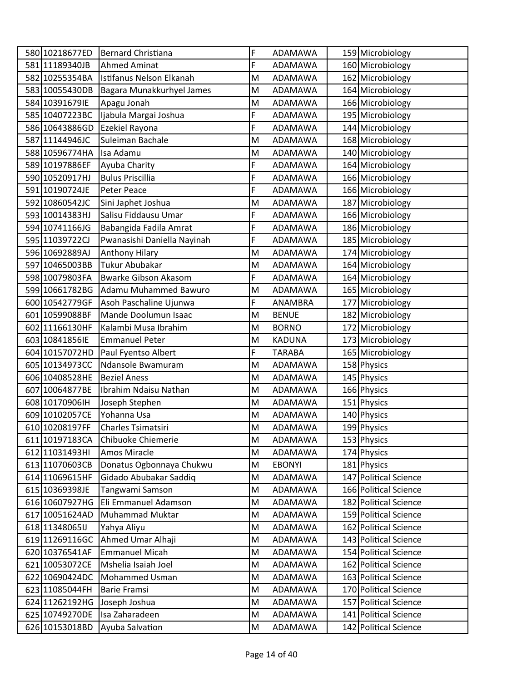| 580 10218677ED | <b>Bernard Christiana</b>   | F | <b>ADAMAWA</b> | 159 Microbiology      |
|----------------|-----------------------------|---|----------------|-----------------------|
| 581 11189340JB | <b>Ahmed Aminat</b>         | F | <b>ADAMAWA</b> | 160 Microbiology      |
| 582 10255354BA | Istifanus Nelson Elkanah    | M | <b>ADAMAWA</b> | 162 Microbiology      |
| 583 10055430DB | Bagara Munakkurhyel James   | M | ADAMAWA        | 164 Microbiology      |
| 584 10391679IE | Apagu Jonah                 | M | <b>ADAMAWA</b> | 166 Microbiology      |
| 585 10407223BC | Ijabula Margai Joshua       | F | ADAMAWA        | 195 Microbiology      |
| 586 10643886GD | Ezekiel Rayona              | F | ADAMAWA        | 144 Microbiology      |
| 587 11144946JC | Suleiman Bachale            | M | ADAMAWA        | 168 Microbiology      |
| 588 10596774HA | Isa Adamu                   | M | ADAMAWA        | 140 Microbiology      |
| 589 10197886EF | Ayuba Charity               | F | <b>ADAMAWA</b> | 164 Microbiology      |
| 590 10520917HJ | <b>Bulus Priscillia</b>     | F | ADAMAWA        | 166 Microbiology      |
| 591 10190724JE | Peter Peace                 | F | <b>ADAMAWA</b> | 166 Microbiology      |
| 592 10860542JC | Sini Japhet Joshua          | M | <b>ADAMAWA</b> | 187 Microbiology      |
| 593 10014383HJ | Salisu Fiddausu Umar        | F | <b>ADAMAWA</b> | 166 Microbiology      |
| 594 10741166JG | Babangida Fadila Amrat      | F | ADAMAWA        | 186 Microbiology      |
| 595 11039722CJ | Pwanasishi Daniella Nayinah | F | ADAMAWA        | 185 Microbiology      |
| 596 10692889AJ | Anthony Hilary              | M | <b>ADAMAWA</b> | 174 Microbiology      |
| 597 10465003BB | <b>Tukur Abubakar</b>       | M | ADAMAWA        | 164 Microbiology      |
| 598 10079803FA | <b>Bwarke Gibson Akasom</b> | F | <b>ADAMAWA</b> | 164 Microbiology      |
| 599 10661782BG | Adamu Muhammed Bawuro       | M | <b>ADAMAWA</b> | 165 Microbiology      |
| 600 10542779GF | Asoh Paschaline Ujunwa      | F | ANAMBRA        | 177 Microbiology      |
| 601 10599088BF | Mande Doolumun Isaac        | M | <b>BENUE</b>   | 182 Microbiology      |
| 602 11166130HF | Kalambi Musa Ibrahim        | M | <b>BORNO</b>   | 172 Microbiology      |
| 603 10841856IE | <b>Emmanuel Peter</b>       | M | <b>KADUNA</b>  | 173 Microbiology      |
| 604 10157072HD | Paul Fyentso Albert         | F | <b>TARABA</b>  | 165 Microbiology      |
| 605 10134973CC | Ndansole Bwamuram           | M | <b>ADAMAWA</b> | 158 Physics           |
| 606 10408528HE | <b>Beziel Aness</b>         | M | ADAMAWA        | 145 Physics           |
| 607 10064877BE | Ibrahim Ndaisu Nathan       | M | ADAMAWA        | 166 Physics           |
| 608 10170906IH | Joseph Stephen              | M | <b>ADAMAWA</b> | 151 Physics           |
| 609 10102057CE | Yohanna Usa                 | M | <b>ADAMAWA</b> | 140 Physics           |
| 610 10208197FF | Charles Tsimatsiri          | M | ADAMAWA        | 199 Physics           |
| 611 10197183CA | Chibuoke Chiemerie          | M | ADAMAWA        | 153 Physics           |
| 612 11031493HI | Amos Miracle                | M | ADAMAWA        | 174 Physics           |
| 613 11070603CB | Donatus Ogbonnaya Chukwu    | M | <b>EBONYI</b>  | 181 Physics           |
| 614 11069615HF | Gidado Abubakar Saddiq      | M | ADAMAWA        | 147 Political Science |
| 615 10369398JE | Tangwami Samson             | M | ADAMAWA        | 166 Political Science |
| 616 10607927HG | Eli Emmanuel Adamson        | M | ADAMAWA        | 182 Political Science |
| 617 10051624AD | Muhammad Muktar             | M | ADAMAWA        | 159 Political Science |
| 618 11348065IJ | Yahya Aliyu                 | M | ADAMAWA        | 162 Political Science |
| 61911269116GC  | Ahmed Umar Alhaji           | M | ADAMAWA        | 143 Political Science |
| 620 10376541AF | <b>Emmanuel Micah</b>       | M | <b>ADAMAWA</b> | 154 Political Science |
| 621 10053072CE | Mshelia Isaiah Joel         | M | ADAMAWA        | 162 Political Science |
| 622 10690424DC | Mohammed Usman              | M | ADAMAWA        | 163 Political Science |
| 623 11085044FH | <b>Barie Framsi</b>         | M | ADAMAWA        | 170 Political Science |
| 624 11262192HG | Joseph Joshua               | M | ADAMAWA        | 157 Political Science |
| 625 10749270DE | Isa Zaharadeen              | M | ADAMAWA        | 141 Political Science |
| 626 10153018BD | Ayuba Salvation             | M | ADAMAWA        | 142 Political Science |
|                |                             |   |                |                       |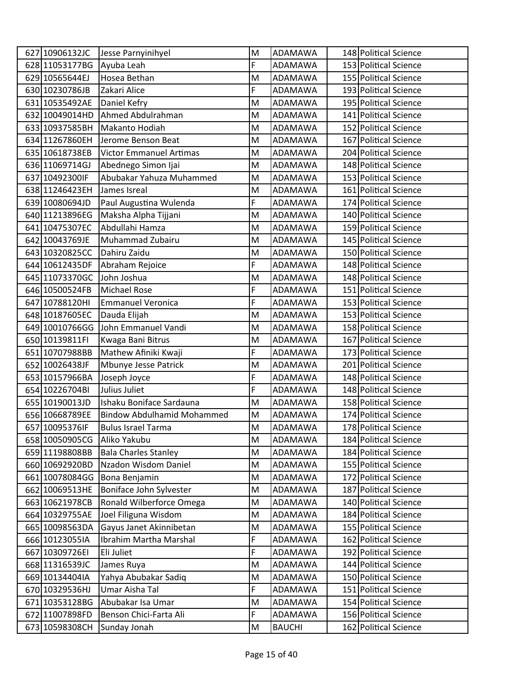| 627 10906132JC | Jesse Parnyinihyel                | M | <b>ADAMAWA</b> | 148 Political Science |
|----------------|-----------------------------------|---|----------------|-----------------------|
| 628 11053177BG | Ayuba Leah                        | F | <b>ADAMAWA</b> | 153 Political Science |
| 629 10565644EJ | Hosea Bethan                      | M | <b>ADAMAWA</b> | 155 Political Science |
| 630 10230786JB | Zakari Alice                      | F | ADAMAWA        | 193 Political Science |
| 631 10535492AE | Daniel Kefry                      | M | <b>ADAMAWA</b> | 195 Political Science |
| 632 10049014HD | Ahmed Abdulrahman                 | M | ADAMAWA        | 141 Political Science |
| 633 10937585BH | Makanto Hodiah                    | M | <b>ADAMAWA</b> | 152 Political Science |
| 634 11267860EH | Jerome Benson Beat                | M | ADAMAWA        | 167 Political Science |
| 635 10618738EB | <b>Victor Emmanuel Artimas</b>    | M | ADAMAWA        | 204 Political Science |
| 636 11069714GJ | Abednego Simon Ijai               | M | <b>ADAMAWA</b> | 148 Political Science |
| 637 10492300IF | Abubakar Yahuza Muhammed          | M | ADAMAWA        | 153 Political Science |
| 638 11246423EH | James Isreal                      | M | <b>ADAMAWA</b> | 161 Political Science |
| 639 10080694JD | Paul Augustina Wulenda            | F | ADAMAWA        | 174 Political Science |
| 640 11213896EG | Maksha Alpha Tijjani              | M | <b>ADAMAWA</b> | 140 Political Science |
| 641 10475307EC | Abdullahi Hamza                   | M | <b>ADAMAWA</b> | 159 Political Science |
| 642 10043769JE | Muhammad Zubairu                  | M | <b>ADAMAWA</b> | 145 Political Science |
| 643 10320825CC | Dahiru Zaidu                      | M | <b>ADAMAWA</b> | 150 Political Science |
| 644 10612435DF | Abraham Rejoice                   | F | ADAMAWA        | 148 Political Science |
| 645 11073370GC | John Joshua                       | M | <b>ADAMAWA</b> | 148 Political Science |
| 646 10500524FB | <b>Michael Rose</b>               | F | ADAMAWA        | 151 Political Science |
| 647 10788120HI | <b>Emmanuel Veronica</b>          | F | ADAMAWA        | 153 Political Science |
| 648 10187605EC | Dauda Elijah                      | M | <b>ADAMAWA</b> | 153 Political Science |
| 649 10010766GG | John Emmanuel Vandi               | M | ADAMAWA        | 158 Political Science |
| 650 10139811FI | Kwaga Bani Bitrus                 | M | <b>ADAMAWA</b> | 167 Political Science |
| 651 10707988BB | Mathew Afiniki Kwaji              | F | ADAMAWA        | 173 Political Science |
| 652 10026438JF | Mbunye Jesse Patrick              | M | <b>ADAMAWA</b> | 201 Political Science |
| 653 10157966BA | Joseph Joyce                      | F | <b>ADAMAWA</b> | 148 Political Science |
| 654 10226704BI | Julius Juliet                     | F | ADAMAWA        | 148 Political Science |
| 655 10190013JD | Ishaku Boniface Sardauna          | M | <b>ADAMAWA</b> | 158 Political Science |
| 656 10668789EE | <b>Bindow Abdulhamid Mohammed</b> | M | <b>ADAMAWA</b> | 174 Political Science |
| 657 10095376IF | <b>Bulus Israel Tarma</b>         | M | ADAMAWA        | 178 Political Science |
| 658 10050905CG | Aliko Yakubu                      | M | ADAMAWA        | 184 Political Science |
| 659 11198808BB | <b>Bala Charles Stanley</b>       | M | <b>ADAMAWA</b> | 184 Political Science |
| 660 10692920BD | Nzadon Wisdom Daniel              | M | <b>ADAMAWA</b> | 155 Political Science |
| 661 10078084GG | Bona Benjamin                     | M | ADAMAWA        | 172 Political Science |
| 662 10069513HE | Boniface John Sylvester           | M | ADAMAWA        | 187 Political Science |
| 663 10621978CB | Ronald Wilberforce Omega          | M | ADAMAWA        | 140 Political Science |
| 664 10329755AE | Joel Filiguna Wisdom              | M | ADAMAWA        | 184 Political Science |
| 665 10098563DA | Gayus Janet Akinnibetan           | M | ADAMAWA        | 155 Political Science |
| 666 10123055IA | Ibrahim Martha Marshal            | F | <b>ADAMAWA</b> | 162 Political Science |
| 667 10309726EI | Eli Juliet                        | F | ADAMAWA        | 192 Political Science |
| 668 11316539JC | James Ruya                        | M | ADAMAWA        | 144 Political Science |
| 669 10134404IA | Yahya Abubakar Sadiq              | M | <b>ADAMAWA</b> | 150 Political Science |
| 670 10329536HJ | Umar Aisha Tal                    | F | ADAMAWA        | 151 Political Science |
| 671 10353128BG | Abubakar Isa Umar                 | M | ADAMAWA        | 154 Political Science |
| 672 11007898FD | Benson Chici-Farta Ali            | F | ADAMAWA        | 156 Political Science |
| 673 10598308CH | Sunday Jonah                      | M | <b>BAUCHI</b>  | 162 Political Science |
|                |                                   |   |                |                       |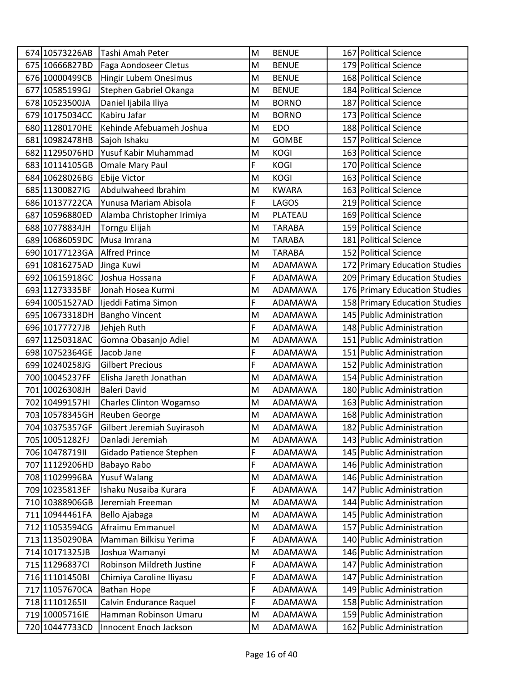| 674 10573226AB  | Tashi Amah Peter           | M                                                                                                          | <b>BENUE</b>   | 167 Political Science         |
|-----------------|----------------------------|------------------------------------------------------------------------------------------------------------|----------------|-------------------------------|
| 675 10666827BD  | Faga Aondoseer Cletus      | M                                                                                                          | <b>BENUE</b>   | 179 Political Science         |
| 676 10000499CB  | Hingir Lubem Onesimus      | M                                                                                                          | <b>BENUE</b>   | 168 Political Science         |
| 677 10585199GJ  | Stephen Gabriel Okanga     | M                                                                                                          | <b>BENUE</b>   | 184 Political Science         |
| 678 10523500JA  | Daniel Ijabila Iliya       | M                                                                                                          | <b>BORNO</b>   | 187 Political Science         |
| 679 10175034CC  | Kabiru Jafar               | M                                                                                                          | <b>BORNO</b>   | 173 Political Science         |
| 680 11280170HE  | Kehinde Afebuameh Joshua   | M                                                                                                          | <b>EDO</b>     | 188 Political Science         |
| 681 10982478HB  | Sajoh Ishaku               | M                                                                                                          | <b>GOMBE</b>   | 157 Political Science         |
| 682 11295076HD  | Yusuf Kabir Muhammad       | M                                                                                                          | <b>KOGI</b>    | 163 Political Science         |
| 683 10114105GB  | Omale Mary Paul            | F                                                                                                          | <b>KOGI</b>    | 170 Political Science         |
| 684 10628026BG  | Ebije Victor               | M                                                                                                          | <b>KOGI</b>    | 163 Political Science         |
| 685 11300827IG  | Abdulwaheed Ibrahim        | M                                                                                                          | <b>KWARA</b>   | 163 Political Science         |
| 686 10137722CA  | Yunusa Mariam Abisola      | F                                                                                                          | <b>LAGOS</b>   | 219 Political Science         |
| 687 10596880ED  | Alamba Christopher Irimiya | M                                                                                                          | PLATEAU        | 169 Political Science         |
| 688 10778834JH  | Torngu Elijah              | M                                                                                                          | <b>TARABA</b>  | 159 Political Science         |
| 689 10686059DC  | Musa Imrana                | M                                                                                                          | <b>TARABA</b>  | 181 Political Science         |
| 690 10177123GA  | <b>Alfred Prince</b>       | M                                                                                                          | <b>TARABA</b>  | 152 Political Science         |
| 691 10816275AD  | Jinga Kuwi                 | M                                                                                                          | <b>ADAMAWA</b> | 172 Primary Education Studies |
| 692 10615918GC  | Joshua Hossana             | F                                                                                                          | ADAMAWA        | 209 Primary Education Studies |
| 693 11273335BF  | Jonah Hosea Kurmi          | M                                                                                                          | ADAMAWA        | 176 Primary Education Studies |
| 694 10051527AD  | Ijeddi Fatima Simon        | F                                                                                                          | ADAMAWA        | 158 Primary Education Studies |
| 695 10673318DH  | <b>Bangho Vincent</b>      | M                                                                                                          | <b>ADAMAWA</b> | 145 Public Administration     |
| 696 10177727JB  | Jehjeh Ruth                | F                                                                                                          | ADAMAWA        | 148 Public Administration     |
| 697 11250318AC  | Gomna Obasanjo Adiel       | M                                                                                                          | ADAMAWA        | 151 Public Administration     |
| 698 10752364GE  | Jacob Jane                 | F                                                                                                          | ADAMAWA        | 151 Public Administration     |
| 699 10240258JG  | <b>Gilbert Precious</b>    | F                                                                                                          | ADAMAWA        | 152 Public Administration     |
| 700 10045237FF  | Elisha Jareth Jonathan     | M                                                                                                          | ADAMAWA        | 154 Public Administration     |
| 701 10026308JH  | <b>Baleri David</b>        | M                                                                                                          | ADAMAWA        | 180 Public Administration     |
| 702 10499157HI  | Charles Clinton Wogamso    | M                                                                                                          | <b>ADAMAWA</b> | 163 Public Administration     |
| 703 10578345GH  | Reuben George              | M                                                                                                          | ADAMAWA        | 168 Public Administration     |
| 704 10375357GF  | Gilbert Jeremiah Suyirasoh | $\mathsf{M}% _{T}=\mathsf{M}_{T}\!\left( a,b\right) ,\ \mathsf{M}_{T}=\mathsf{M}_{T}\!\left( a,b\right) ,$ | ADAMAWA        | 182 Public Administration     |
| 705 10051282FJ  | Danladi Jeremiah           | M                                                                                                          | ADAMAWA        | 143 Public Administration     |
| 706 1047871911  | Gidado Patience Stephen    | F                                                                                                          | ADAMAWA        | 145 Public Administration     |
| 707 11129206HD  | Babayo Rabo                | F                                                                                                          | ADAMAWA        | 146 Public Administration     |
| 708 11029996BA  | Yusuf Walang               | M                                                                                                          | ADAMAWA        | 146 Public Administration     |
| 709 10235813EF  | Ishaku Nusaiba Kurara      | F                                                                                                          | ADAMAWA        | 147 Public Administration     |
| 710 10388906GB  | Jeremiah Freeman           | M                                                                                                          | ADAMAWA        | 144 Public Administration     |
| 711 10944461FA  | Bello Ajabaga              | M                                                                                                          | ADAMAWA        | 145 Public Administration     |
| 712 11053594CG  | Afraimu Emmanuel           | M                                                                                                          | ADAMAWA        | 157 Public Administration     |
| 713 11350290BA  | Mamman Bilkisu Yerima      | F                                                                                                          | ADAMAWA        | 140 Public Administration     |
| 714 10171325JB  | Joshua Wamanyi             | M                                                                                                          | ADAMAWA        | 146 Public Administration     |
| 715 11296837Cl  | Robinson Mildreth Justine  | F                                                                                                          | ADAMAWA        | 147 Public Administration     |
| 716 11101450BI  | Chimiya Caroline Iliyasu   | F                                                                                                          | ADAMAWA        | 147 Public Administration     |
| 717 11057670CA  | <b>Bathan Hope</b>         | F                                                                                                          | ADAMAWA        | 149 Public Administration     |
| 718 11101265 II | Calvin Endurance Raquel    | F                                                                                                          | ADAMAWA        | 158 Public Administration     |
| 719 10005716IE  | Hamman Robinson Umaru      | M                                                                                                          | ADAMAWA        | 159 Public Administration     |
| 720 10447733CD  | Innocent Enoch Jackson     | M                                                                                                          | ADAMAWA        | 162 Public Administration     |
|                 |                            |                                                                                                            |                |                               |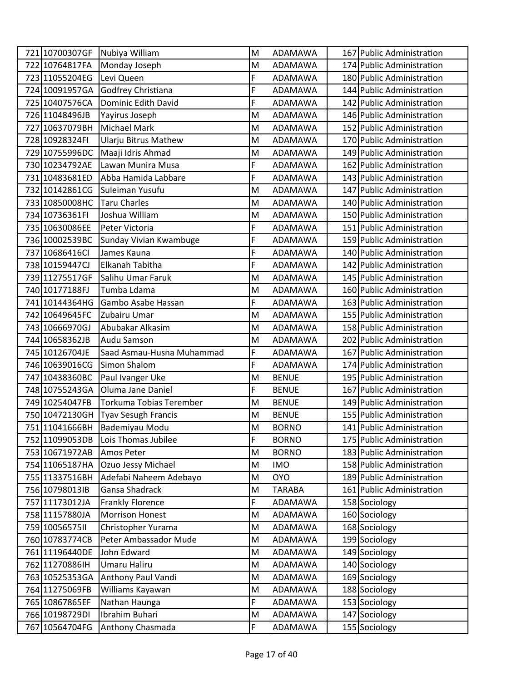| 721 10700307GF | Nubiya William                  | M | ADAMAWA       | 167 Public Administration |
|----------------|---------------------------------|---|---------------|---------------------------|
| 722 10764817FA | Monday Joseph                   | M | ADAMAWA       | 174 Public Administration |
| 723 11055204EG | Levi Queen                      | F | ADAMAWA       | 180 Public Administration |
| 724 10091957GA | Godfrey Christiana              | F | ADAMAWA       | 144 Public Administration |
| 725 10407576CA | Dominic Edith David             | F | ADAMAWA       | 142 Public Administration |
| 726 11048496JB | Yayirus Joseph                  | M | ADAMAWA       | 146 Public Administration |
| 727 10637079BH | <b>Michael Mark</b>             | M | ADAMAWA       | 152 Public Administration |
| 728 10928324FI | <b>Ularju Bitrus Mathew</b>     | M | ADAMAWA       | 170 Public Administration |
| 729 10755996DC | Maaji Idris Ahmad               | M | ADAMAWA       | 149 Public Administration |
| 730 10234792AE | Lawan Munira Musa               | F | ADAMAWA       | 162 Public Administration |
| 731 10483681ED | Abba Hamida Labbare             | F | ADAMAWA       | 143 Public Administration |
| 732 10142861CG | Suleiman Yusufu                 | M | ADAMAWA       | 147 Public Administration |
| 733 10850008HC | <b>Taru Charles</b>             | M | ADAMAWA       | 140 Public Administration |
| 734 10736361FI | Joshua William                  | M | ADAMAWA       | 150 Public Administration |
| 735 10630086EE | Peter Victoria                  | F | ADAMAWA       | 151 Public Administration |
| 736 10002539BC | Sunday Vivian Kwambuge          | F | ADAMAWA       | 159 Public Administration |
| 737 10686416Cl | James Kauna                     | F | ADAMAWA       | 140 Public Administration |
| 738 10159447CJ | Elkanah Tabitha                 | F | ADAMAWA       | 142 Public Administration |
| 739 11275517GF | Salihu Umar Faruk               | M | ADAMAWA       | 145 Public Administration |
| 740 10177188FJ | Tumba Ldama                     | M | ADAMAWA       | 160 Public Administration |
| 741 10144364HG | Gambo Asabe Hassan              | F | ADAMAWA       | 163 Public Administration |
| 742 10649645FC | Zubairu Umar                    | M | ADAMAWA       | 155 Public Administration |
| 743 10666970GJ | Abubakar Alkasim                | M | ADAMAWA       | 158 Public Administration |
| 744 10658362JB | Audu Samson                     | M | ADAMAWA       | 202 Public Administration |
| 745 10126704JE | Saad Asmau-Husna Muhammad       | F | ADAMAWA       | 167 Public Administration |
| 746 10639016CG | Simon Shalom                    | F | ADAMAWA       | 174 Public Administration |
| 747 10438360BC | Paul Ivanger Uke                | Μ | <b>BENUE</b>  | 195 Public Administration |
| 748 10755243GA | Oluma Jane Daniel               | F | <b>BENUE</b>  | 167 Public Administration |
| 749 10254047FB | Torkuma Tobias Terember         | M | <b>BENUE</b>  | 149 Public Administration |
| 750 10472130GH | <b>Tyav Sesugh Francis</b>      | M | <b>BENUE</b>  | 155 Public Administration |
|                | 751 11041666BH   Bademiyau Modu | M | <b>BORNO</b>  | 141 Public Administration |
| 752 11099053DB | Lois Thomas Jubilee             | F | <b>BORNO</b>  | 175 Public Administration |
| 753 10671972AB | Amos Peter                      | M | <b>BORNO</b>  | 183 Public Administration |
| 754 11065187HA | Ozuo Jessy Michael              | M | <b>IMO</b>    | 158 Public Administration |
| 755 11337516BH | Adefabi Naheem Adebayo          | M | <b>OYO</b>    | 189 Public Administration |
| 756 10798013IB | Gansa Shadrack                  | M | <b>TARABA</b> | 161 Public Administration |
| 757 11173012JA | <b>Frankly Florence</b>         | F | ADAMAWA       | 158 Sociology             |
| 758 11157880JA | <b>Morrison Honest</b>          | M | ADAMAWA       | 160 Sociology             |
| 759 1005657511 | Christopher Yurama              | M | ADAMAWA       | 168 Sociology             |
| 760 10783774CB | Peter Ambassador Mude           | M | ADAMAWA       | 199 Sociology             |
| 761 11196440DE | John Edward                     | M | ADAMAWA       | 149 Sociology             |
| 762 11270886IH | Umaru Haliru                    | M | ADAMAWA       | 140 Sociology             |
| 763 10525353GA | Anthony Paul Vandi              | M | ADAMAWA       | 169 Sociology             |
| 764 11275069FB | Williams Kayawan                | M | ADAMAWA       | 188 Sociology             |
| 765 10867865EF | Nathan Haunga                   | F | ADAMAWA       | 153 Sociology             |
| 766 10198729DI | Ibrahim Buhari                  | M | ADAMAWA       | 147 Sociology             |
| 767 10564704FG | Anthony Chasmada                | F | ADAMAWA       | 155 Sociology             |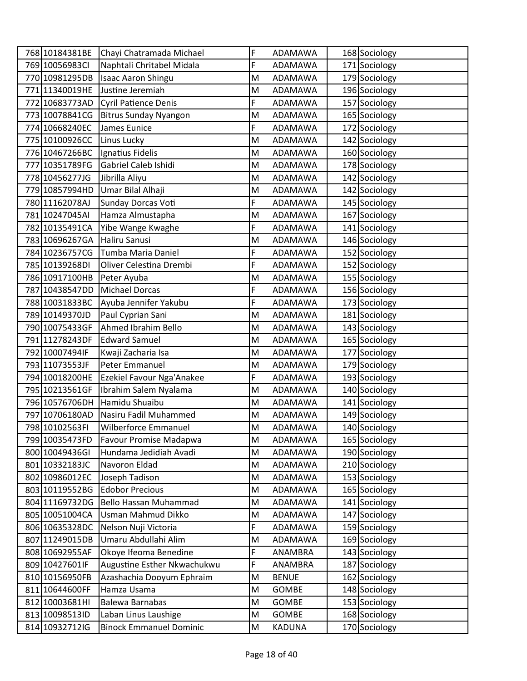| 768 10184381BE  | Chayi Chatramada Michael       | F         | ADAMAWA       | 168 Sociology |
|-----------------|--------------------------------|-----------|---------------|---------------|
| 769 10056983Cl  | Naphtali Chritabel Midala      | F         | ADAMAWA       | 171 Sociology |
| 770 10981295DB  | <b>Isaac Aaron Shingu</b>      | M         | ADAMAWA       | 179 Sociology |
| 771 11340019HE  | Justine Jeremiah               | M         | ADAMAWA       | 196 Sociology |
| 772 10683773AD  | <b>Cyril Patience Denis</b>    | F         | ADAMAWA       | 157 Sociology |
| 773 10078841CG  | <b>Bitrus Sunday Nyangon</b>   | M         | ADAMAWA       | 165 Sociology |
| 774 10668240EC  | James Eunice                   | F         | ADAMAWA       | 172 Sociology |
| 775 10100926CC  | Linus Lucky                    | M         | ADAMAWA       | 142 Sociology |
| 776 10467266BC  | Ignatius Fidelis               | M         | ADAMAWA       | 160 Sociology |
| 777 10351789FG  | Gabriel Caleb Ishidi           | M         | ADAMAWA       | 178 Sociology |
| 778 10456277JG  | Jibrilla Aliyu                 | M         | ADAMAWA       | 142 Sociology |
| 779 10857994HD  | Umar Bilal Alhaji              | M         | ADAMAWA       | 142 Sociology |
| 780 11162078AJ  | Sunday Dorcas Voti             | F         | ADAMAWA       | 145 Sociology |
| 781 10247045AI  | Hamza Almustapha               | M         | ADAMAWA       | 167 Sociology |
| 782 10135491CA  | Yibe Wange Kwaghe              | F         | ADAMAWA       | 141 Sociology |
| 783 10696267GA  | Haliru Sanusi                  | M         | ADAMAWA       | 146 Sociology |
| 784 10236757CG  | Tumba Maria Daniel             | F         | ADAMAWA       | 152 Sociology |
| 785 10139268DI  | Oliver Celestina Drembi        | F         | ADAMAWA       | 152 Sociology |
| 786 10917100HB  | Peter Ayuba                    | M         | ADAMAWA       | 155 Sociology |
| 787 10438547DD  | <b>Michael Dorcas</b>          | F         | ADAMAWA       | 156 Sociology |
| 788 10031833BC  | Ayuba Jennifer Yakubu          | F         | ADAMAWA       | 173 Sociology |
| 789 10149370JD  | Paul Cyprian Sani              | M         | ADAMAWA       | 181 Sociology |
| 790 10075433GF  | Ahmed Ibrahim Bello            | M         | ADAMAWA       | 143 Sociology |
| 791 11278243DF  | <b>Edward Samuel</b>           | M         | ADAMAWA       | 165 Sociology |
| 792 10007494IF  | Kwaji Zacharia Isa             | M         | ADAMAWA       | 177 Sociology |
| 793 11073553JF  | Peter Emmanuel                 | M         | ADAMAWA       | 179 Sociology |
| 794 10018200HE  | Ezekiel Favour Nga'Anakee      | F         | ADAMAWA       | 193 Sociology |
| 795 10213561GF  | Ibrahim Salem Nyalama          | M         | ADAMAWA       | 140 Sociology |
| 796 10576706DH  | Hamidu Shuaibu                 | M         | ADAMAWA       | 141 Sociology |
| 797 10706180AD  | Nasiru Fadil Muhammed          | M         | ADAMAWA       | 149 Sociology |
| 798 10102563FI  | Wilberforce Emmanuel           | M         | ADAMAWA       | 140 Sociology |
| 799 10035473FD  | Favour Promise Madapwa         | M         | ADAMAWA       | 165 Sociology |
| 800 10049436GI  | Hundama Jedidiah Avadi         | M         | ADAMAWA       | 190 Sociology |
| 801 10332183JC  | Navoron Eldad                  | M         | ADAMAWA       | 210 Sociology |
| 802 10986012EC  | Joseph Tadison                 | ${\sf M}$ | ADAMAWA       | 153 Sociology |
| 803 10119552BG  | <b>Edobor Precious</b>         | M         | ADAMAWA       | 165 Sociology |
| 804 11169732DG  | Bello Hassan Muhammad          | M         | ADAMAWA       | 141 Sociology |
| 805 10051004CA  | Usman Mahmud Dikko             | M         | ADAMAWA       | 147 Sociology |
| 806 10635328DC  | Nelson Nuji Victoria           | F         | ADAMAWA       | 159 Sociology |
| 807 11249015DB  | Umaru Abdullahi Alim           | M         | ADAMAWA       | 169 Sociology |
| 808 10692955AF  | Okoye Ifeoma Benedine          | F         | ANAMBRA       | 143 Sociology |
| 809 10427601 IF | Augustine Esther Nkwachukwu    | F         | ANAMBRA       | 187 Sociology |
| 810 10156950FB  | Azashachia Dooyum Ephraim      | M         | <b>BENUE</b>  | 162 Sociology |
| 811 10644600FF  | Hamza Usama                    | M         | GOMBE         | 148 Sociology |
| 812 10003681HI  | Balewa Barnabas                | M         | <b>GOMBE</b>  | 153 Sociology |
| 813 10098513ID  | Laban Linus Laushige           | M         | GOMBE         | 168 Sociology |
| 814 10932712IG  | <b>Binock Emmanuel Dominic</b> | M         | <b>KADUNA</b> | 170 Sociology |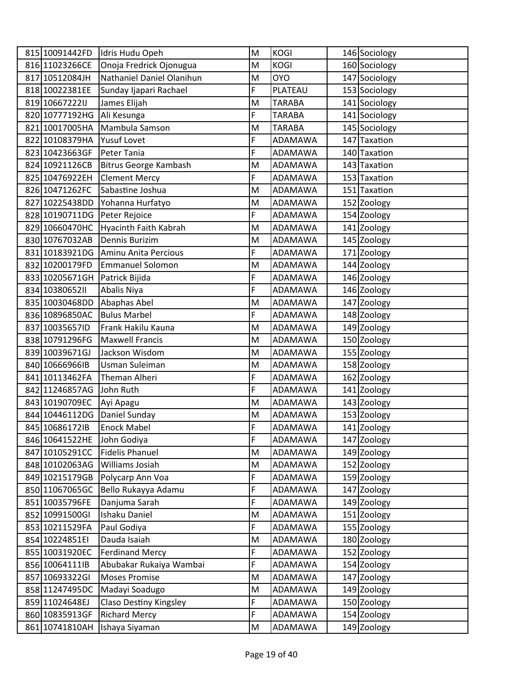| 815 10091442FD | Idris Hudu Opeh              | M | <b>KOGI</b>    | 146 Sociology |
|----------------|------------------------------|---|----------------|---------------|
| 816 11023266CE | Onoja Fredrick Ojonugua      | M | <b>KOGI</b>    | 160 Sociology |
| 817 10512084JH | Nathaniel Daniel Olanihun    | M | <b>OYO</b>     | 147 Sociology |
| 818 10022381EE | Sunday Ijapari Rachael       | F | PLATEAU        | 153 Sociology |
| 819 106672221J | James Elijah                 | M | <b>TARABA</b>  | 141 Sociology |
| 820 10777192HG | Ali Kesunga                  | F | <b>TARABA</b>  | 141 Sociology |
| 821 10017005HA | Mambula Samson               | M | <b>TARABA</b>  | 145 Sociology |
| 822 10108379HA | <b>Yusuf Lovet</b>           | F | ADAMAWA        | 147 Taxation  |
| 823 10423663GF | Peter Tania                  | F | ADAMAWA        | 140 Taxation  |
| 824 10921126CB | <b>Bitrus George Kambash</b> | M | ADAMAWA        | 143 Taxation  |
| 825 10476922EH | <b>Clement Mercy</b>         | F | ADAMAWA        | 153 Taxation  |
| 826 10471262FC | Sabastine Joshua             | M | ADAMAWA        | 151 Taxation  |
| 827 10225438DD | Yohanna Hurfatyo             | M | ADAMAWA        | 152 Zoology   |
| 828 10190711DG | Peter Rejoice                | F | <b>ADAMAWA</b> | 154 Zoology   |
| 829 10660470HC | <b>Hyacinth Faith Kabrah</b> | M | ADAMAWA        | 141 Zoology   |
| 830 10767032AB | Dennis Burizim               | M | ADAMAWA        | 145 Zoology   |
| 831 10183921DG | Aminu Anita Percious         | F | ADAMAWA        | 171 Zoology   |
| 832 10200179FD | <b>Emmanuel Solomon</b>      | M | ADAMAWA        | 144 Zoology   |
| 833 10205671GH | Patrick Bijida               | F | ADAMAWA        | 146 Zoology   |
| 834 1038065211 | Abalis Niya                  | F | ADAMAWA        | 146 Zoology   |
| 835 10030468DD | Abaphas Abel                 | M | ADAMAWA        | 147 Zoology   |
| 836 10896850AC | <b>Bulus Marbel</b>          | F | ADAMAWA        | 148 Zoology   |
| 837 10035657ID | Frank Hakilu Kauna           | M | ADAMAWA        | 149 Zoology   |
| 838 10791296FG | <b>Maxwell Francis</b>       | M | ADAMAWA        | 150 Zoology   |
| 839 10039671GJ | Jackson Wisdom               | M | ADAMAWA        | 155 Zoology   |
| 840 10666966IB | Usman Suleiman               | M | ADAMAWA        | 158 Zoology   |
| 841 10113462FA | Theman Alheri                | F | ADAMAWA        | 162 Zoology   |
| 842 11246857AG | John Ruth                    | F | ADAMAWA        | 141 Zoology   |
| 843 10190709EC | Ayi Apagu                    | M | ADAMAWA        | 143 Zoology   |
| 844 10446112DG | Daniel Sunday                | M | ADAMAWA        | 153 Zoology   |
| 845 10686172IB | <b>Enock Mabel</b>           | F | ADAMAWA        | 141 Zoology   |
| 846 10641522HE | John Godiya                  | F | ADAMAWA        | 147 Zoology   |
| 847 10105291CC | <b>Fidelis Phanuel</b>       | M | ADAMAWA        | 149 Zoology   |
| 848 10102063AG | Williams Josiah              | M | ADAMAWA        | 152 Zoology   |
| 849 10215179GB | Polycarp Ann Voa             | F | ADAMAWA        | 159 Zoology   |
| 850 11067065GC | Bello Rukayya Adamu          | F | ADAMAWA        | 147 Zoology   |
| 851 10035796FE | Danjuma Sarah                | F | ADAMAWA        | 149 Zoology   |
| 852 10991500GI | Ishaku Daniel                | M | ADAMAWA        | 151 Zoology   |
| 853 10211529FA | Paul Godiya                  | F | ADAMAWA        | 155 Zoology   |
| 854 10224851EI | Dauda Isaiah                 | M | ADAMAWA        | 180 Zoology   |
| 855 10031920EC | <b>Ferdinand Mercy</b>       | F | ADAMAWA        | 152 Zoology   |
| 856 10064111IB | Abubakar Rukaiya Wambai      | F | ADAMAWA        | 154 Zoology   |
| 857 10693322GI | <b>Moses Promise</b>         | M | ADAMAWA        | 147 Zoology   |
| 858 11247495DC | Madayi Soadugo               | M | ADAMAWA        | 149 Zoology   |
| 859 11024648EJ | Claso Destiny Kingsley       | F | ADAMAWA        | 150 Zoology   |
| 860 10835913GF | <b>Richard Mercy</b>         | F | ADAMAWA        | 154 Zoology   |
| 861 10741810AH | Ishaya Siyaman               | M | ADAMAWA        | 149 Zoology   |
|                |                              |   |                |               |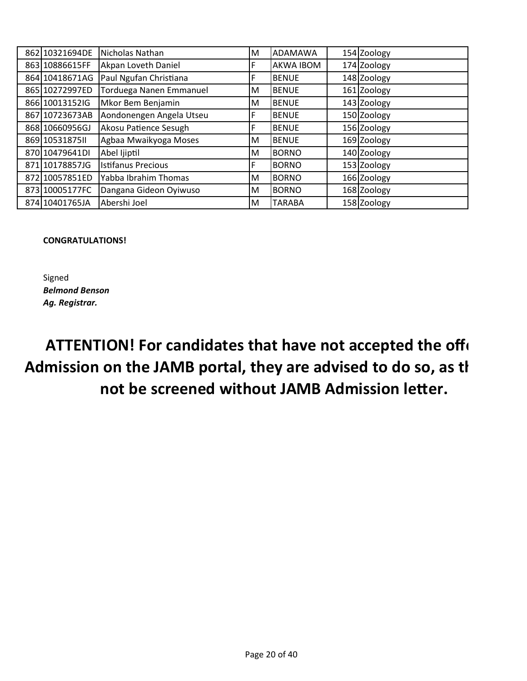| 862 10321694DE  | Nicholas Nathan           | M | <b>ADAMAWA</b>   | 154 Zoology |
|-----------------|---------------------------|---|------------------|-------------|
| 863 10886615FF  | Akpan Loveth Daniel       |   | <b>AKWA IBOM</b> | 174 Zoology |
| 864 10418671AG  | Paul Ngufan Christiana    |   | <b>BENUE</b>     | 148 Zoology |
| 865 10272997ED  | Torduega Nanen Emmanuel   | М | <b>BENUE</b>     | 161 Zoology |
| 866 10013152IG  | Mkor Bem Benjamin         | M | <b>BENUE</b>     | 143 Zoology |
| 867 10723673AB  | Aondonengen Angela Utseu  |   | <b>BENUE</b>     | 150 Zoology |
| 868 10660956GJ  | Akosu Patience Sesugh     |   | <b>BENUE</b>     | 156 Zoology |
| 869 10531875 II | Agbaa Mwaikyoga Moses     | M | <b>BENUE</b>     | 169 Zoology |
| 870 10479641DI  | Abel Ijiptil              | М | <b>BORNO</b>     | 140 Zoology |
| 871 10178857JG  | <b>Istifanus Precious</b> |   | <b>BORNO</b>     | 153 Zoology |
| 872 10057851ED  | Yabba Ibrahim Thomas      | М | <b>BORNO</b>     | 166 Zoology |
| 873 10005177FC  | Dangana Gideon Oyiwuso    | м | <b>BORNO</b>     | 168 Zoology |
| 874 10401765JA  | Abershi Joel              | М | <b>TARABA</b>    | 158 Zoology |

#### **CONGRATULATIONS!**

Signed *Belmond Benson Ag. Registrar.*

**ATTENTION! For candidates that have not accepted the offer of Admission on the JAMB portal, they are advised to do so, as they will not be screened without JAMB Admission letter.**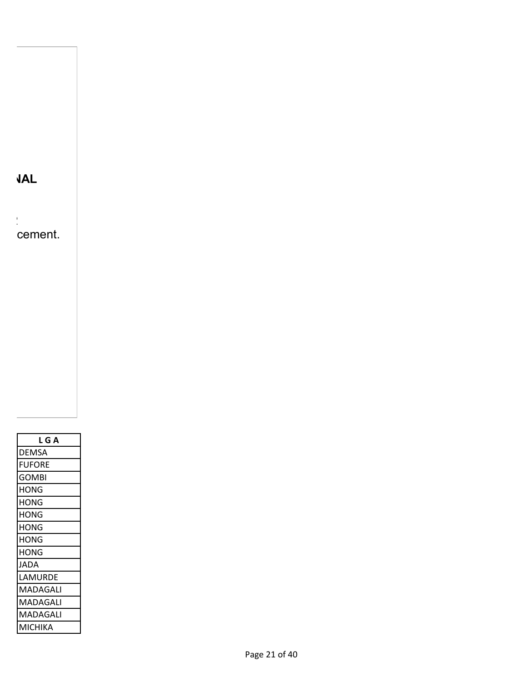**THE UNDERLISTED CANDIDATES HAVE BEEN OFFERED PROVISIONAL**

clearance from 11th to 18th February 2022 cement.

| L G A    |
|----------|
| DEMSA    |
| FUFORE   |
| GOMBI    |
| HONG     |
| HONG     |
| HONG     |
| HONG     |
| HONG     |
| HONG     |
| JADA     |
| LAMURDE  |
| MADAGALI |
| MADAGALI |
| MADAGALI |
| МІСНІКА  |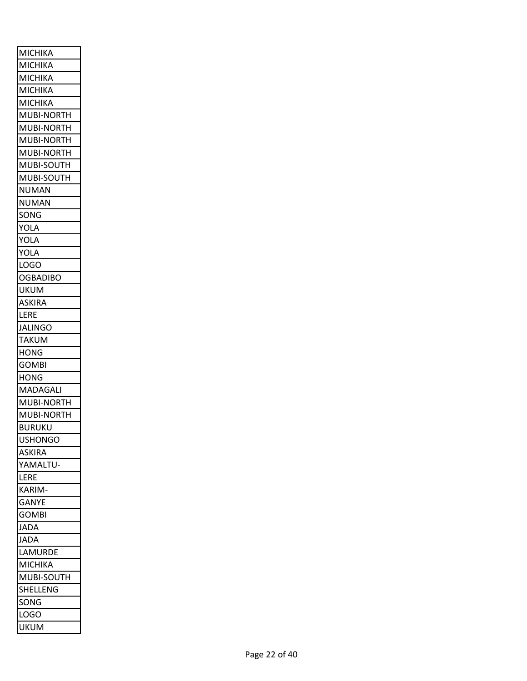| MICHIKA             |
|---------------------|
| МІСНІКА             |
| МІСНІКА             |
| MICHIKA             |
| MICHIKA             |
| <b>MUBI-NORTH</b>   |
| MUBI-NORTH          |
| MUBI-NORTH          |
| MUBI-NORTH          |
| MUBI-SOUTH          |
| MUBI-SOUTH          |
| NUMAN               |
| NUMAN               |
| SONG                |
| YOLA                |
| YOLA                |
| YOLA                |
| <b>LOGO</b>         |
| OGBADIBO            |
| UKUM                |
| ASKIRA              |
| LERE                |
| <b>JALINGO</b>      |
| <b>TAKUM</b>        |
|                     |
| <b>HONG</b>         |
| <b>GOMBI</b>        |
| HONG                |
| MADAGALI            |
| MUBI-NORTH          |
| MUBI-NORTH          |
| BURUKU              |
| <b>USHONGO</b>      |
| ASKIRA              |
| YAMALTU-            |
| LERE                |
| KARIM-              |
| GANYE               |
| GOMBI               |
| <b>JADA</b>         |
| <b>JADA</b>         |
| LAMURDE             |
| <b>MICHIKA</b>      |
| MUBI-SOUTH          |
| SHELLENG            |
| SONG                |
| LOGO<br><b>UKUM</b> |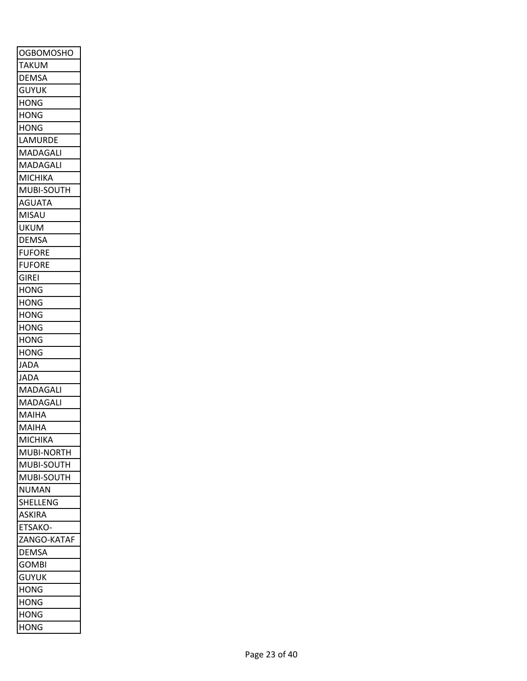| <b>OGBOMOSHO</b>      |
|-----------------------|
| <b>TAKUM</b>          |
| DEMSA                 |
| <b>GUYUK</b>          |
| HONG                  |
| <b>HONG</b>           |
| HONG                  |
| LAMURDE               |
| MADAGALI              |
| MADAGALI              |
| <b>MICHIKA</b>        |
| MUBI-SOUTH            |
| <b>AGUATA</b>         |
| <b>MISAU</b>          |
| UKUM                  |
| <b>DEMSA</b>          |
| FUFORE                |
| <b>FUFORE</b>         |
| GIREI                 |
| HONG                  |
| HONG                  |
| HONG                  |
| <b>HONG</b>           |
| HONG                  |
| <b>HONG</b>           |
| JADA                  |
| JADA                  |
| MADAGALI              |
| MADAGALI              |
| MAIHA                 |
| MAIHA                 |
| <b>MICHIKA</b>        |
| MUBI-NORTH            |
| MUBI-SOUTH            |
| MUBI-SOUTH            |
| NUMAN                 |
| SHELLENG              |
| <b>ASKIRA</b>         |
| ETSAKO-               |
| ZANGO-KATAF           |
|                       |
| DEMSA<br><b>GOMBI</b> |
|                       |
| <b>GUYUK</b>          |
| <b>HONG</b>           |
| HONG                  |
| <b>HONG</b>           |
| <b>HONG</b>           |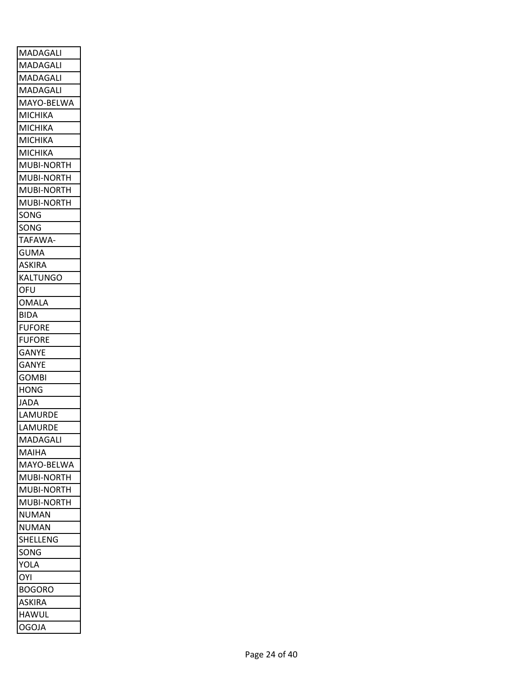| <b>MADAGALI</b>   |
|-------------------|
| MADAGALI          |
| MADAGALI          |
| MADAGALI          |
| MAYO-BELWA        |
| <b>MICHIKA</b>    |
| MICHIKA           |
| <b>MICHIKA</b>    |
| <b>MICHIKA</b>    |
| MUBI-NORTH        |
| MUBI-NORTH        |
| MUBI-NORTH        |
| <b>MUBI-NORTH</b> |
| SONG              |
| SONG              |
| <b>TAFAWA</b>     |
| <b>GUMA</b>       |
| <b>ASKIRA</b>     |
| <b>KALTUNGO</b>   |
| OFU               |
| <b>OMALA</b>      |
| <b>BIDA</b>       |
| <b>FUFORE</b>     |
| <b>FUFORE</b>     |
| <b>GANYE</b>      |
| GANYE             |
| <b>GOMBI</b>      |
| <b>HONG</b>       |
| <b>JADA</b>       |
| LAMURDE           |
| LAMURDE           |
| MADAGALI          |
| MAIHA             |
| MAYO-BELWA        |
| MUBI-NORTH        |
| MUBI-NORTH        |
| MUBI-NORTH        |
| NUMAN             |
| NUMAN             |
| SHELLENG          |
| SONG              |
| YOLA              |
| OYI               |
| BOGORO            |
| ASKIRA            |
| HAWUL             |
| <b>OGOJA</b>      |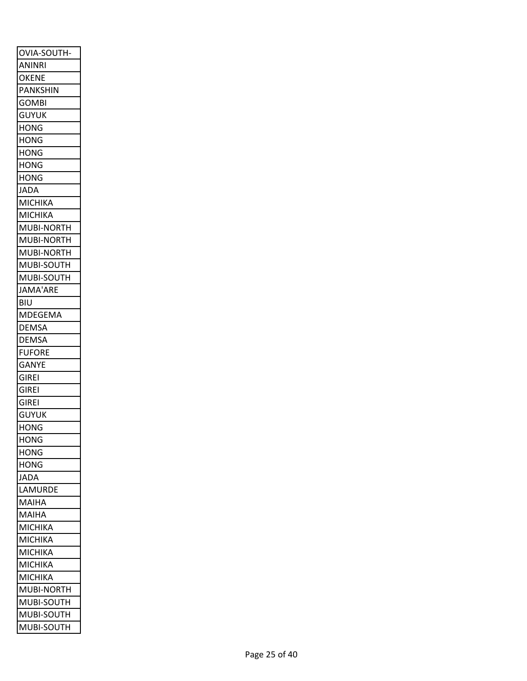| OVIA-SOUTH-     |
|-----------------|
| ANINRI          |
| OKENE           |
| <b>PANKSHIN</b> |
| <b>GOMBI</b>    |
| <b>GUYUK</b>    |
| HONG            |
| <b>HONG</b>     |
| <b>HONG</b>     |
| HONG            |
| <b>HONG</b>     |
| JADA            |
| <b>MICHIKA</b>  |
| <b>MICHIKA</b>  |
| MUBI-NORTH      |
| MUBI-NORTH      |
| MUBI-NORTH      |
| MUBI-SOUTH      |
| MUBI-SOUTH      |
| <b>JAMA'ARE</b> |
| <b>BIU</b>      |
| MDEGEMA         |
| <b>DEMSA</b>    |
| DEMSA           |
| <b>FUFORE</b>   |
| <b>GANYE</b>    |
| <b>GIREI</b>    |
| <b>GIREI</b>    |
| <b>GIREI</b>    |
| <b>GUYUK</b>    |
| <b>HONG</b>     |
| <b>HONG</b>     |
| HONG            |
| HONG            |
| <b>JADA</b>     |
| LAMURDE         |
| MAIHA           |
| MAIHA           |
| <b>MICHIKA</b>  |
| MICHIKA         |
| MICHIKA         |
| <b>MICHIKA</b>  |
| MICHIKA         |
| MUBI-NORTH      |
| MUBI-SOUTH      |
| MUBI-SOUTH      |
| MUBI-SOUTH      |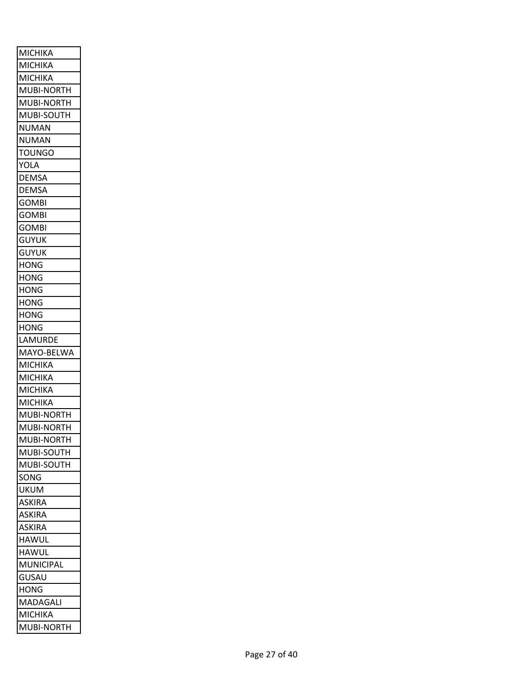| <b>MICHIKA</b> |
|----------------|
| MICHIKA        |
| MICHIKA        |
| MUBI-NORTH     |
| MUBI-NORTH     |
| MUBI-SOUTH     |
| NUMAN          |
| <b>NUMAN</b>   |
| <b>TOUNGO</b>  |
| YOLA           |
| <b>DEMSA</b>   |
| <b>DEMSA</b>   |
| <b>GOMBI</b>   |
| <b>GOMBI</b>   |
| <b>GOMBI</b>   |
| <b>GUYUK</b>   |
| guyuk          |
| <b>HONG</b>    |
| HONG           |
| <b>HONG</b>    |
| HONG           |
| HONG           |
| HONG           |
| LAMURDE        |
| MAYO-BELWA     |
| МІСНІКА        |
| MICHIKA        |
| MICHIKA        |
| MICHIKA        |
| MUBI-NORTH     |
| MUBI-NORTH     |
| MUBI-NORTH     |
| MUBI-SOUTH     |
| MUBI-SOUTH     |
| SONG           |
| UKUM           |
| ASKIRA         |
| ASKIRA         |
| ASKIRA         |
| HAWUL          |
| HAWUL          |
| MUNICIPAL      |
|                |
| GUSAU          |
| <b>HONG</b>    |
| MADAGALI       |
| MICHIKA        |
| MUBI-NORTH     |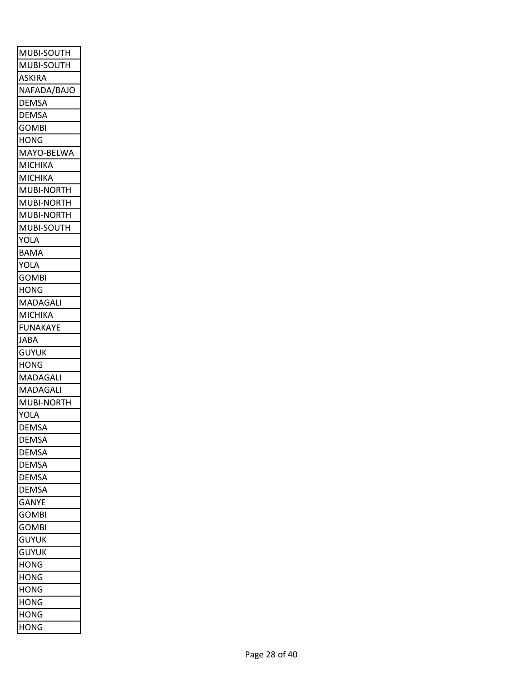| MUBI-SOUTH<br>MUBI-SOUTH |
|--------------------------|
|                          |
| ASKIRA                   |
| NAFADA/BAJO              |
| DEMSA                    |
| DEMSA                    |
| GOMBI                    |
| <b>HONG</b>              |
| MAYO-BELWA               |
| MICHIKA                  |
| <b>MICHIKA</b>           |
| MUBI-NORTH               |
| MUBI-NORTH               |
| MUBI-NORTH               |
| MUBI-SOUTH               |
| YOLA                     |
| <b>BAMA</b>              |
| YOLA                     |
| <b>GOMBI</b>             |
| <b>HONG</b>              |
| MADAGALI                 |
| MICHIKA                  |
| <b>FUNAKAYE</b>          |
| JABA                     |
| <b>GUYUK</b>             |
| HONG                     |
| MADAGALI                 |
| MADAGALI                 |
| MUBI-NORTH               |
| YOLA                     |
| DEMSA                    |
| <b>DEMSA</b>             |
| DEMSA                    |
| DEMSA                    |
| <b>DEMSA</b>             |
| DEMSA                    |
| <b>GANYE</b>             |
| GOMBI                    |
| <b>GOMBI</b>             |
| <b>GUYUK</b>             |
| <b>GUYUK</b>             |
| <b>HONG</b>              |
| <b>HONG</b>              |
| <b>HONG</b>              |
| HONG                     |
| HONG                     |
|                          |
| HONG                     |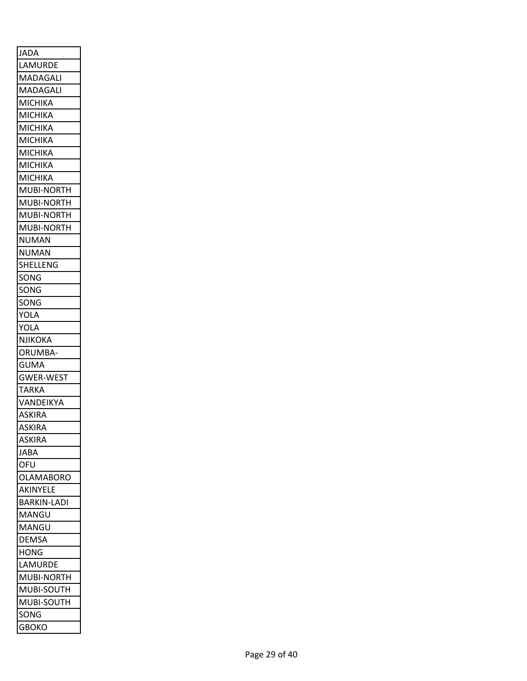| <b>JADA</b>      |
|------------------|
| LAMURDE          |
| MADAGALI         |
| MADAGALI         |
| <b>MICHIKA</b>   |
| MICHIKA          |
| МІСНІКА          |
| MICHIKA          |
| MICHIKA          |
| MICHIKA          |
| МІСНІКА          |
| MUBI-NORTH       |
| MUBI-NORTH       |
| MUBI-NORTH       |
| MUBI-NORTH       |
| <b>NUMAN</b>     |
| <b>NUMAN</b>     |
| SHELLENG         |
| SONG             |
| SONG             |
| SONG             |
| YOLA             |
| YOLA             |
| <b>NJIKOKA</b>   |
| ORUMBA-          |
| <b>GUMA</b>      |
| <b>GWER-WEST</b> |
| <b>TARKA</b>     |
| VANDEIKYA        |
| ASKIRA           |
| <b>ASKIRA</b>    |
| ASKIRA           |
| JABA             |
| OFU              |
| OLAMABORO        |
| AKINYELE         |
|                  |
| BARKIN-LADI      |
| MANGU            |
| MANGU            |
| DEMSA            |
| <b>HONG</b>      |
| LAMURDE          |
| MUBI-NORTH       |
| MUBI-SOUTH       |
| MUBI-SOUTH       |
| SONG             |
| <b>GBOKO</b>     |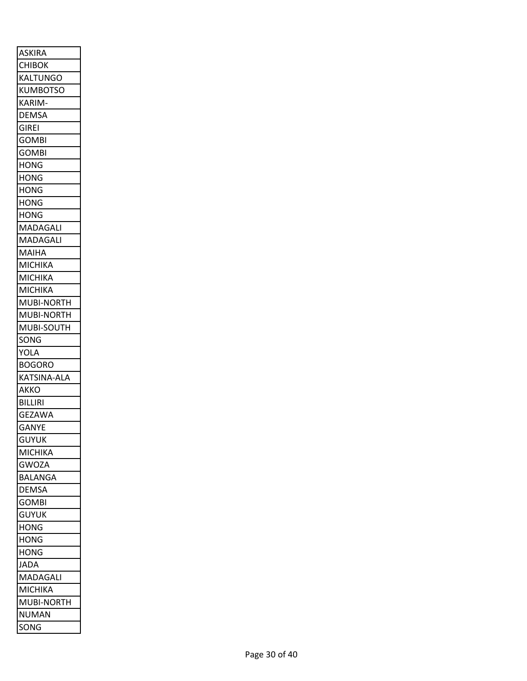| <b>ASKIRA</b>        |
|----------------------|
| <b>CHIBOK</b>        |
| <b>KALTUNGO</b>      |
| <b>KUMBOTSO</b>      |
| KARIM-               |
| <b>DEMSA</b>         |
| <b>GIREI</b>         |
| <b>GOMBI</b>         |
| <b>GOMBI</b>         |
| <b>HONG</b>          |
| <b>HONG</b>          |
| <b>HONG</b>          |
| <b>HONG</b>          |
| <b>HONG</b>          |
| MADAGALI             |
| MADAGALI             |
| MAIHA                |
| <b>MICHIKA</b>       |
| MICHIKA              |
| <b>MICHIKA</b>       |
| MUBI-NORTH           |
| MUBI-NORTH           |
| MUBI-SOUTH           |
| SONG                 |
| YOLA                 |
| <b>BOGORO</b>        |
| KATSINA-ALA          |
| AKKO                 |
| <b>BILLIRI</b>       |
| <b>GEZAWA</b>        |
| <b>GANYE</b>         |
| GUYUK                |
|                      |
| <b>MICHIKA</b>       |
| <b>GWOZA</b>         |
| <b>BALANGA</b>       |
| <b>DEMSA</b>         |
| <b>GOMBI</b>         |
| <b>GUYUK</b>         |
| <b>HONG</b>          |
| <b>HONG</b>          |
| <b>HONG</b>          |
| <b>JADA</b>          |
| MADAGALI             |
| <b>MICHIKA</b>       |
|                      |
| MUBI-NORTH           |
| <b>NUMAN</b><br>SONG |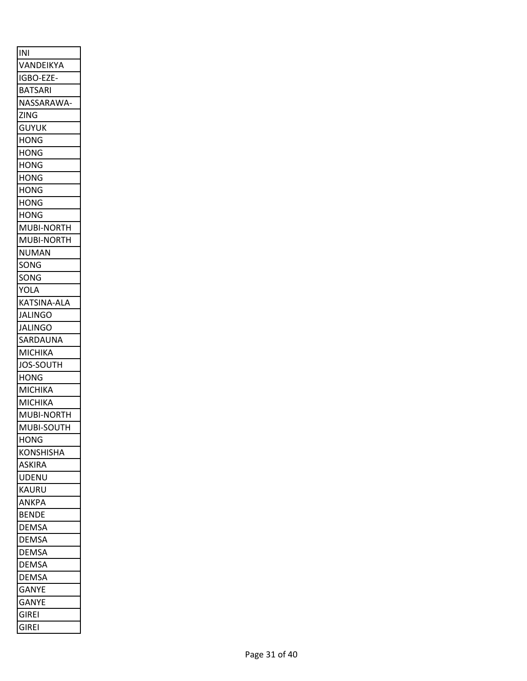| INI                          |
|------------------------------|
| VANDEIKYA                    |
| IGBO-EZE-                    |
| <b>BATSARI</b>               |
| NASSARAWA                    |
| <b>ZING</b>                  |
| <b>GUYUK</b>                 |
| <b>HONG</b>                  |
| <b>HONG</b>                  |
| <b>HONG</b>                  |
| <b>HONG</b>                  |
| <b>HONG</b>                  |
| <b>HONG</b>                  |
| <b>HONG</b>                  |
| MUBI-NORTH                   |
| MUBI-NORTH                   |
| <b>NUMAN</b>                 |
| SONG                         |
| SONG                         |
| <b>YOLA</b>                  |
| KATSINA-ALA                  |
| <b>JALINGO</b>               |
| <b>JALINGO</b>               |
| SARDAUNA                     |
| <b>MICHIKA</b>               |
| <b>JOS-SOUTH</b>             |
| <b>HONG</b>                  |
| <b>MICHIKA</b>               |
| <b>MICHIKA</b>               |
| MUBI-NORTH                   |
| MUBI-SOUTH                   |
| <b>HONG</b>                  |
| <b>KONSHISHA</b>             |
| <b>ASKIRA</b>                |
| <b>UDENU</b>                 |
| <b>KAURU</b>                 |
| <b>ANKPA</b>                 |
| <b>BENDE</b>                 |
| <b>DEMSA</b>                 |
| <b>DEMSA</b>                 |
| <b>DEMSA</b>                 |
| <b>DEMSA</b>                 |
| <b>DEMSA</b>                 |
|                              |
| <b>GANYE</b><br><b>GANYE</b> |
| <b>GIREI</b>                 |
|                              |
| <b>GIREI</b>                 |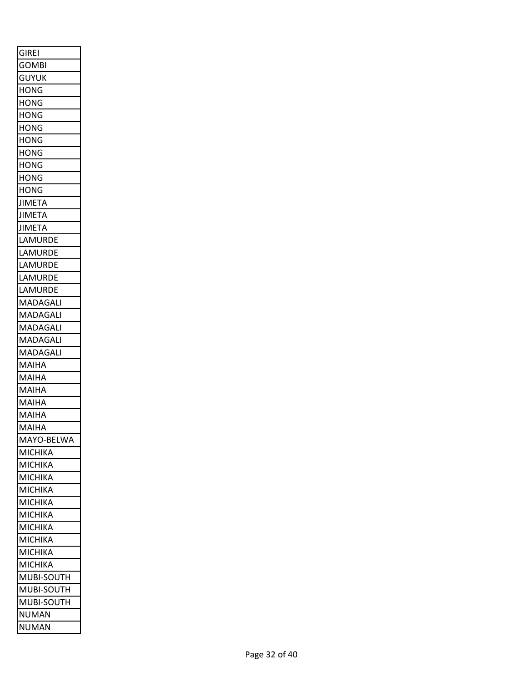| <b>GIREI</b>              |
|---------------------------|
| <b>GOMBI</b>              |
| <b>GUYUK</b>              |
| <b>HONG</b>               |
| <b>HONG</b>               |
| <b>HONG</b>               |
| <b>HONG</b>               |
| <b>HONG</b>               |
| <b>HONG</b>               |
| <b>HONG</b>               |
| <b>HONG</b>               |
| <b>HONG</b>               |
| <b>JIMETA</b>             |
| <b>JIMETA</b>             |
| <b>JIMETA</b>             |
| LAMURDE                   |
| LAMURDE                   |
| LAMURDE                   |
| LAMURDE                   |
| LAMURDE                   |
| MADAGALI                  |
| <b>MADAGALI</b>           |
| MADAGALI                  |
| MADAGALI                  |
| MADAGALI                  |
| MAIHA                     |
| MAIHA                     |
| MAIHA                     |
| <b>MAIHA</b>              |
| <b>MAIHA</b>              |
| MAIHA                     |
| MAYO-BELWA                |
| MICHIKA                   |
| МІСНІКА                   |
| <b>MICHIKA</b>            |
| <b>MICHIKA</b>            |
| <b>MICHIKA</b>            |
| MICHIKA                   |
| MICHIKA                   |
| MICHIKA                   |
|                           |
| МІСНІКА<br><b>MICHIKA</b> |
|                           |
| MUBI-SOUTH                |
| MUBI-SOUTH                |
| MUBI-SOUTH                |
| NUMAN                     |
| <b>NUMAN</b>              |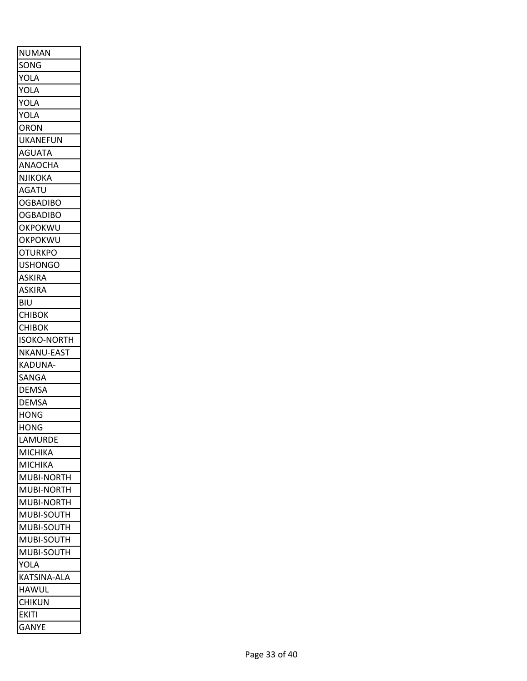| <b>NUMAN</b>       |
|--------------------|
| SONG               |
| YOLA               |
| YOLA               |
| <b>YOLA</b>        |
| <b>YOLA</b>        |
| ORON               |
| <b>UKANEFUN</b>    |
| AGUATA             |
| ANAOCHA            |
| <b>NJIKOKA</b>     |
| <b>AGATU</b>       |
| <b>OGBADIBO</b>    |
| <b>OGBADIBO</b>    |
| OKPOKWU            |
| <b>OKPOKWU</b>     |
| <b>OTURKPO</b>     |
| <b>USHONGO</b>     |
| <b>ASKIRA</b>      |
| <b>ASKIRA</b>      |
| BIU                |
| <b>CHIBOK</b>      |
| <b>CHIBOK</b>      |
| <b>ISOKO-NORTH</b> |
| <b>NKANU-EAST</b>  |
| KADUNA-            |
| SANGA              |
| <b>DEMSA</b>       |
| <b>DEMSA</b>       |
| <b>HONG</b>        |
| <b>HONG</b>        |
| LAMURDE            |
| <b>MICHIKA</b>     |
| <b>MICHIKA</b>     |
| <b>MUBI-NORTH</b>  |
| MUBI-NORTH         |
| MUBI-NORTH         |
| MUBI-SOUTH         |
| MUBI-SOUTH         |
| MUBI-SOUTH         |
| MUBI-SOUTH         |
| <b>YOLA</b>        |
| <b>KATSINA-ALA</b> |
| <b>HAWUL</b>       |
| <b>CHIKUN</b>      |
| <b>EKITI</b>       |
| <b>GANYE</b>       |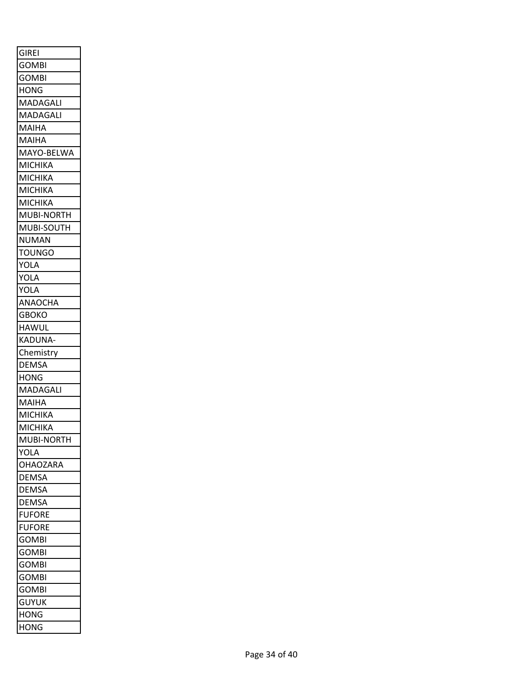| <b>GIREI</b>    |
|-----------------|
| <b>GOMBI</b>    |
| <b>GOMBI</b>    |
| <b>HONG</b>     |
| <b>MADAGALI</b> |
| MADAGALI        |
| MAIHA           |
| <b>MAIHA</b>    |
| MAYO-BELWA      |
| <b>MICHIKA</b>  |
| <b>MICHIKA</b>  |
| <b>MICHIKA</b>  |
| <b>MICHIKA</b>  |
| MUBI-NORTH      |
| MUBI-SOUTH      |
| NUMAN           |
| <b>TOUNGO</b>   |
| YOLA            |
| YOLA            |
| <b>YOLA</b>     |
| ANAOCHA         |
| <b>GBOKO</b>    |
|                 |
| <b>HAWUL</b>    |
| <b>KADUNA-</b>  |
| Chemistry       |
| DEMSA           |
| <b>HONG</b>     |
| MADAGALI        |
| <b>MAIHA</b>    |
| <b>MICHIKA</b>  |
| <b>MICHIKA</b>  |
| MUBI-NORTH      |
| YOLA            |
| <b>OHAOZARA</b> |
| <b>DEMSA</b>    |
| <b>DEMSA</b>    |
| <b>DEMSA</b>    |
| <b>FUFORE</b>   |
| <b>FUFORE</b>   |
| <b>GOMBI</b>    |
| <b>GOMBI</b>    |
| <b>GOMBI</b>    |
| <b>GOMBI</b>    |
| <b>GOMBI</b>    |
| <b>GUYUK</b>    |
| <b>HONG</b>     |
| <b>HONG</b>     |
|                 |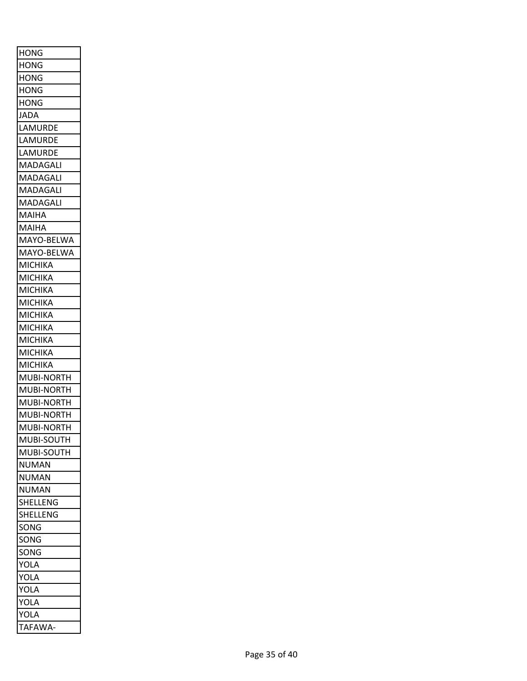| <b>HONG</b>       |
|-------------------|
| <b>HONG</b>       |
| <b>HONG</b>       |
| <b>HONG</b>       |
| <b>HONG</b>       |
| <b>JADA</b>       |
| LAMURDE           |
| LAMURDE           |
| LAMURDE           |
| MADAGALI          |
| MADAGALI          |
| MADAGALI          |
| MADAGALI          |
| MAIHA             |
| MAIHA             |
| MAYO-BELWA        |
| MAYO-BELWA        |
| <b>MICHIKA</b>    |
| MICHIKA           |
| МІСНІКА           |
| MICHIKA           |
| МІСНІКА           |
| <b>MICHIKA</b>    |
| <b>MICHIKA</b>    |
| MICHIKA           |
| <b>MICHIKA</b>    |
| MUBI-NORTH        |
| MUBI-NORTH        |
| MUBI-NORTH        |
| <b>MUBI-NORTH</b> |
| MUBI-NORTH        |
| MUBI-SOUTH        |
| MUBI-SOUTH        |
| <b>NUMAN</b>      |
| <b>NUMAN</b>      |
| <b>NUMAN</b>      |
| SHELLENG          |
| SHELLENG          |
| SONG              |
| SONG              |
| SONG              |
| <b>YOLA</b>       |
| YOLA              |
| <b>YOLA</b>       |
| YOLA              |
| <b>YOLA</b>       |
| <b>TAFAWA</b>     |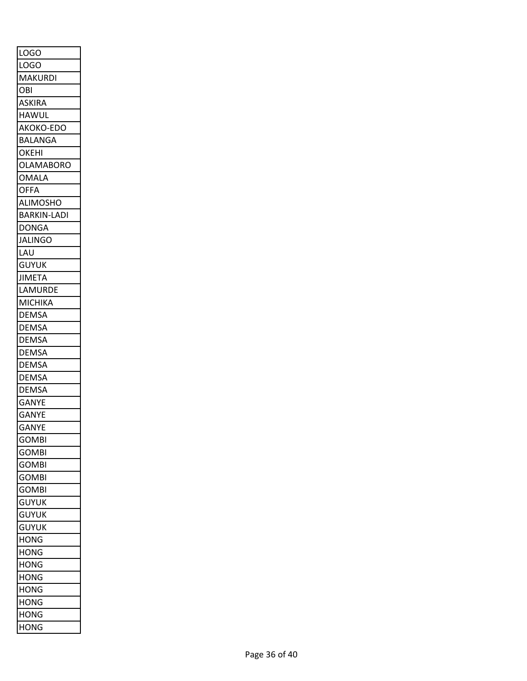| <b>LOGO</b>        |
|--------------------|
| LOGO               |
| <b>MAKURDI</b>     |
| OBI                |
| ASKIRA             |
| <b>HAWUL</b>       |
| AKOKO-EDO          |
| <b>BALANGA</b>     |
| <b>OKEHI</b>       |
| <b>OLAMABORO</b>   |
| <b>OMALA</b>       |
| <b>OFFA</b>        |
| <b>ALIMOSHO</b>    |
| <b>BARKIN-LADI</b> |
| <b>DONGA</b>       |
| JALINGO            |
| LAU                |
| <b>GUYUK</b>       |
| <b>JIMETA</b>      |
| LAMURDE            |
| <b>MICHIKA</b>     |
| <b>DEMSA</b>       |
| <b>DEMSA</b>       |
| <b>DEMSA</b>       |
| DEMSA              |
| DEMSA              |
| <b>DEMSA</b>       |
| <b>DEMSA</b>       |
| <b>GANYE</b>       |
| <b>GANYE</b>       |
| <b>GANYI</b>       |
| <b>GOMBI</b>       |
| <b>GOMBI</b>       |
| <b>GOMBI</b>       |
| <b>GOMBI</b>       |
| <b>GOMBI</b>       |
| <b>GUYUK</b>       |
| <b>GUYUK</b>       |
| <b>GUYUK</b>       |
| <b>HONG</b>        |
| <b>HONG</b>        |
| <b>HONG</b>        |
| <b>HONG</b>        |
| <b>HONG</b>        |
| <b>HONG</b>        |
| <b>HONG</b>        |
| <b>HONG</b>        |
|                    |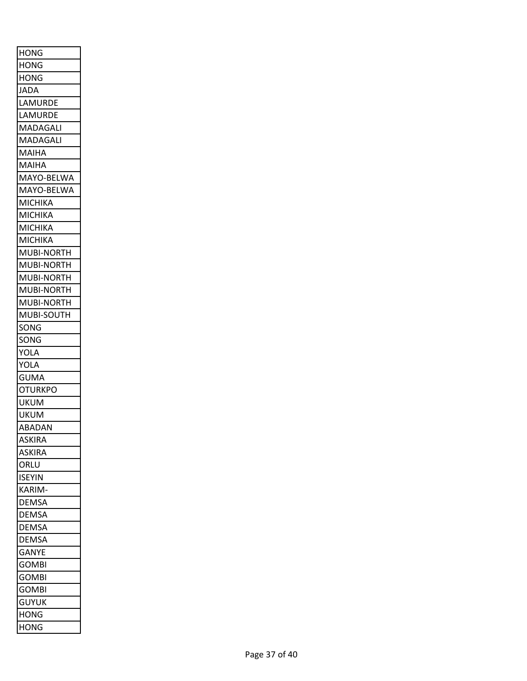| <b>HONG</b>    |
|----------------|
| HONG           |
| HONG           |
| <b>JADA</b>    |
| LAMURDE        |
| LAMURDE        |
| MADAGALI       |
| MADAGALI       |
| MAIHA          |
| MAIHA          |
| MAYO-BELWA     |
| MAYO-BELWA     |
| MICHIKA        |
| MICHIKA        |
| MICHIKA        |
| MICHIKA        |
| MUBI-NORTH     |
| MUBI-NORTH     |
| MUBI-NORTH     |
| MUBI-NORTH     |
| MUBI-NORTH     |
| MUBI-SOUTH     |
| SONG           |
| SONG           |
| YOLA           |
| YOLA           |
| <b>GUMA</b>    |
| <b>OTURKPO</b> |
| UKUM           |
| <b>UKUM</b>    |
| ABADAN         |
| <b>ASKIRA</b>  |
| <b>ASKIRA</b>  |
| ORLU           |
| <b>ISEYIN</b>  |
| KARIM-         |
| <b>DEMSA</b>   |
| DEMSA          |
| <b>DEMSA</b>   |
| <b>DEMSA</b>   |
| <b>GANYE</b>   |
| <b>GOMBI</b>   |
| <b>GOMBI</b>   |
| <b>GOMBI</b>   |
| <b>GUYUK</b>   |
| HONG           |
| HONG           |
|                |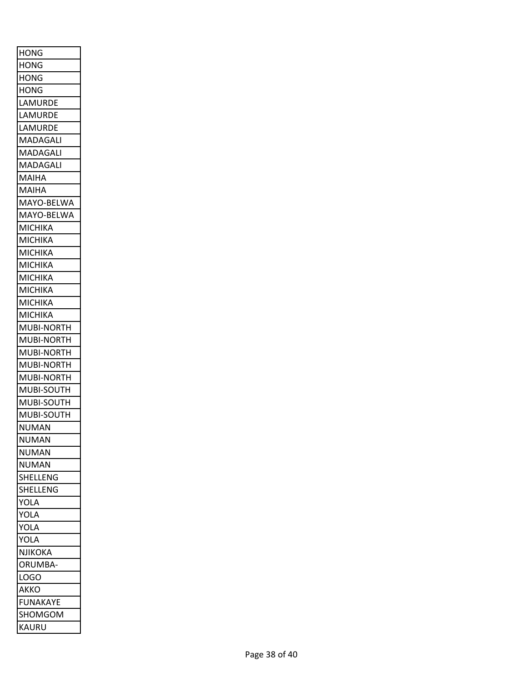| <b>HONG</b>           |
|-----------------------|
| <b>HONG</b>           |
| HONG                  |
| <b>HONG</b>           |
| LAMURDE               |
| LAMURDE               |
| LAMURDE               |
| MADAGALI              |
| MADAGALI              |
| MADAGALI              |
| MAIHA                 |
| MAIHA                 |
| MAYO-BELWA            |
| MAYO-BELWA            |
| МІСНІКА               |
| <b>MICHIKA</b>        |
| MICHIKA               |
| <b>MICHIKA</b>        |
| МІСНІКА               |
| MICHIKA               |
| МІСНІКА               |
|                       |
| MICHIKA<br>MUBI-NORTH |
|                       |
| MUBI-NORTH            |
| <b>MUBI-NORTH</b>     |
| <b>MUBI-NORTH</b>     |
| MUBI-NORTH            |
| MUBI-SOUTH            |
| MUBI-SOUTH            |
| MUBI-SOUTH            |
| NUMAN                 |
| <b>NUMAN</b>          |
| NUMAN                 |
| NUMAN                 |
| SHELLENG              |
| SHELLENG              |
| YOLA                  |
| YOLA                  |
| YOLA                  |
| YOLA                  |
| NJIKOKA               |
| ORUMBA-               |
| LOGO                  |
| AKKO                  |
| FUNAKAYE              |
| SHOMGOM               |
| KAURU                 |
|                       |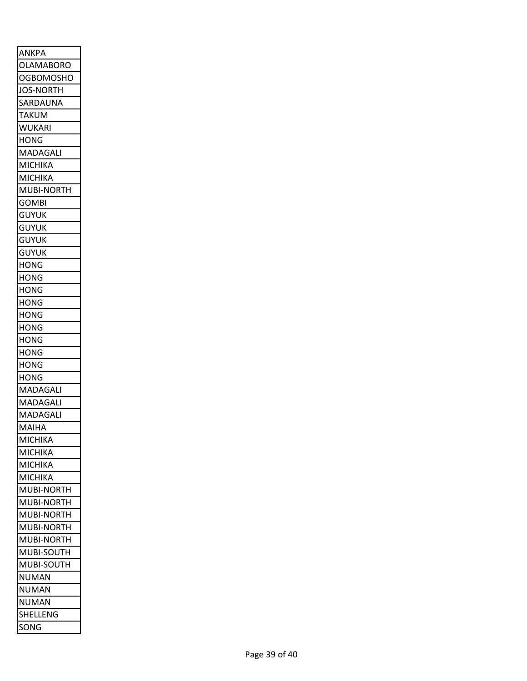| <b>ANKPA</b>      |
|-------------------|
| <b>OLAMABORO</b>  |
| <b>OGBOMOSHO</b>  |
| <b>JOS-NORTH</b>  |
| SARDAUNA          |
| TAKUM             |
| <b>WUKARI</b>     |
| <b>HONG</b>       |
| MADAGALI          |
| <b>MICHIKA</b>    |
| MICHIKA           |
| <b>MUBI-NORTH</b> |
| <b>GOMBI</b>      |
| <b>GUYUK</b>      |
| <b>GUYUK</b>      |
| guyuk             |
| <b>GUYUK</b>      |
| HONG              |
| <b>HONG</b>       |
| HONG              |
| HONG              |
| <b>HONG</b>       |
| HONG              |
| HONG              |
| HONG              |
| HONG              |
| HONG              |
| MADAGALI          |
| MADAGALI          |
| MADAGALI          |
| MAIHA             |
| MICHIKA           |
| MICHIKA           |
| MICHIKA           |
| MICHIKA           |
| MUBI-NORTH        |
| MUBI-NORTH        |
| MUBI-NORTH        |
| MUBI-NORTH        |
| MUBI-NORTH        |
| MUBI-SOUTH        |
| MUBI-SOUTH        |
| NUMAN             |
| NUMAN             |
| NUMAN             |
| SHELLENG          |
| SONG              |
|                   |